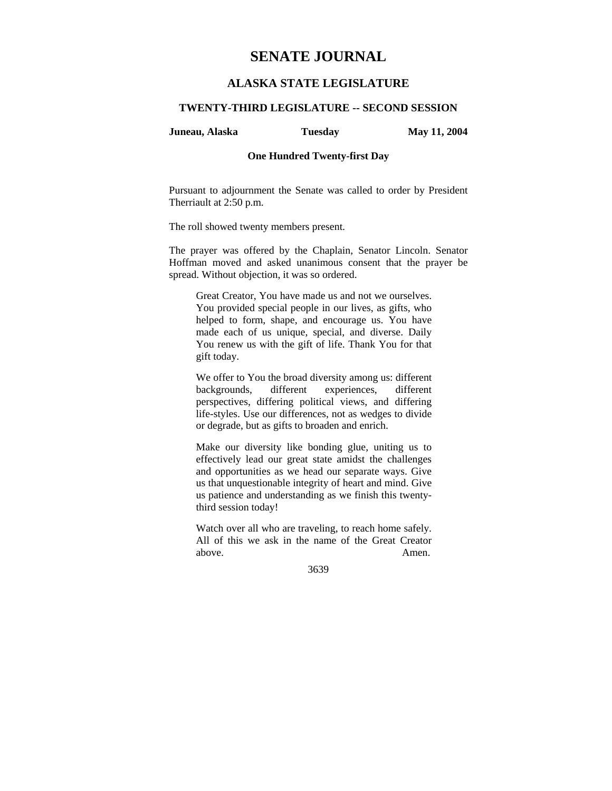# **SENATE JOURNAL**

# **ALASKA STATE LEGISLATURE**

# **TWENTY-THIRD LEGISLATURE -- SECOND SESSION**

**Juneau, Alaska Tuesday May 11, 2004** 

# **One Hundred Twenty-first Day**

Pursuant to adjournment the Senate was called to order by President Therriault at 2:50 p.m.

The roll showed twenty members present.

The prayer was offered by the Chaplain, Senator Lincoln. Senator Hoffman moved and asked unanimous consent that the prayer be spread. Without objection, it was so ordered.

Great Creator, You have made us and not we ourselves. You provided special people in our lives, as gifts, who helped to form, shape, and encourage us. You have made each of us unique, special, and diverse. Daily You renew us with the gift of life. Thank You for that gift today.

We offer to You the broad diversity among us: different backgrounds, different experiences, different perspectives, differing political views, and differing life-styles. Use our differences, not as wedges to divide or degrade, but as gifts to broaden and enrich.

Make our diversity like bonding glue, uniting us to effectively lead our great state amidst the challenges and opportunities as we head our separate ways. Give us that unquestionable integrity of heart and mind. Give us patience and understanding as we finish this twentythird session today!

Watch over all who are traveling, to reach home safely. All of this we ask in the name of the Great Creator above. Amen.

3639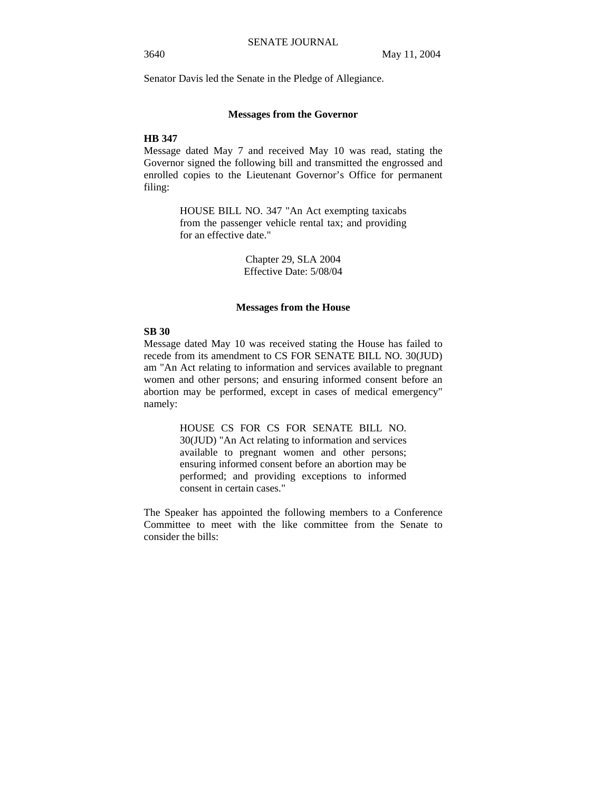Senator Davis led the Senate in the Pledge of Allegiance.

# **Messages from the Governor**

# **HB 347**

Message dated May 7 and received May 10 was read, stating the Governor signed the following bill and transmitted the engrossed and enrolled copies to the Lieutenant Governor's Office for permanent filing:

> HOUSE BILL NO. 347 "An Act exempting taxicabs from the passenger vehicle rental tax; and providing for an effective date."

> > Chapter 29, SLA 2004 Effective Date: 5/08/04

## **Messages from the House**

# **SB 30**

Message dated May 10 was received stating the House has failed to recede from its amendment to CS FOR SENATE BILL NO. 30(JUD) am "An Act relating to information and services available to pregnant women and other persons; and ensuring informed consent before an abortion may be performed, except in cases of medical emergency" namely:

> HOUSE CS FOR CS FOR SENATE BILL NO. 30(JUD) "An Act relating to information and services available to pregnant women and other persons; ensuring informed consent before an abortion may be performed; and providing exceptions to informed consent in certain cases."

The Speaker has appointed the following members to a Conference Committee to meet with the like committee from the Senate to consider the bills: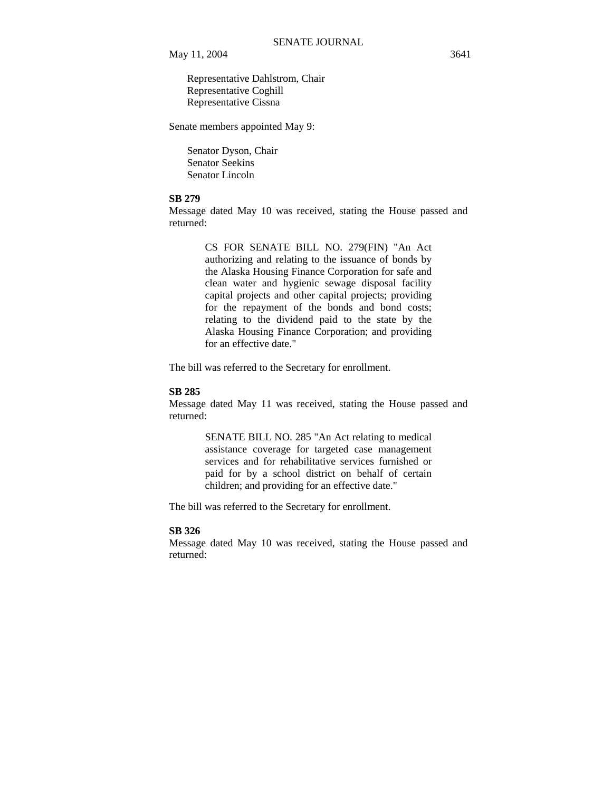Representative Dahlstrom, Chair Representative Coghill Representative Cissna

Senate members appointed May 9:

 Senator Dyson, Chair Senator Seekins Senator Lincoln

# **SB 279**

Message dated May 10 was received, stating the House passed and returned:

> CS FOR SENATE BILL NO. 279(FIN) "An Act authorizing and relating to the issuance of bonds by the Alaska Housing Finance Corporation for safe and clean water and hygienic sewage disposal facility capital projects and other capital projects; providing for the repayment of the bonds and bond costs; relating to the dividend paid to the state by the Alaska Housing Finance Corporation; and providing for an effective date."

The bill was referred to the Secretary for enrollment.

# **SB 285**

Message dated May 11 was received, stating the House passed and returned:

> SENATE BILL NO. 285 "An Act relating to medical assistance coverage for targeted case management services and for rehabilitative services furnished or paid for by a school district on behalf of certain children; and providing for an effective date."

The bill was referred to the Secretary for enrollment.

## **SB 326**

Message dated May 10 was received, stating the House passed and returned: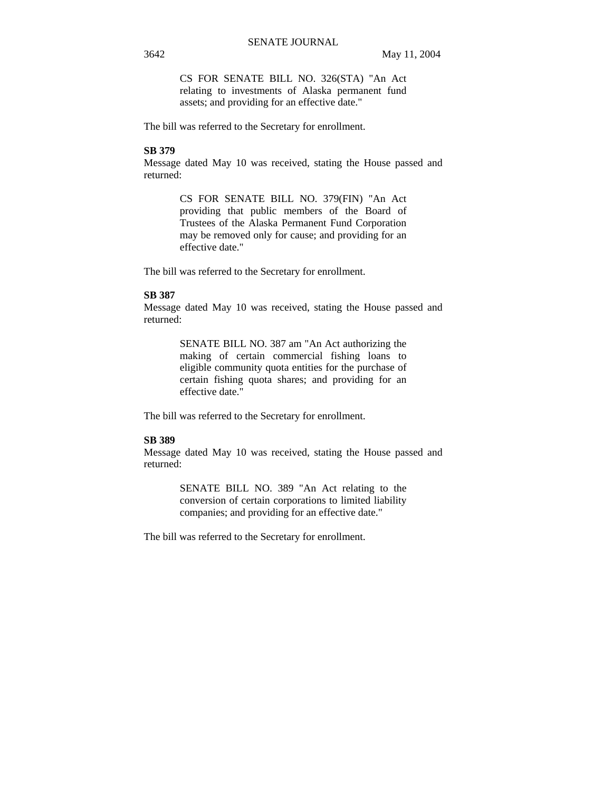CS FOR SENATE BILL NO. 326(STA) "An Act relating to investments of Alaska permanent fund assets; and providing for an effective date."

The bill was referred to the Secretary for enrollment.

# **SB 379**

Message dated May 10 was received, stating the House passed and returned:

> CS FOR SENATE BILL NO. 379(FIN) "An Act providing that public members of the Board of Trustees of the Alaska Permanent Fund Corporation may be removed only for cause; and providing for an effective date."

The bill was referred to the Secretary for enrollment.

## **SB 387**

Message dated May 10 was received, stating the House passed and returned:

> SENATE BILL NO. 387 am "An Act authorizing the making of certain commercial fishing loans to eligible community quota entities for the purchase of certain fishing quota shares; and providing for an effective date."

The bill was referred to the Secretary for enrollment.

# **SB 389**

Message dated May 10 was received, stating the House passed and returned:

> SENATE BILL NO. 389 "An Act relating to the conversion of certain corporations to limited liability companies; and providing for an effective date."

The bill was referred to the Secretary for enrollment.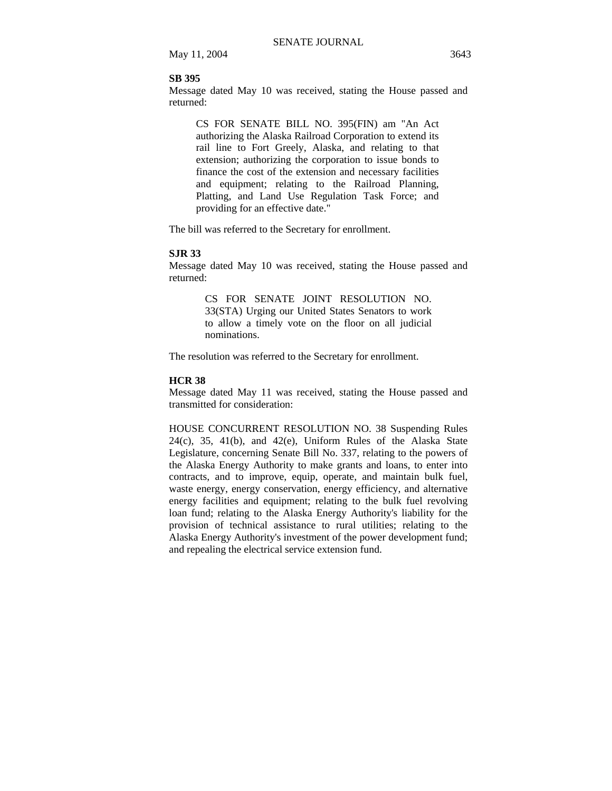## **SB 395**

Message dated May 10 was received, stating the House passed and returned:

CS FOR SENATE BILL NO. 395(FIN) am "An Act authorizing the Alaska Railroad Corporation to extend its rail line to Fort Greely, Alaska, and relating to that extension; authorizing the corporation to issue bonds to finance the cost of the extension and necessary facilities and equipment; relating to the Railroad Planning, Platting, and Land Use Regulation Task Force; and providing for an effective date."

The bill was referred to the Secretary for enrollment.

## **SJR 33**

Message dated May 10 was received, stating the House passed and returned:

> CS FOR SENATE JOINT RESOLUTION NO. 33(STA) Urging our United States Senators to work to allow a timely vote on the floor on all judicial nominations.

The resolution was referred to the Secretary for enrollment.

## **HCR 38**

Message dated May 11 was received, stating the House passed and transmitted for consideration:

HOUSE CONCURRENT RESOLUTION NO. 38 Suspending Rules  $24(c)$ ,  $35$ ,  $41(b)$ , and  $42(e)$ , Uniform Rules of the Alaska State Legislature, concerning Senate Bill No. 337, relating to the powers of the Alaska Energy Authority to make grants and loans, to enter into contracts, and to improve, equip, operate, and maintain bulk fuel, waste energy, energy conservation, energy efficiency, and alternative energy facilities and equipment; relating to the bulk fuel revolving loan fund; relating to the Alaska Energy Authority's liability for the provision of technical assistance to rural utilities; relating to the Alaska Energy Authority's investment of the power development fund; and repealing the electrical service extension fund.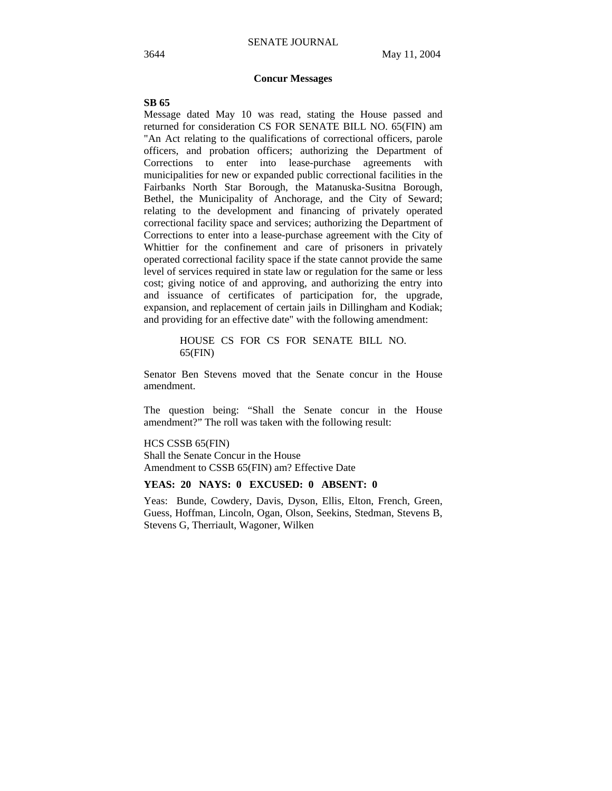# **Concur Messages**

#### **SB 65**

Message dated May 10 was read, stating the House passed and returned for consideration CS FOR SENATE BILL NO. 65(FIN) am "An Act relating to the qualifications of correctional officers, parole officers, and probation officers; authorizing the Department of Corrections to enter into lease-purchase agreements with municipalities for new or expanded public correctional facilities in the Fairbanks North Star Borough, the Matanuska-Susitna Borough, Bethel, the Municipality of Anchorage, and the City of Seward; relating to the development and financing of privately operated correctional facility space and services; authorizing the Department of Corrections to enter into a lease-purchase agreement with the City of Whittier for the confinement and care of prisoners in privately operated correctional facility space if the state cannot provide the same level of services required in state law or regulation for the same or less cost; giving notice of and approving, and authorizing the entry into and issuance of certificates of participation for, the upgrade, expansion, and replacement of certain jails in Dillingham and Kodiak; and providing for an effective date" with the following amendment:

> HOUSE CS FOR CS FOR SENATE BILL NO. 65(FIN)

Senator Ben Stevens moved that the Senate concur in the House amendment.

The question being: "Shall the Senate concur in the House amendment?" The roll was taken with the following result:

HCS CSSB 65(FIN) Shall the Senate Concur in the House

Amendment to CSSB 65(FIN) am? Effective Date

# **YEAS: 20 NAYS: 0 EXCUSED: 0 ABSENT: 0**

Yeas: Bunde, Cowdery, Davis, Dyson, Ellis, Elton, French, Green, Guess, Hoffman, Lincoln, Ogan, Olson, Seekins, Stedman, Stevens B, Stevens G, Therriault, Wagoner, Wilken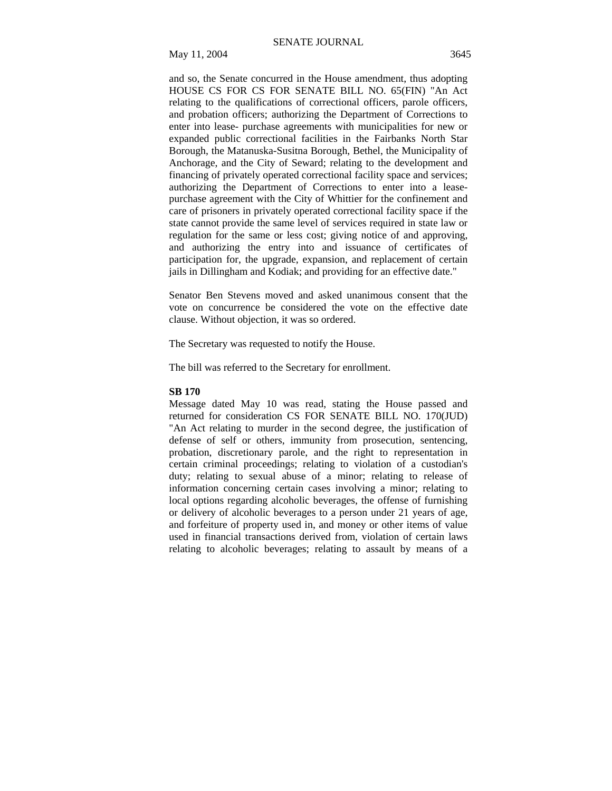and so, the Senate concurred in the House amendment, thus adopting HOUSE CS FOR CS FOR SENATE BILL NO. 65(FIN) "An Act relating to the qualifications of correctional officers, parole officers, and probation officers; authorizing the Department of Corrections to enter into lease- purchase agreements with municipalities for new or expanded public correctional facilities in the Fairbanks North Star Borough, the Matanuska-Susitna Borough, Bethel, the Municipality of Anchorage, and the City of Seward; relating to the development and financing of privately operated correctional facility space and services; authorizing the Department of Corrections to enter into a leasepurchase agreement with the City of Whittier for the confinement and care of prisoners in privately operated correctional facility space if the state cannot provide the same level of services required in state law or regulation for the same or less cost; giving notice of and approving, and authorizing the entry into and issuance of certificates of participation for, the upgrade, expansion, and replacement of certain jails in Dillingham and Kodiak; and providing for an effective date."

Senator Ben Stevens moved and asked unanimous consent that the vote on concurrence be considered the vote on the effective date clause. Without objection, it was so ordered.

The Secretary was requested to notify the House.

The bill was referred to the Secretary for enrollment.

#### **SB 170**

Message dated May 10 was read, stating the House passed and returned for consideration CS FOR SENATE BILL NO. 170(JUD) "An Act relating to murder in the second degree, the justification of defense of self or others, immunity from prosecution, sentencing, probation, discretionary parole, and the right to representation in certain criminal proceedings; relating to violation of a custodian's duty; relating to sexual abuse of a minor; relating to release of information concerning certain cases involving a minor; relating to local options regarding alcoholic beverages, the offense of furnishing or delivery of alcoholic beverages to a person under 21 years of age, and forfeiture of property used in, and money or other items of value used in financial transactions derived from, violation of certain laws relating to alcoholic beverages; relating to assault by means of a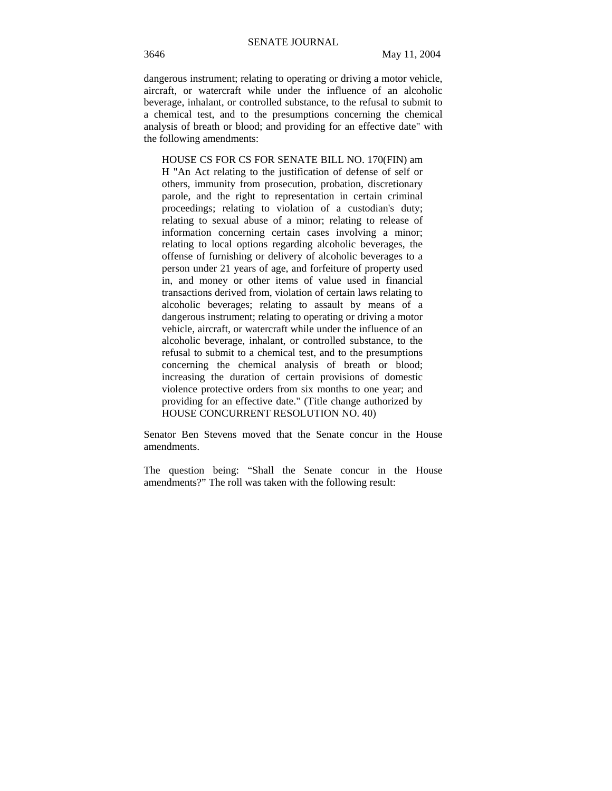dangerous instrument; relating to operating or driving a motor vehicle, aircraft, or watercraft while under the influence of an alcoholic beverage, inhalant, or controlled substance, to the refusal to submit to a chemical test, and to the presumptions concerning the chemical analysis of breath or blood; and providing for an effective date" with the following amendments:

HOUSE CS FOR CS FOR SENATE BILL NO. 170(FIN) am H "An Act relating to the justification of defense of self or others, immunity from prosecution, probation, discretionary parole, and the right to representation in certain criminal proceedings; relating to violation of a custodian's duty; relating to sexual abuse of a minor; relating to release of information concerning certain cases involving a minor; relating to local options regarding alcoholic beverages, the offense of furnishing or delivery of alcoholic beverages to a person under 21 years of age, and forfeiture of property used in, and money or other items of value used in financial transactions derived from, violation of certain laws relating to alcoholic beverages; relating to assault by means of a dangerous instrument; relating to operating or driving a motor vehicle, aircraft, or watercraft while under the influence of an alcoholic beverage, inhalant, or controlled substance, to the refusal to submit to a chemical test, and to the presumptions concerning the chemical analysis of breath or blood; increasing the duration of certain provisions of domestic violence protective orders from six months to one year; and providing for an effective date." (Title change authorized by HOUSE CONCURRENT RESOLUTION NO. 40)

Senator Ben Stevens moved that the Senate concur in the House amendments.

The question being: "Shall the Senate concur in the House amendments?" The roll was taken with the following result: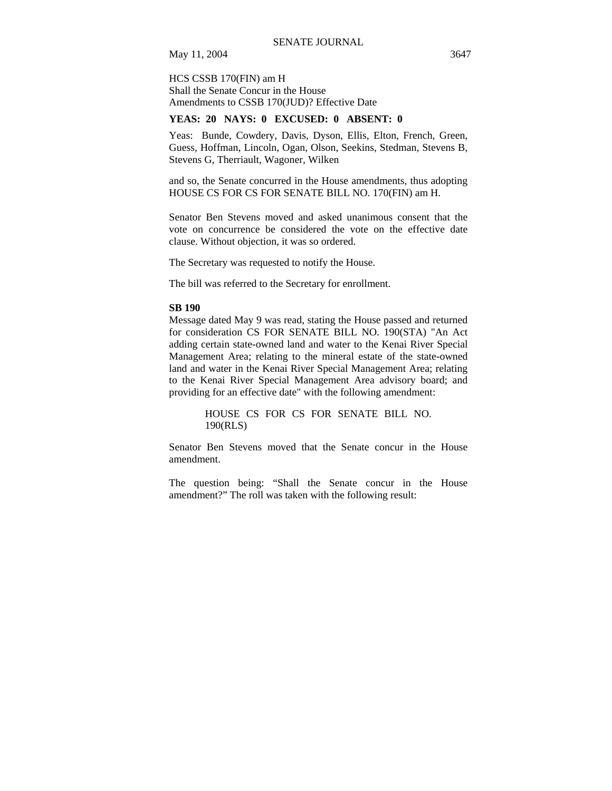HCS CSSB 170(FIN) am H Shall the Senate Concur in the House Amendments to CSSB 170(JUD)? Effective Date

# **YEAS: 20 NAYS: 0 EXCUSED: 0 ABSENT: 0**

Yeas: Bunde, Cowdery, Davis, Dyson, Ellis, Elton, French, Green, Guess, Hoffman, Lincoln, Ogan, Olson, Seekins, Stedman, Stevens B, Stevens G, Therriault, Wagoner, Wilken

and so, the Senate concurred in the House amendments, thus adopting HOUSE CS FOR CS FOR SENATE BILL NO. 170(FIN) am H.

Senator Ben Stevens moved and asked unanimous consent that the vote on concurrence be considered the vote on the effective date clause. Without objection, it was so ordered.

The Secretary was requested to notify the House.

The bill was referred to the Secretary for enrollment.

#### **SB 190**

Message dated May 9 was read, stating the House passed and returned for consideration CS FOR SENATE BILL NO. 190(STA) "An Act adding certain state-owned land and water to the Kenai River Special Management Area; relating to the mineral estate of the state-owned land and water in the Kenai River Special Management Area; relating to the Kenai River Special Management Area advisory board; and providing for an effective date" with the following amendment:

> HOUSE CS FOR CS FOR SENATE BILL NO. 190(RLS)

Senator Ben Stevens moved that the Senate concur in the House amendment.

The question being: "Shall the Senate concur in the House amendment?" The roll was taken with the following result: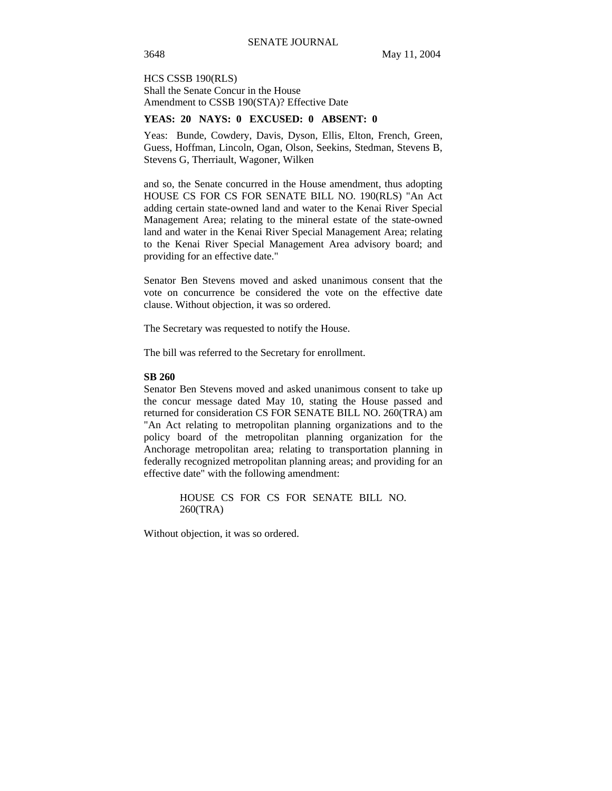HCS CSSB 190(RLS) Shall the Senate Concur in the House Amendment to CSSB 190(STA)? Effective Date

# **YEAS: 20 NAYS: 0 EXCUSED: 0 ABSENT: 0**

Yeas: Bunde, Cowdery, Davis, Dyson, Ellis, Elton, French, Green, Guess, Hoffman, Lincoln, Ogan, Olson, Seekins, Stedman, Stevens B, Stevens G, Therriault, Wagoner, Wilken

and so, the Senate concurred in the House amendment, thus adopting HOUSE CS FOR CS FOR SENATE BILL NO. 190(RLS) "An Act adding certain state-owned land and water to the Kenai River Special Management Area; relating to the mineral estate of the state-owned land and water in the Kenai River Special Management Area; relating to the Kenai River Special Management Area advisory board; and providing for an effective date."

Senator Ben Stevens moved and asked unanimous consent that the vote on concurrence be considered the vote on the effective date clause. Without objection, it was so ordered.

The Secretary was requested to notify the House.

The bill was referred to the Secretary for enrollment.

#### **SB 260**

Senator Ben Stevens moved and asked unanimous consent to take up the concur message dated May 10, stating the House passed and returned for consideration CS FOR SENATE BILL NO. 260(TRA) am "An Act relating to metropolitan planning organizations and to the policy board of the metropolitan planning organization for the Anchorage metropolitan area; relating to transportation planning in federally recognized metropolitan planning areas; and providing for an effective date" with the following amendment:

> HOUSE CS FOR CS FOR SENATE BILL NO. 260(TRA)

Without objection, it was so ordered.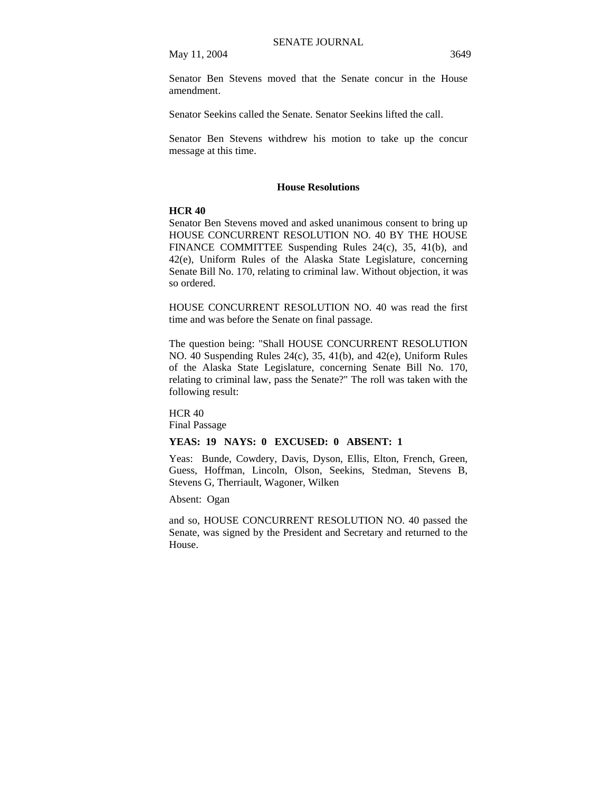Senator Ben Stevens moved that the Senate concur in the House amendment.

Senator Seekins called the Senate. Senator Seekins lifted the call.

Senator Ben Stevens withdrew his motion to take up the concur message at this time.

## **House Resolutions**

#### **HCR 40**

Senator Ben Stevens moved and asked unanimous consent to bring up HOUSE CONCURRENT RESOLUTION NO. 40 BY THE HOUSE FINANCE COMMITTEE Suspending Rules 24(c), 35, 41(b), and 42(e), Uniform Rules of the Alaska State Legislature, concerning Senate Bill No. 170, relating to criminal law. Without objection, it was so ordered.

HOUSE CONCURRENT RESOLUTION NO. 40 was read the first time and was before the Senate on final passage.

The question being: "Shall HOUSE CONCURRENT RESOLUTION NO. 40 Suspending Rules 24(c), 35, 41(b), and 42(e), Uniform Rules of the Alaska State Legislature, concerning Senate Bill No. 170, relating to criminal law, pass the Senate?" The roll was taken with the following result:

HCR 40 Final Passage

# **YEAS: 19 NAYS: 0 EXCUSED: 0 ABSENT: 1**

Yeas: Bunde, Cowdery, Davis, Dyson, Ellis, Elton, French, Green, Guess, Hoffman, Lincoln, Olson, Seekins, Stedman, Stevens B, Stevens G, Therriault, Wagoner, Wilken

Absent: Ogan

and so, HOUSE CONCURRENT RESOLUTION NO. 40 passed the Senate, was signed by the President and Secretary and returned to the House.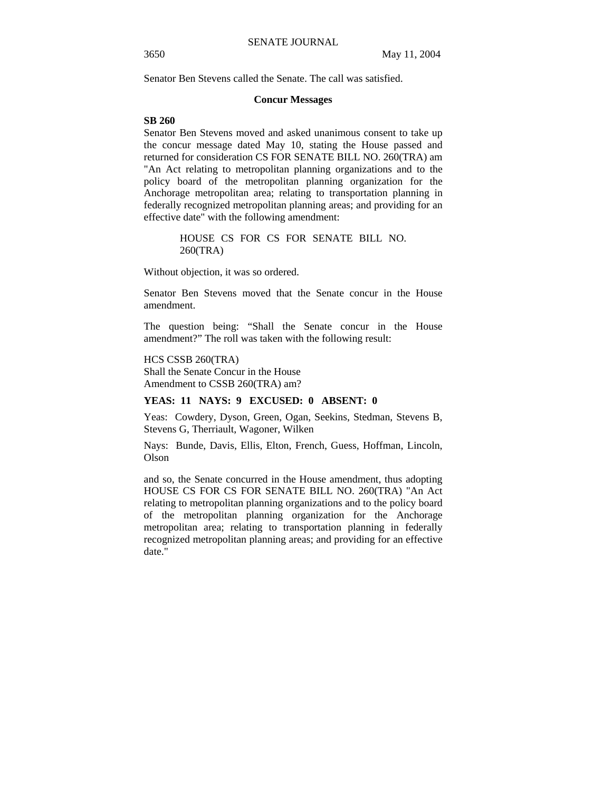Senator Ben Stevens called the Senate. The call was satisfied.

#### **Concur Messages**

# **SB 260**

Senator Ben Stevens moved and asked unanimous consent to take up the concur message dated May 10, stating the House passed and returned for consideration CS FOR SENATE BILL NO. 260(TRA) am "An Act relating to metropolitan planning organizations and to the policy board of the metropolitan planning organization for the Anchorage metropolitan area; relating to transportation planning in federally recognized metropolitan planning areas; and providing for an effective date" with the following amendment:

> HOUSE CS FOR CS FOR SENATE BILL NO. 260(TRA)

Without objection, it was so ordered.

Senator Ben Stevens moved that the Senate concur in the House amendment.

The question being: "Shall the Senate concur in the House amendment?" The roll was taken with the following result:

HCS CSSB 260(TRA) Shall the Senate Concur in the House Amendment to CSSB 260(TRA) am?

## **YEAS: 11 NAYS: 9 EXCUSED: 0 ABSENT: 0**

Yeas: Cowdery, Dyson, Green, Ogan, Seekins, Stedman, Stevens B, Stevens G, Therriault, Wagoner, Wilken

Nays: Bunde, Davis, Ellis, Elton, French, Guess, Hoffman, Lincoln, Olson

and so, the Senate concurred in the House amendment, thus adopting HOUSE CS FOR CS FOR SENATE BILL NO. 260(TRA) "An Act relating to metropolitan planning organizations and to the policy board of the metropolitan planning organization for the Anchorage metropolitan area; relating to transportation planning in federally recognized metropolitan planning areas; and providing for an effective date."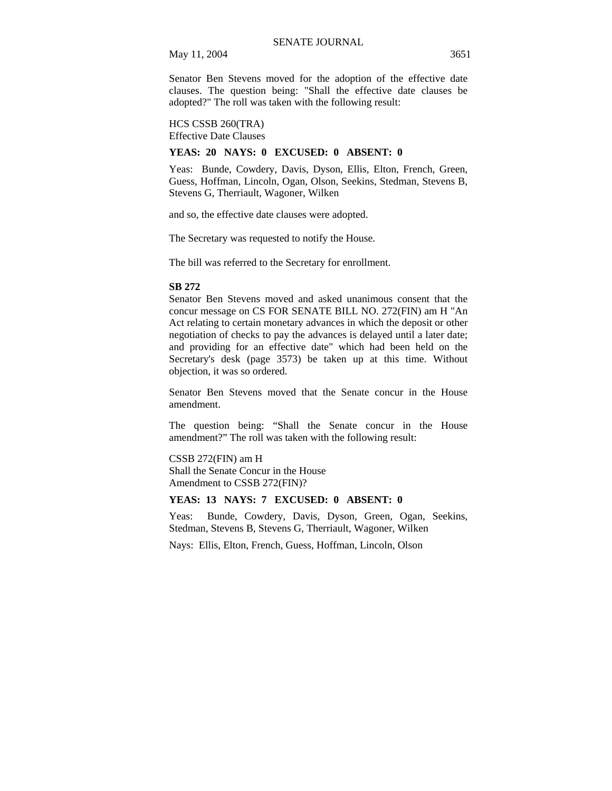Senator Ben Stevens moved for the adoption of the effective date clauses. The question being: "Shall the effective date clauses be adopted?" The roll was taken with the following result:

HCS CSSB 260(TRA) Effective Date Clauses

#### **YEAS: 20 NAYS: 0 EXCUSED: 0 ABSENT: 0**

Yeas: Bunde, Cowdery, Davis, Dyson, Ellis, Elton, French, Green, Guess, Hoffman, Lincoln, Ogan, Olson, Seekins, Stedman, Stevens B, Stevens G, Therriault, Wagoner, Wilken

and so, the effective date clauses were adopted.

The Secretary was requested to notify the House.

The bill was referred to the Secretary for enrollment.

#### **SB 272**

Senator Ben Stevens moved and asked unanimous consent that the concur message on CS FOR SENATE BILL NO. 272(FIN) am H "An Act relating to certain monetary advances in which the deposit or other negotiation of checks to pay the advances is delayed until a later date; and providing for an effective date" which had been held on the Secretary's desk (page 3573) be taken up at this time. Without objection, it was so ordered.

Senator Ben Stevens moved that the Senate concur in the House amendment.

The question being: "Shall the Senate concur in the House amendment?" The roll was taken with the following result:

CSSB 272(FIN) am H Shall the Senate Concur in the House Amendment to CSSB 272(FIN)?

# **YEAS: 13 NAYS: 7 EXCUSED: 0 ABSENT: 0**

Yeas: Bunde, Cowdery, Davis, Dyson, Green, Ogan, Seekins, Stedman, Stevens B, Stevens G, Therriault, Wagoner, Wilken

Nays: Ellis, Elton, French, Guess, Hoffman, Lincoln, Olson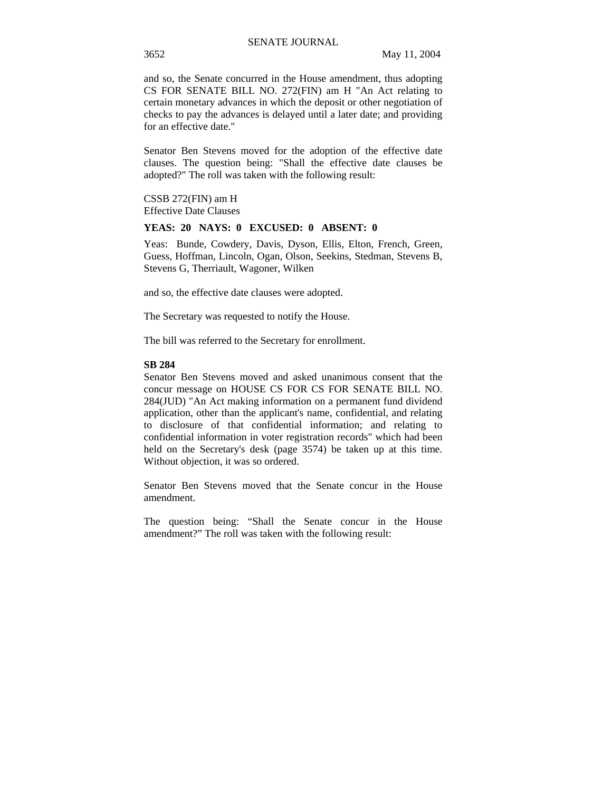and so, the Senate concurred in the House amendment, thus adopting CS FOR SENATE BILL NO. 272(FIN) am H "An Act relating to certain monetary advances in which the deposit or other negotiation of checks to pay the advances is delayed until a later date; and providing for an effective date."

Senator Ben Stevens moved for the adoption of the effective date clauses. The question being: "Shall the effective date clauses be adopted?" The roll was taken with the following result:

CSSB 272(FIN) am H Effective Date Clauses

## **YEAS: 20 NAYS: 0 EXCUSED: 0 ABSENT: 0**

Yeas: Bunde, Cowdery, Davis, Dyson, Ellis, Elton, French, Green, Guess, Hoffman, Lincoln, Ogan, Olson, Seekins, Stedman, Stevens B, Stevens G, Therriault, Wagoner, Wilken

and so, the effective date clauses were adopted.

The Secretary was requested to notify the House.

The bill was referred to the Secretary for enrollment.

## **SB 284**

Senator Ben Stevens moved and asked unanimous consent that the concur message on HOUSE CS FOR CS FOR SENATE BILL NO. 284(JUD) "An Act making information on a permanent fund dividend application, other than the applicant's name, confidential, and relating to disclosure of that confidential information; and relating to confidential information in voter registration records" which had been held on the Secretary's desk (page 3574) be taken up at this time. Without objection, it was so ordered.

Senator Ben Stevens moved that the Senate concur in the House amendment.

The question being: "Shall the Senate concur in the House amendment?" The roll was taken with the following result: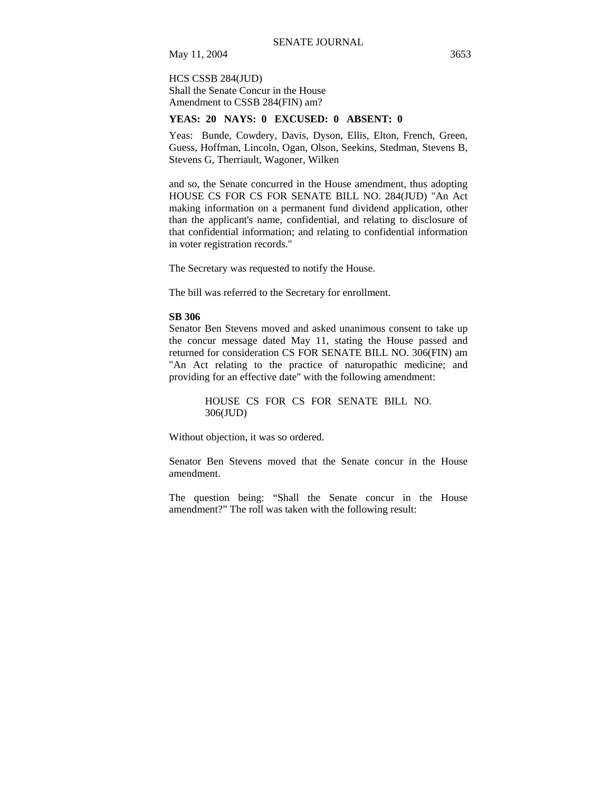HCS CSSB 284(JUD) Shall the Senate Concur in the House Amendment to CSSB 284(FIN) am?

## **YEAS: 20 NAYS: 0 EXCUSED: 0 ABSENT: 0**

Yeas: Bunde, Cowdery, Davis, Dyson, Ellis, Elton, French, Green, Guess, Hoffman, Lincoln, Ogan, Olson, Seekins, Stedman, Stevens B, Stevens G, Therriault, Wagoner, Wilken

and so, the Senate concurred in the House amendment, thus adopting HOUSE CS FOR CS FOR SENATE BILL NO. 284(JUD) "An Act making information on a permanent fund dividend application, other than the applicant's name, confidential, and relating to disclosure of that confidential information; and relating to confidential information in voter registration records."

The Secretary was requested to notify the House.

The bill was referred to the Secretary for enrollment.

#### **SB 306**

Senator Ben Stevens moved and asked unanimous consent to take up the concur message dated May 11, stating the House passed and returned for consideration CS FOR SENATE BILL NO. 306(FIN) am "An Act relating to the practice of naturopathic medicine; and providing for an effective date" with the following amendment:

> HOUSE CS FOR CS FOR SENATE BILL NO. 306(JUD)

Without objection, it was so ordered.

Senator Ben Stevens moved that the Senate concur in the House amendment.

The question being: "Shall the Senate concur in the House amendment?" The roll was taken with the following result: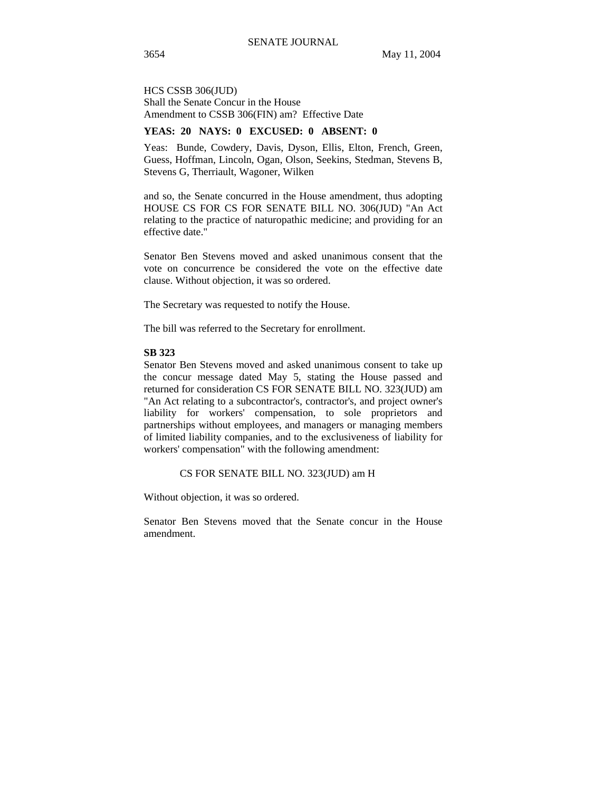HCS CSSB 306(JUD) Shall the Senate Concur in the House Amendment to CSSB 306(FIN) am? Effective Date

# **YEAS: 20 NAYS: 0 EXCUSED: 0 ABSENT: 0**

Yeas: Bunde, Cowdery, Davis, Dyson, Ellis, Elton, French, Green, Guess, Hoffman, Lincoln, Ogan, Olson, Seekins, Stedman, Stevens B, Stevens G, Therriault, Wagoner, Wilken

and so, the Senate concurred in the House amendment, thus adopting HOUSE CS FOR CS FOR SENATE BILL NO. 306(JUD) "An Act relating to the practice of naturopathic medicine; and providing for an effective date."

Senator Ben Stevens moved and asked unanimous consent that the vote on concurrence be considered the vote on the effective date clause. Without objection, it was so ordered.

The Secretary was requested to notify the House.

The bill was referred to the Secretary for enrollment.

#### **SB 323**

Senator Ben Stevens moved and asked unanimous consent to take up the concur message dated May 5, stating the House passed and returned for consideration CS FOR SENATE BILL NO. 323(JUD) am "An Act relating to a subcontractor's, contractor's, and project owner's liability for workers' compensation, to sole proprietors and partnerships without employees, and managers or managing members of limited liability companies, and to the exclusiveness of liability for workers' compensation" with the following amendment:

CS FOR SENATE BILL NO. 323(JUD) am H

Without objection, it was so ordered.

Senator Ben Stevens moved that the Senate concur in the House amendment.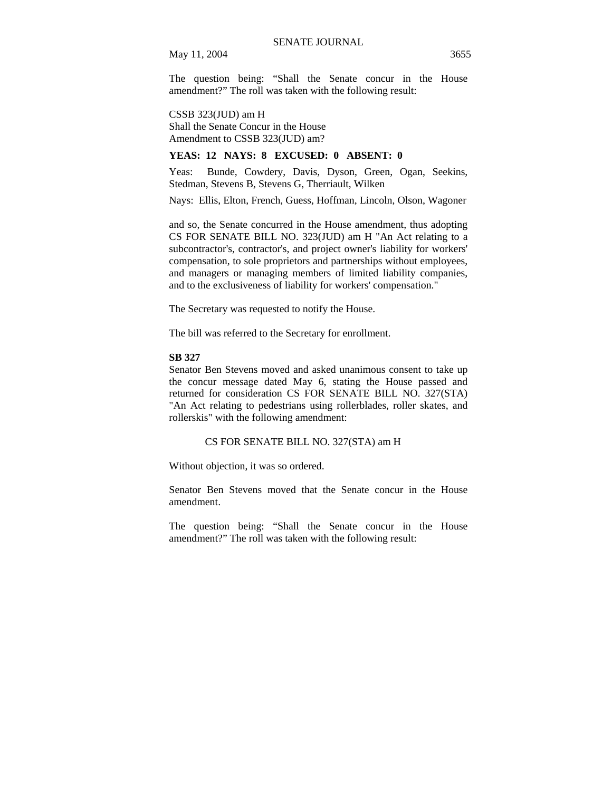The question being: "Shall the Senate concur in the House amendment?" The roll was taken with the following result:

CSSB 323(JUD) am H Shall the Senate Concur in the House

Amendment to CSSB 323(JUD) am?

# **YEAS: 12 NAYS: 8 EXCUSED: 0 ABSENT: 0**

Yeas: Bunde, Cowdery, Davis, Dyson, Green, Ogan, Seekins, Stedman, Stevens B, Stevens G, Therriault, Wilken

Nays: Ellis, Elton, French, Guess, Hoffman, Lincoln, Olson, Wagoner

and so, the Senate concurred in the House amendment, thus adopting CS FOR SENATE BILL NO. 323(JUD) am H "An Act relating to a subcontractor's, contractor's, and project owner's liability for workers' compensation, to sole proprietors and partnerships without employees, and managers or managing members of limited liability companies, and to the exclusiveness of liability for workers' compensation."

The Secretary was requested to notify the House.

The bill was referred to the Secretary for enrollment.

## **SB 327**

Senator Ben Stevens moved and asked unanimous consent to take up the concur message dated May 6, stating the House passed and returned for consideration CS FOR SENATE BILL NO. 327(STA) "An Act relating to pedestrians using rollerblades, roller skates, and rollerskis" with the following amendment:

# CS FOR SENATE BILL NO. 327(STA) am H

Without objection, it was so ordered.

Senator Ben Stevens moved that the Senate concur in the House amendment.

The question being: "Shall the Senate concur in the House amendment?" The roll was taken with the following result: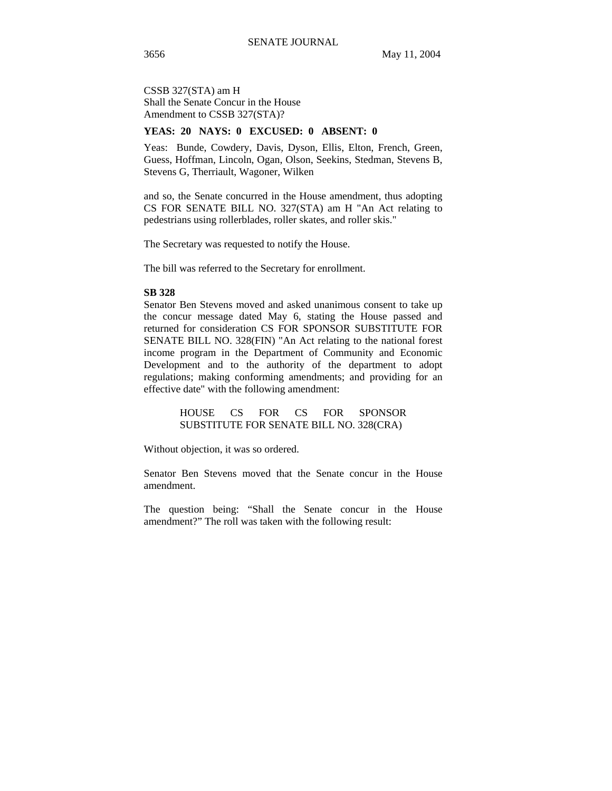CSSB 327(STA) am H Shall the Senate Concur in the House Amendment to CSSB 327(STA)?

# **YEAS: 20 NAYS: 0 EXCUSED: 0 ABSENT: 0**

Yeas: Bunde, Cowdery, Davis, Dyson, Ellis, Elton, French, Green, Guess, Hoffman, Lincoln, Ogan, Olson, Seekins, Stedman, Stevens B, Stevens G, Therriault, Wagoner, Wilken

and so, the Senate concurred in the House amendment, thus adopting CS FOR SENATE BILL NO. 327(STA) am H "An Act relating to pedestrians using rollerblades, roller skates, and roller skis."

The Secretary was requested to notify the House.

The bill was referred to the Secretary for enrollment.

#### **SB 328**

Senator Ben Stevens moved and asked unanimous consent to take up the concur message dated May 6, stating the House passed and returned for consideration CS FOR SPONSOR SUBSTITUTE FOR SENATE BILL NO. 328(FIN) "An Act relating to the national forest income program in the Department of Community and Economic Development and to the authority of the department to adopt regulations; making conforming amendments; and providing for an effective date" with the following amendment:

> HOUSE CS FOR CS FOR SPONSOR SUBSTITUTE FOR SENATE BILL NO. 328(CRA)

Without objection, it was so ordered.

Senator Ben Stevens moved that the Senate concur in the House amendment.

The question being: "Shall the Senate concur in the House amendment?" The roll was taken with the following result: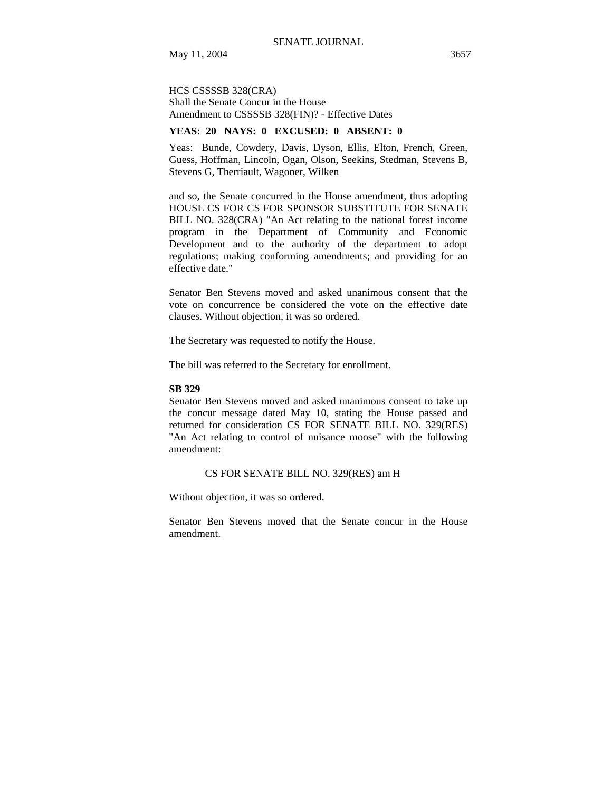# HCS CSSSSB 328(CRA) Shall the Senate Concur in the House Amendment to CSSSSB 328(FIN)? - Effective Dates

# **YEAS: 20 NAYS: 0 EXCUSED: 0 ABSENT: 0**

Yeas: Bunde, Cowdery, Davis, Dyson, Ellis, Elton, French, Green, Guess, Hoffman, Lincoln, Ogan, Olson, Seekins, Stedman, Stevens B, Stevens G, Therriault, Wagoner, Wilken

and so, the Senate concurred in the House amendment, thus adopting HOUSE CS FOR CS FOR SPONSOR SUBSTITUTE FOR SENATE BILL NO. 328(CRA) "An Act relating to the national forest income program in the Department of Community and Economic Development and to the authority of the department to adopt regulations; making conforming amendments; and providing for an effective date."

Senator Ben Stevens moved and asked unanimous consent that the vote on concurrence be considered the vote on the effective date clauses. Without objection, it was so ordered.

The Secretary was requested to notify the House.

The bill was referred to the Secretary for enrollment.

#### **SB 329**

Senator Ben Stevens moved and asked unanimous consent to take up the concur message dated May 10, stating the House passed and returned for consideration CS FOR SENATE BILL NO. 329(RES) "An Act relating to control of nuisance moose" with the following amendment:

CS FOR SENATE BILL NO. 329(RES) am H

Without objection, it was so ordered.

Senator Ben Stevens moved that the Senate concur in the House amendment.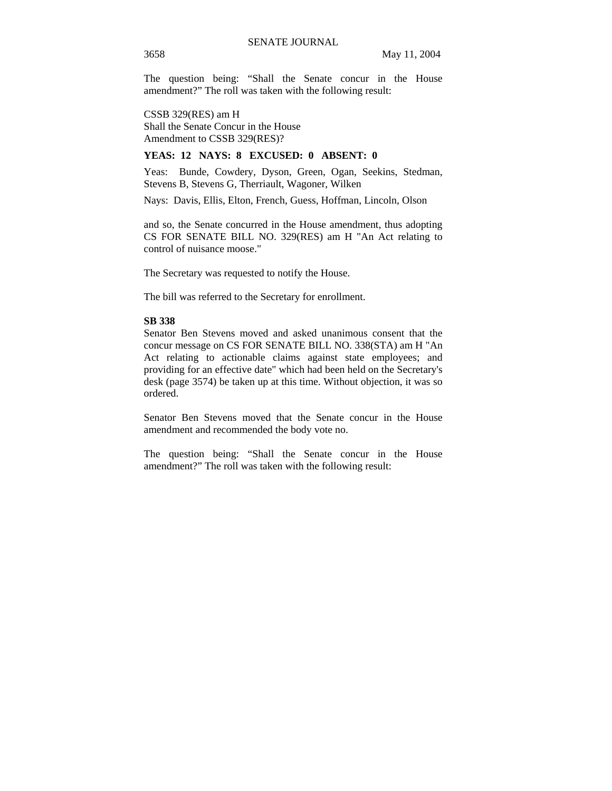The question being: "Shall the Senate concur in the House amendment?" The roll was taken with the following result:

CSSB 329(RES) am H Shall the Senate Concur in the House Amendment to CSSB 329(RES)?

## **YEAS: 12 NAYS: 8 EXCUSED: 0 ABSENT: 0**

Yeas: Bunde, Cowdery, Dyson, Green, Ogan, Seekins, Stedman, Stevens B, Stevens G, Therriault, Wagoner, Wilken

Nays: Davis, Ellis, Elton, French, Guess, Hoffman, Lincoln, Olson

and so, the Senate concurred in the House amendment, thus adopting CS FOR SENATE BILL NO. 329(RES) am H "An Act relating to control of nuisance moose."

The Secretary was requested to notify the House.

The bill was referred to the Secretary for enrollment.

## **SB 338**

Senator Ben Stevens moved and asked unanimous consent that the concur message on CS FOR SENATE BILL NO. 338(STA) am H "An Act relating to actionable claims against state employees; and providing for an effective date" which had been held on the Secretary's desk (page 3574) be taken up at this time. Without objection, it was so ordered.

Senator Ben Stevens moved that the Senate concur in the House amendment and recommended the body vote no.

The question being: "Shall the Senate concur in the House amendment?" The roll was taken with the following result: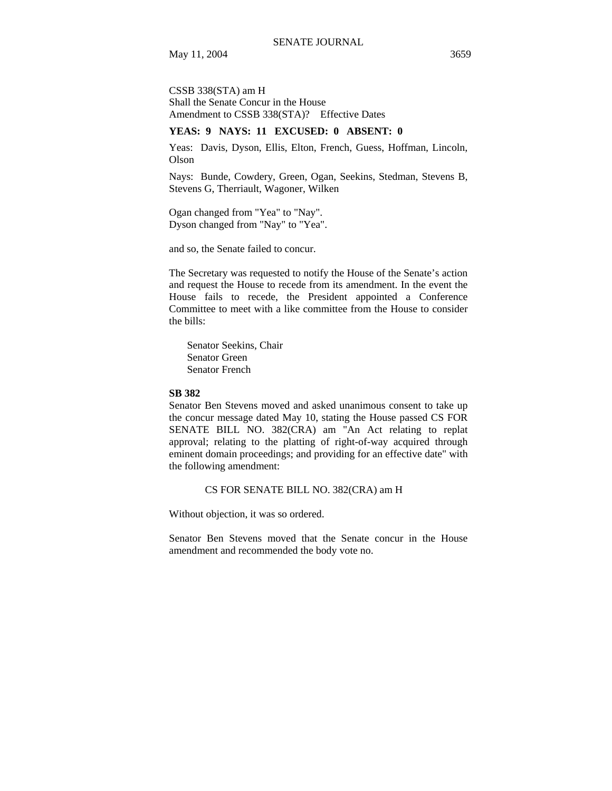CSSB 338(STA) am H Shall the Senate Concur in the House Amendment to CSSB 338(STA)? Effective Dates

# **YEAS: 9 NAYS: 11 EXCUSED: 0 ABSENT: 0**

Yeas: Davis, Dyson, Ellis, Elton, French, Guess, Hoffman, Lincoln, Olson

Nays: Bunde, Cowdery, Green, Ogan, Seekins, Stedman, Stevens B, Stevens G, Therriault, Wagoner, Wilken

Ogan changed from "Yea" to "Nay". Dyson changed from "Nay" to "Yea".

and so, the Senate failed to concur.

The Secretary was requested to notify the House of the Senate's action and request the House to recede from its amendment. In the event the House fails to recede, the President appointed a Conference Committee to meet with a like committee from the House to consider the bills:

Senator Seekins, Chair Senator Green Senator French

## **SB 382**

Senator Ben Stevens moved and asked unanimous consent to take up the concur message dated May 10, stating the House passed CS FOR SENATE BILL NO. 382(CRA) am "An Act relating to replat approval; relating to the platting of right-of-way acquired through eminent domain proceedings; and providing for an effective date" with the following amendment:

## CS FOR SENATE BILL NO. 382(CRA) am H

Without objection, it was so ordered.

Senator Ben Stevens moved that the Senate concur in the House amendment and recommended the body vote no.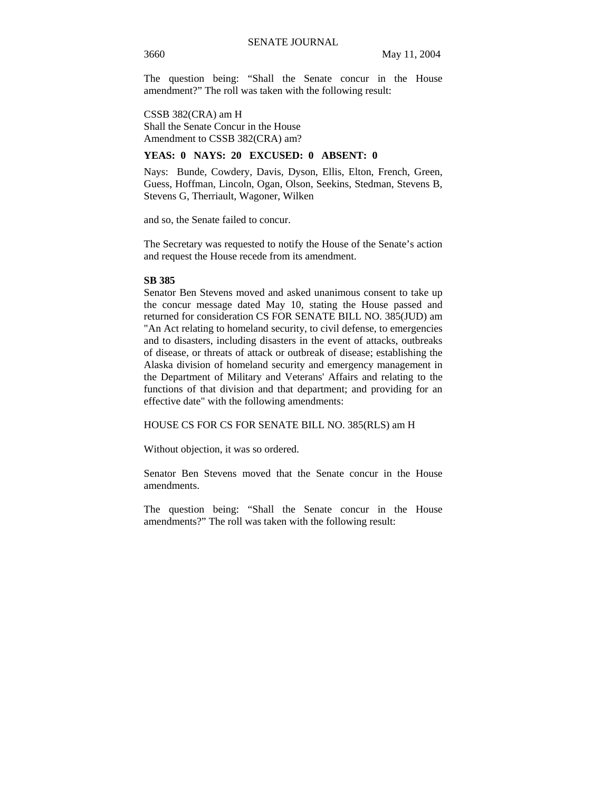The question being: "Shall the Senate concur in the House amendment?" The roll was taken with the following result:

CSSB 382(CRA) am H Shall the Senate Concur in the House Amendment to CSSB 382(CRA) am?

## **YEAS: 0 NAYS: 20 EXCUSED: 0 ABSENT: 0**

Nays: Bunde, Cowdery, Davis, Dyson, Ellis, Elton, French, Green, Guess, Hoffman, Lincoln, Ogan, Olson, Seekins, Stedman, Stevens B, Stevens G, Therriault, Wagoner, Wilken

and so, the Senate failed to concur.

The Secretary was requested to notify the House of the Senate's action and request the House recede from its amendment.

## **SB 385**

Senator Ben Stevens moved and asked unanimous consent to take up the concur message dated May 10, stating the House passed and returned for consideration CS FOR SENATE BILL NO. 385(JUD) am "An Act relating to homeland security, to civil defense, to emergencies and to disasters, including disasters in the event of attacks, outbreaks of disease, or threats of attack or outbreak of disease; establishing the Alaska division of homeland security and emergency management in the Department of Military and Veterans' Affairs and relating to the functions of that division and that department; and providing for an effective date" with the following amendments:

## HOUSE CS FOR CS FOR SENATE BILL NO. 385(RLS) am H

Without objection, it was so ordered.

Senator Ben Stevens moved that the Senate concur in the House amendments.

The question being: "Shall the Senate concur in the House amendments?" The roll was taken with the following result: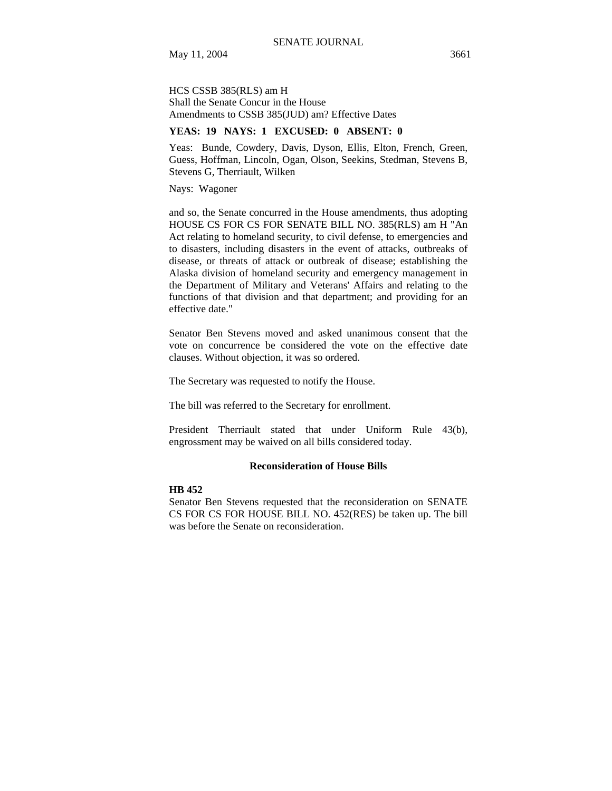HCS CSSB 385(RLS) am H Shall the Senate Concur in the House Amendments to CSSB 385(JUD) am? Effective Dates

# **YEAS: 19 NAYS: 1 EXCUSED: 0 ABSENT: 0**

Yeas: Bunde, Cowdery, Davis, Dyson, Ellis, Elton, French, Green, Guess, Hoffman, Lincoln, Ogan, Olson, Seekins, Stedman, Stevens B, Stevens G, Therriault, Wilken

Nays: Wagoner

and so, the Senate concurred in the House amendments, thus adopting HOUSE CS FOR CS FOR SENATE BILL NO. 385(RLS) am H "An Act relating to homeland security, to civil defense, to emergencies and to disasters, including disasters in the event of attacks, outbreaks of disease, or threats of attack or outbreak of disease; establishing the Alaska division of homeland security and emergency management in the Department of Military and Veterans' Affairs and relating to the functions of that division and that department; and providing for an effective date."

Senator Ben Stevens moved and asked unanimous consent that the vote on concurrence be considered the vote on the effective date clauses. Without objection, it was so ordered.

The Secretary was requested to notify the House.

The bill was referred to the Secretary for enrollment.

President Therriault stated that under Uniform Rule 43(b), engrossment may be waived on all bills considered today.

# **Reconsideration of House Bills**

## **HB 452**

Senator Ben Stevens requested that the reconsideration on SENATE CS FOR CS FOR HOUSE BILL NO. 452(RES) be taken up. The bill was before the Senate on reconsideration.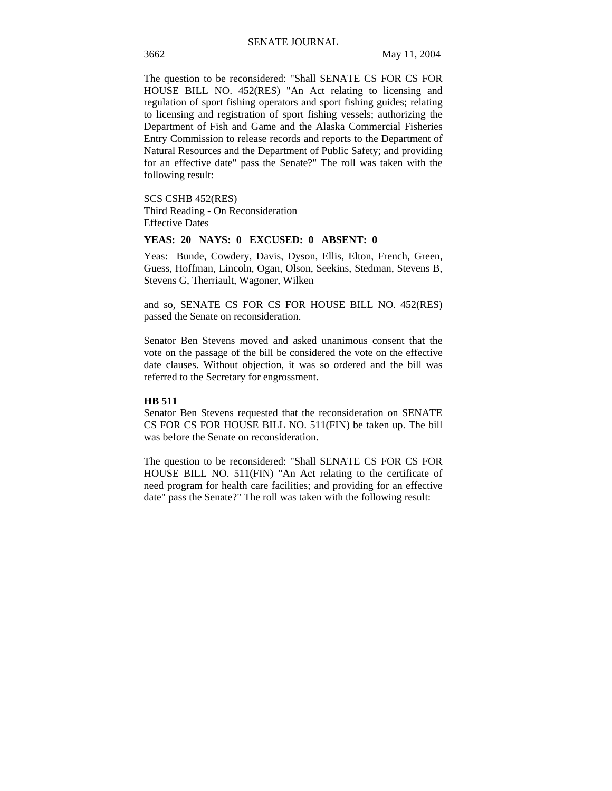The question to be reconsidered: "Shall SENATE CS FOR CS FOR HOUSE BILL NO. 452(RES) "An Act relating to licensing and regulation of sport fishing operators and sport fishing guides; relating to licensing and registration of sport fishing vessels; authorizing the Department of Fish and Game and the Alaska Commercial Fisheries Entry Commission to release records and reports to the Department of Natural Resources and the Department of Public Safety; and providing for an effective date" pass the Senate?" The roll was taken with the following result:

SCS CSHB 452(RES) Third Reading - On Reconsideration Effective Dates

## **YEAS: 20 NAYS: 0 EXCUSED: 0 ABSENT: 0**

Yeas: Bunde, Cowdery, Davis, Dyson, Ellis, Elton, French, Green, Guess, Hoffman, Lincoln, Ogan, Olson, Seekins, Stedman, Stevens B, Stevens G, Therriault, Wagoner, Wilken

and so, SENATE CS FOR CS FOR HOUSE BILL NO. 452(RES) passed the Senate on reconsideration.

Senator Ben Stevens moved and asked unanimous consent that the vote on the passage of the bill be considered the vote on the effective date clauses. Without objection, it was so ordered and the bill was referred to the Secretary for engrossment.

# **HB 511**

Senator Ben Stevens requested that the reconsideration on SENATE CS FOR CS FOR HOUSE BILL NO. 511(FIN) be taken up. The bill was before the Senate on reconsideration.

The question to be reconsidered: "Shall SENATE CS FOR CS FOR HOUSE BILL NO. 511(FIN) "An Act relating to the certificate of need program for health care facilities; and providing for an effective date" pass the Senate?" The roll was taken with the following result: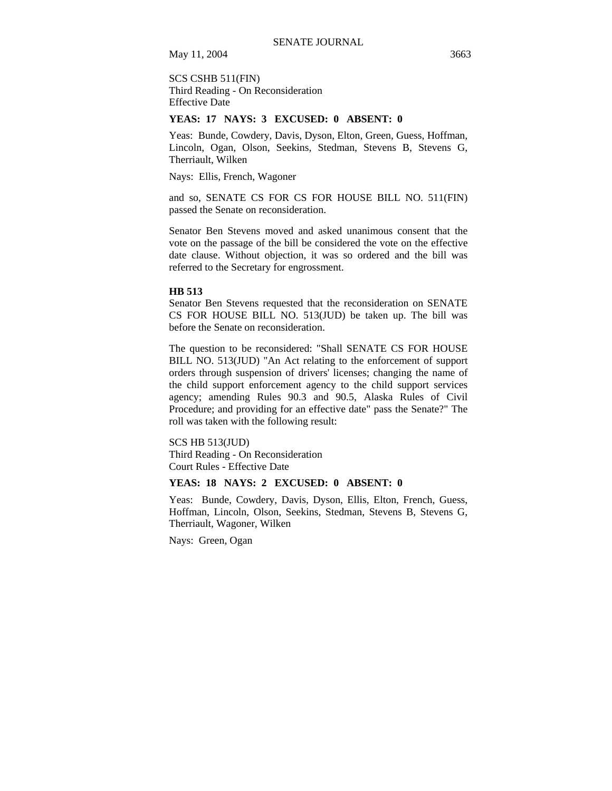SCS CSHB 511(FIN) Third Reading - On Reconsideration Effective Date

## **YEAS: 17 NAYS: 3 EXCUSED: 0 ABSENT: 0**

Yeas: Bunde, Cowdery, Davis, Dyson, Elton, Green, Guess, Hoffman, Lincoln, Ogan, Olson, Seekins, Stedman, Stevens B, Stevens G, Therriault, Wilken

Nays: Ellis, French, Wagoner

and so, SENATE CS FOR CS FOR HOUSE BILL NO. 511(FIN) passed the Senate on reconsideration.

Senator Ben Stevens moved and asked unanimous consent that the vote on the passage of the bill be considered the vote on the effective date clause. Without objection, it was so ordered and the bill was referred to the Secretary for engrossment.

## **HB 513**

Senator Ben Stevens requested that the reconsideration on SENATE CS FOR HOUSE BILL NO. 513(JUD) be taken up. The bill was before the Senate on reconsideration.

The question to be reconsidered: "Shall SENATE CS FOR HOUSE BILL NO. 513(JUD) "An Act relating to the enforcement of support orders through suspension of drivers' licenses; changing the name of the child support enforcement agency to the child support services agency; amending Rules 90.3 and 90.5, Alaska Rules of Civil Procedure; and providing for an effective date" pass the Senate?" The roll was taken with the following result:

SCS HB 513(JUD) Third Reading - On Reconsideration Court Rules - Effective Date

# **YEAS: 18 NAYS: 2 EXCUSED: 0 ABSENT: 0**

Yeas: Bunde, Cowdery, Davis, Dyson, Ellis, Elton, French, Guess, Hoffman, Lincoln, Olson, Seekins, Stedman, Stevens B, Stevens G, Therriault, Wagoner, Wilken

Nays: Green, Ogan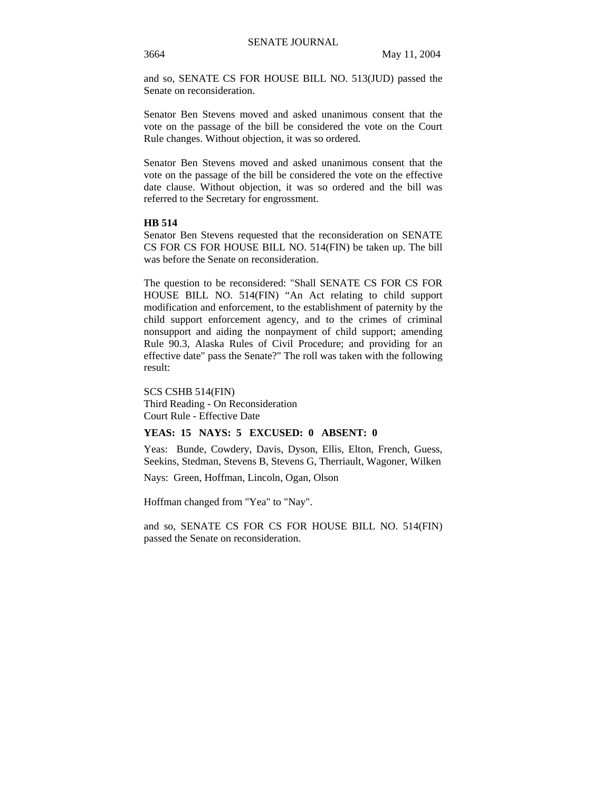and so, SENATE CS FOR HOUSE BILL NO. 513(JUD) passed the Senate on reconsideration.

Senator Ben Stevens moved and asked unanimous consent that the vote on the passage of the bill be considered the vote on the Court Rule changes. Without objection, it was so ordered.

Senator Ben Stevens moved and asked unanimous consent that the vote on the passage of the bill be considered the vote on the effective date clause. Without objection, it was so ordered and the bill was referred to the Secretary for engrossment.

# **HB 514**

Senator Ben Stevens requested that the reconsideration on SENATE CS FOR CS FOR HOUSE BILL NO. 514(FIN) be taken up. The bill was before the Senate on reconsideration.

The question to be reconsidered: "Shall SENATE CS FOR CS FOR HOUSE BILL NO. 514(FIN) "An Act relating to child support modification and enforcement, to the establishment of paternity by the child support enforcement agency, and to the crimes of criminal nonsupport and aiding the nonpayment of child support; amending Rule 90.3, Alaska Rules of Civil Procedure; and providing for an effective date" pass the Senate?" The roll was taken with the following result:

SCS CSHB 514(FIN) Third Reading - On Reconsideration Court Rule - Effective Date

# **YEAS: 15 NAYS: 5 EXCUSED: 0 ABSENT: 0**

Yeas: Bunde, Cowdery, Davis, Dyson, Ellis, Elton, French, Guess, Seekins, Stedman, Stevens B, Stevens G, Therriault, Wagoner, Wilken

Nays: Green, Hoffman, Lincoln, Ogan, Olson

Hoffman changed from "Yea" to "Nay".

and so, SENATE CS FOR CS FOR HOUSE BILL NO. 514(FIN) passed the Senate on reconsideration.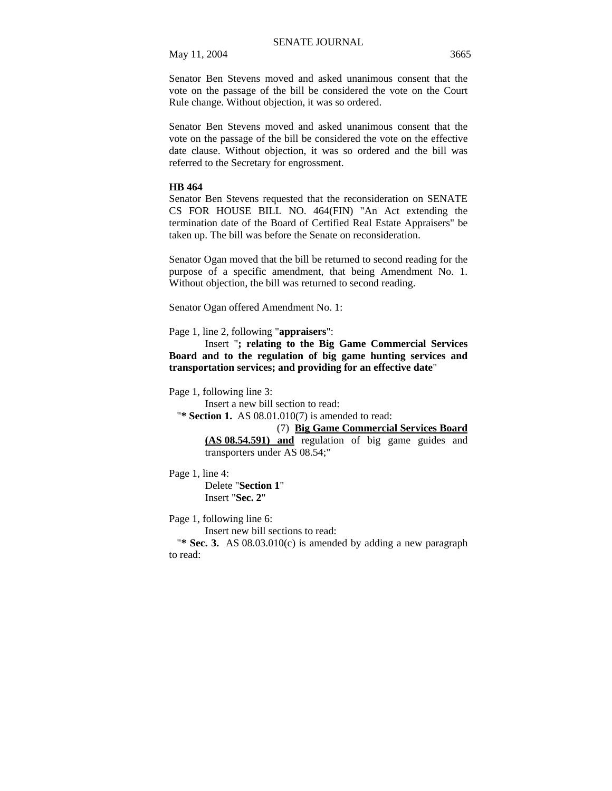Senator Ben Stevens moved and asked unanimous consent that the vote on the passage of the bill be considered the vote on the Court Rule change. Without objection, it was so ordered.

Senator Ben Stevens moved and asked unanimous consent that the vote on the passage of the bill be considered the vote on the effective date clause. Without objection, it was so ordered and the bill was referred to the Secretary for engrossment.

# **HB 464**

Senator Ben Stevens requested that the reconsideration on SENATE CS FOR HOUSE BILL NO. 464(FIN) "An Act extending the termination date of the Board of Certified Real Estate Appraisers" be taken up. The bill was before the Senate on reconsideration.

Senator Ogan moved that the bill be returned to second reading for the purpose of a specific amendment, that being Amendment No. 1. Without objection, the bill was returned to second reading.

Senator Ogan offered Amendment No. 1:

Page 1, line 2, following "**appraisers**":

Insert "**; relating to the Big Game Commercial Services Board and to the regulation of big game hunting services and transportation services; and providing for an effective date**"

Page 1, following line 3:

Insert a new bill section to read:

"**\* Section 1.** AS 08.01.010(7) is amended to read:

# (7) **Big Game Commercial Services Board**

**(AS 08.54.591) and** regulation of big game guides and transporters under AS 08.54;"

Page 1, line 4:

Delete "**Section 1**" Insert "**Sec. 2**"

Page 1, following line 6:

Insert new bill sections to read:

"**\* Sec. 3.** AS 08.03.010(c) is amended by adding a new paragraph to read: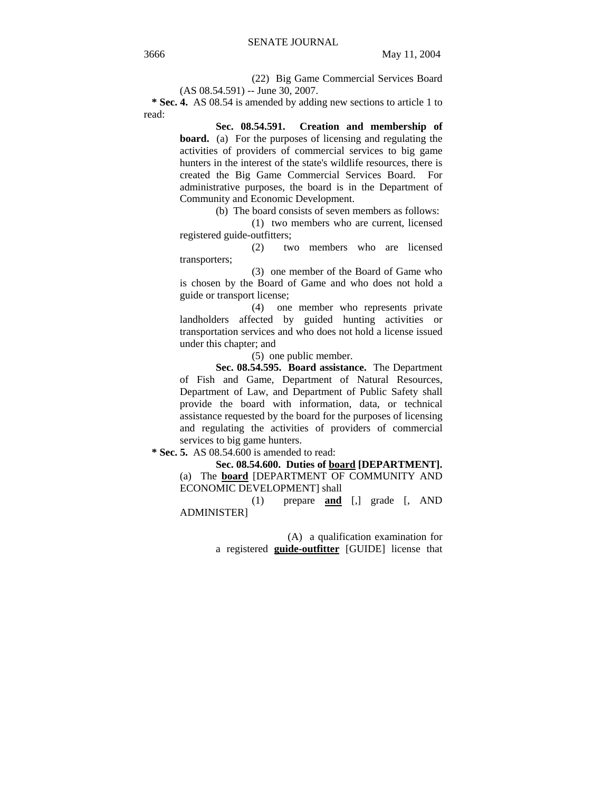(22) Big Game Commercial Services Board (AS 08.54.591) -- June 30, 2007.

 **\* Sec. 4.** AS 08.54 is amended by adding new sections to article 1 to read:

> **Sec. 08.54.591. Creation and membership of board.** (a) For the purposes of licensing and regulating the activities of providers of commercial services to big game hunters in the interest of the state's wildlife resources, there is created the Big Game Commercial Services Board. For administrative purposes, the board is in the Department of Community and Economic Development.

> > (b) The board consists of seven members as follows:

(1) two members who are current, licensed registered guide-outfitters;

(2) two members who are licensed transporters;

(3) one member of the Board of Game who is chosen by the Board of Game and who does not hold a guide or transport license;

(4) one member who represents private landholders affected by guided hunting activities or transportation services and who does not hold a license issued under this chapter; and

(5) one public member.

**Sec. 08.54.595. Board assistance.** The Department of Fish and Game, Department of Natural Resources, Department of Law, and Department of Public Safety shall provide the board with information, data, or technical assistance requested by the board for the purposes of licensing and regulating the activities of providers of commercial services to big game hunters.

 **\* Sec. 5.** AS 08.54.600 is amended to read:

**Sec. 08.54.600. Duties of board [DEPARTMENT].**  (a) The **board** [DEPARTMENT OF COMMUNITY AND ECONOMIC DEVELOPMENT] shall

(1) prepare **and** [,] grade [, AND ADMINISTER]

> (A) a qualification examination for a registered **guide-outfitter** [GUIDE] license that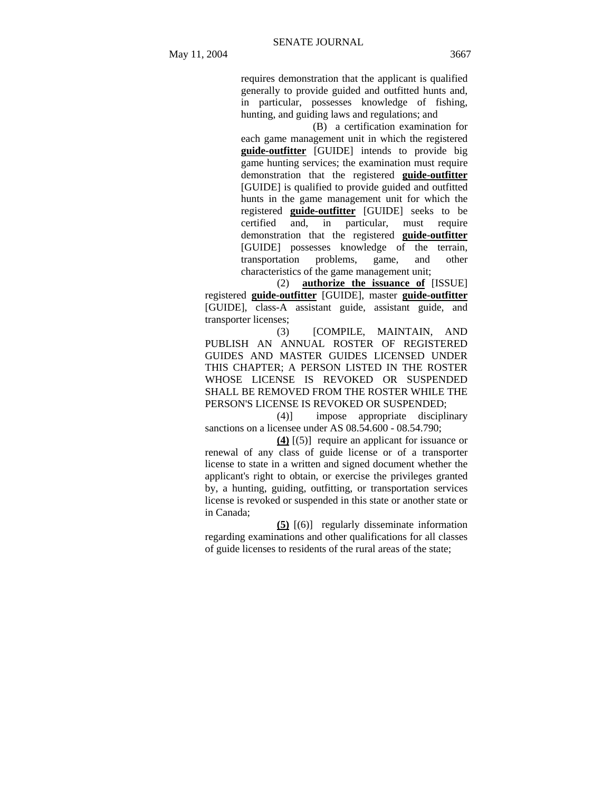requires demonstration that the applicant is qualified generally to provide guided and outfitted hunts and, in particular, possesses knowledge of fishing, hunting, and guiding laws and regulations; and

(B) a certification examination for each game management unit in which the registered **guide-outfitter** [GUIDE] intends to provide big game hunting services; the examination must require demonstration that the registered **guide-outfitter** [GUIDE] is qualified to provide guided and outfitted hunts in the game management unit for which the registered **guide-outfitter** [GUIDE] seeks to be certified and, in particular, must require demonstration that the registered **guide-outfitter** [GUIDE] possesses knowledge of the terrain, transportation problems, game, and other characteristics of the game management unit;

(2) **authorize the issuance of** [ISSUE] registered **guide-outfitter** [GUIDE], master **guide-outfitter** [GUIDE], class-A assistant guide, assistant guide, and transporter licenses;

(3) [COMPILE, MAINTAIN, AND PUBLISH AN ANNUAL ROSTER OF REGISTERED GUIDES AND MASTER GUIDES LICENSED UNDER THIS CHAPTER; A PERSON LISTED IN THE ROSTER WHOSE LICENSE IS REVOKED OR SUSPENDED SHALL BE REMOVED FROM THE ROSTER WHILE THE PERSON'S LICENSE IS REVOKED OR SUSPENDED;

(4)] impose appropriate disciplinary sanctions on a licensee under AS 08.54.600 - 08.54.790;

**(4)** [(5)] require an applicant for issuance or renewal of any class of guide license or of a transporter license to state in a written and signed document whether the applicant's right to obtain, or exercise the privileges granted by, a hunting, guiding, outfitting, or transportation services license is revoked or suspended in this state or another state or in Canada;

**(5)** [(6)] regularly disseminate information regarding examinations and other qualifications for all classes of guide licenses to residents of the rural areas of the state;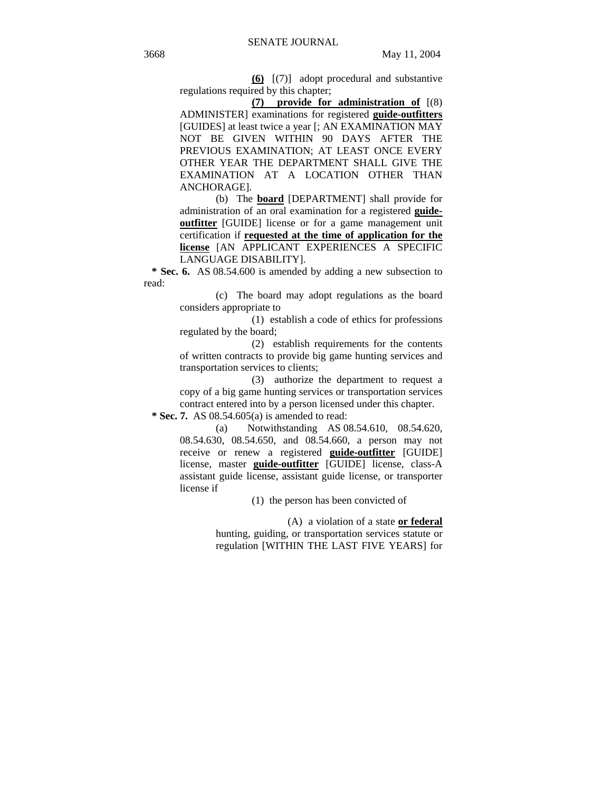**(6)** [(7)] adopt procedural and substantive regulations required by this chapter;

**(7) provide for administration of** [(8) ADMINISTER] examinations for registered **guide-outfitters** [GUIDES] at least twice a year [; AN EXAMINATION MAY NOT BE GIVEN WITHIN 90 DAYS AFTER THE PREVIOUS EXAMINATION; AT LEAST ONCE EVERY OTHER YEAR THE DEPARTMENT SHALL GIVE THE EXAMINATION AT A LOCATION OTHER THAN ANCHORAGE].

(b) The **board** [DEPARTMENT] shall provide for administration of an oral examination for a registered **guideoutfitter** [GUIDE] license or for a game management unit certification if **requested at the time of application for the license** [AN APPLICANT EXPERIENCES A SPECIFIC LANGUAGE DISABILITY].

 **\* Sec. 6.** AS 08.54.600 is amended by adding a new subsection to read:

> (c) The board may adopt regulations as the board considers appropriate to

> (1) establish a code of ethics for professions regulated by the board;

> (2) establish requirements for the contents of written contracts to provide big game hunting services and transportation services to clients;

(3) authorize the department to request a copy of a big game hunting services or transportation services contract entered into by a person licensed under this chapter.  **\* Sec. 7.** AS 08.54.605(a) is amended to read:

(a) Notwithstanding AS 08.54.610, 08.54.620,

08.54.630, 08.54.650, and 08.54.660, a person may not receive or renew a registered **guide-outfitter** [GUIDE] license, master **guide-outfitter** [GUIDE] license, class-A assistant guide license, assistant guide license, or transporter license if

(1) the person has been convicted of

(A) a violation of a state **or federal** hunting, guiding, or transportation services statute or regulation [WITHIN THE LAST FIVE YEARS] for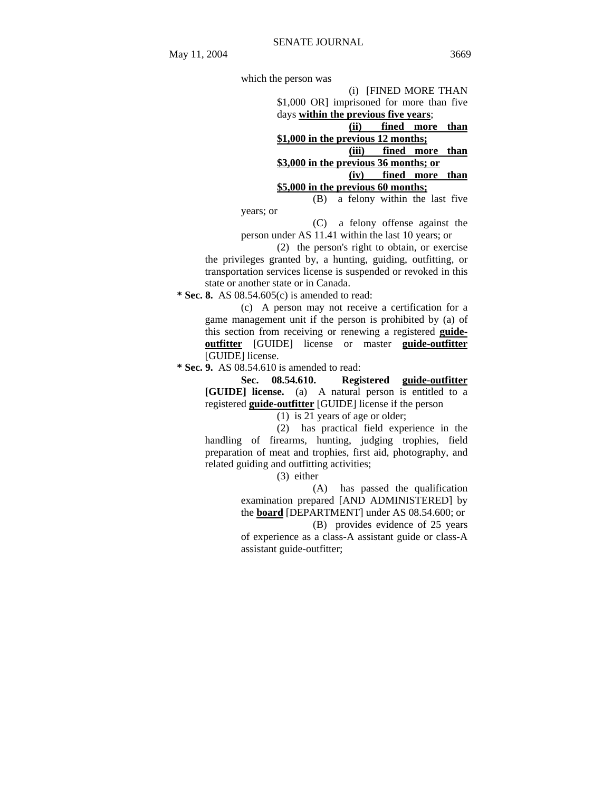which the person was (i) [FINED MORE THAN \$1,000 OR] imprisoned for more than five days **within the previous five years**; **(ii) fined more than \$1,000 in the previous 12 months; (iii) fined more than \$3,000 in the previous 36 months; or (iv) fined more than \$5,000 in the previous 60 months;** (B) a felony within the last five years; or

(C) a felony offense against the person under AS 11.41 within the last 10 years; or

(2) the person's right to obtain, or exercise the privileges granted by, a hunting, guiding, outfitting, or transportation services license is suspended or revoked in this state or another state or in Canada.

 **\* Sec. 8.** AS 08.54.605(c) is amended to read:

(c) A person may not receive a certification for a game management unit if the person is prohibited by (a) of this section from receiving or renewing a registered **guideoutfitter** [GUIDE] license or master **guide-outfitter** [GUIDE] license.

 **\* Sec. 9.** AS 08.54.610 is amended to read:

**Sec. 08.54.610. Registered guide-outfitter [GUIDE] license.** (a) A natural person is entitled to a registered **guide-outfitter** [GUIDE] license if the person

(1) is 21 years of age or older;

(2) has practical field experience in the handling of firearms, hunting, judging trophies, field preparation of meat and trophies, first aid, photography, and related guiding and outfitting activities;

(3) either

(A) has passed the qualification examination prepared [AND ADMINISTERED] by the **board** [DEPARTMENT] under AS 08.54.600; or

(B) provides evidence of 25 years

of experience as a class-A assistant guide or class-A assistant guide-outfitter;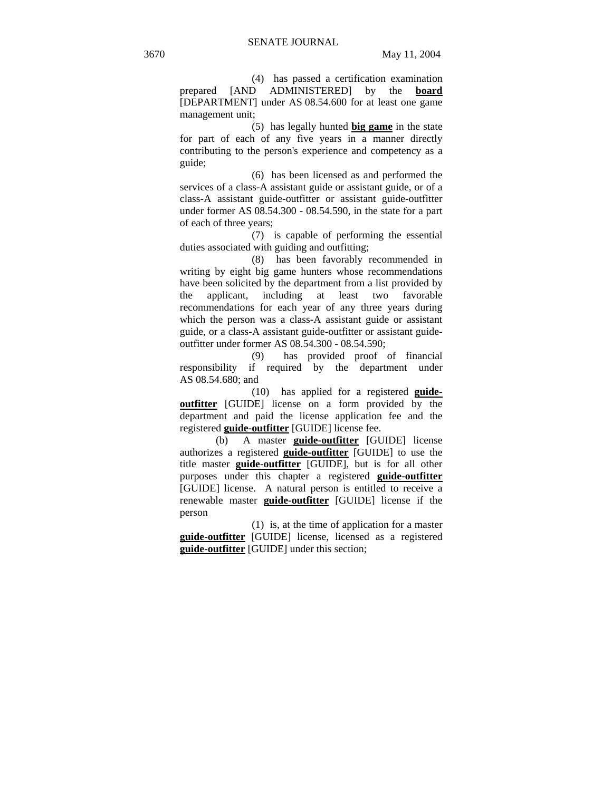(4) has passed a certification examination prepared [AND ADMINISTERED] by the **board** [DEPARTMENT] under AS 08.54.600 for at least one game management unit;

(5) has legally hunted **big game** in the state for part of each of any five years in a manner directly contributing to the person's experience and competency as a guide;

(6) has been licensed as and performed the services of a class-A assistant guide or assistant guide, or of a class-A assistant guide-outfitter or assistant guide-outfitter under former AS 08.54.300 - 08.54.590, in the state for a part of each of three years;

(7) is capable of performing the essential duties associated with guiding and outfitting;

(8) has been favorably recommended in writing by eight big game hunters whose recommendations have been solicited by the department from a list provided by the applicant, including at least two favorable recommendations for each year of any three years during which the person was a class-A assistant guide or assistant guide, or a class-A assistant guide-outfitter or assistant guideoutfitter under former AS 08.54.300 - 08.54.590;

(9) has provided proof of financial responsibility if required by the department under AS 08.54.680; and

(10) has applied for a registered **guideoutfitter** [GUIDE] license on a form provided by the department and paid the license application fee and the registered **guide-outfitter** [GUIDE] license fee.

(b) A master **guide-outfitter** [GUIDE] license authorizes a registered **guide-outfitter** [GUIDE] to use the title master **guide-outfitter** [GUIDE], but is for all other purposes under this chapter a registered **guide-outfitter** [GUIDE] license. A natural person is entitled to receive a renewable master **guide-outfitter** [GUIDE] license if the person

(1) is, at the time of application for a master **guide-outfitter** [GUIDE] license, licensed as a registered **guide-outfitter** [GUIDE] under this section;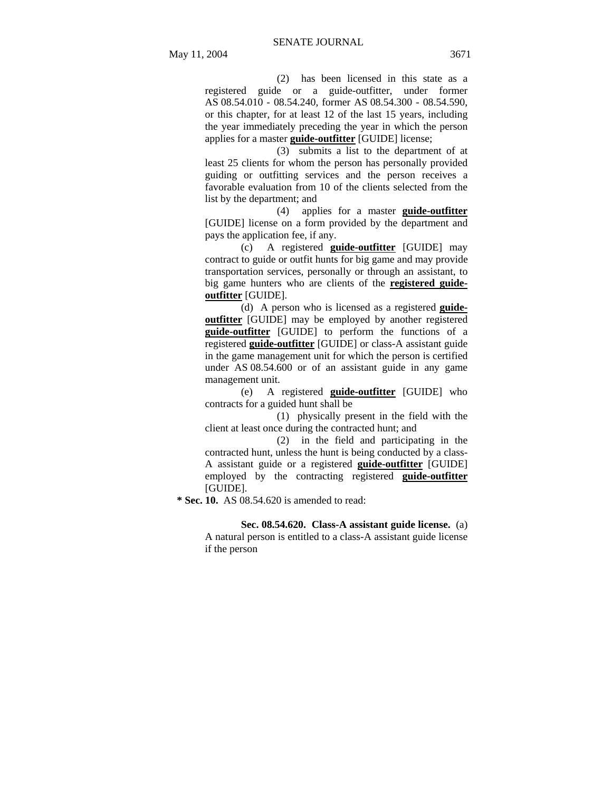(2) has been licensed in this state as a registered guide or a guide-outfitter, under former AS 08.54.010 - 08.54.240, former AS 08.54.300 - 08.54.590, or this chapter, for at least 12 of the last 15 years, including the year immediately preceding the year in which the person applies for a master **guide-outfitter** [GUIDE] license;

(3) submits a list to the department of at least 25 clients for whom the person has personally provided guiding or outfitting services and the person receives a favorable evaluation from 10 of the clients selected from the list by the department; and

(4) applies for a master **guide-outfitter** [GUIDE] license on a form provided by the department and pays the application fee, if any.

(c) A registered **guide-outfitter** [GUIDE] may contract to guide or outfit hunts for big game and may provide transportation services, personally or through an assistant, to big game hunters who are clients of the **registered guideoutfitter** [GUIDE].

(d) A person who is licensed as a registered **guideoutfitter** [GUIDE] may be employed by another registered **guide-outfitter** [GUIDE] to perform the functions of a registered **guide-outfitter** [GUIDE] or class-A assistant guide in the game management unit for which the person is certified under AS 08.54.600 or of an assistant guide in any game management unit.

(e) A registered **guide-outfitter** [GUIDE] who contracts for a guided hunt shall be

(1) physically present in the field with the client at least once during the contracted hunt; and

(2) in the field and participating in the contracted hunt, unless the hunt is being conducted by a class-A assistant guide or a registered **guide-outfitter** [GUIDE] employed by the contracting registered **guide-outfitter** [GUIDE].

 **\* Sec. 10.** AS 08.54.620 is amended to read:

**Sec. 08.54.620. Class-A assistant guide license.** (a) A natural person is entitled to a class-A assistant guide license if the person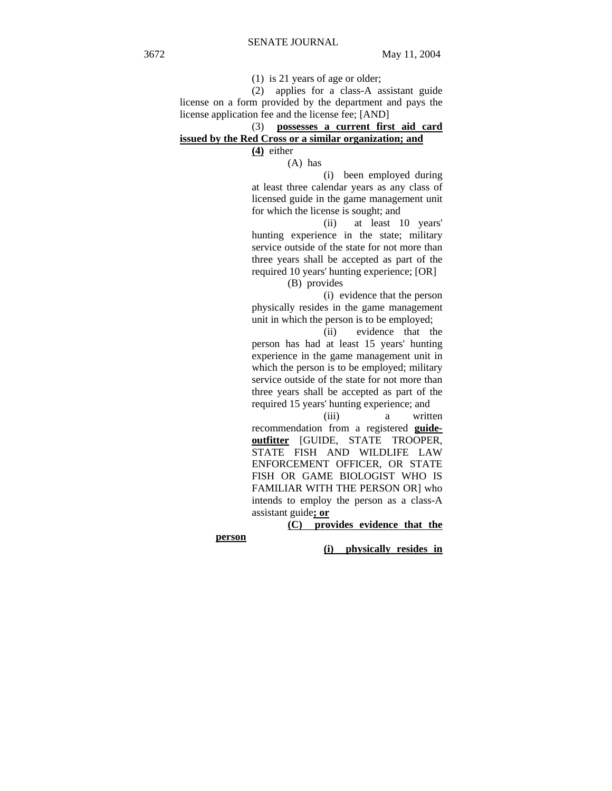(1) is 21 years of age or older;

(2) applies for a class-A assistant guide license on a form provided by the department and pays the license application fee and the license fee; [AND]

# (3) **possesses a current first aid card issued by the Red Cross or a similar organization; and**

**(4)** either

(A) has

(i) been employed during at least three calendar years as any class of licensed guide in the game management unit for which the license is sought; and

(ii) at least 10 years' hunting experience in the state; military service outside of the state for not more than three years shall be accepted as part of the required 10 years' hunting experience; [OR]

(B) provides

(i) evidence that the person physically resides in the game management unit in which the person is to be employed;

(ii) evidence that the person has had at least 15 years' hunting experience in the game management unit in which the person is to be employed; military service outside of the state for not more than three years shall be accepted as part of the required 15 years' hunting experience; and

(iii) a written recommendation from a registered **guideoutfitter** [GUIDE, STATE TROOPER, STATE FISH AND WILDLIFE LAW ENFORCEMENT OFFICER, OR STATE FISH OR GAME BIOLOGIST WHO IS FAMILIAR WITH THE PERSON OR] who intends to employ the person as a class-A assistant guide**; or**

**(C) provides evidence that the** 

**person** 

**(i) physically resides in**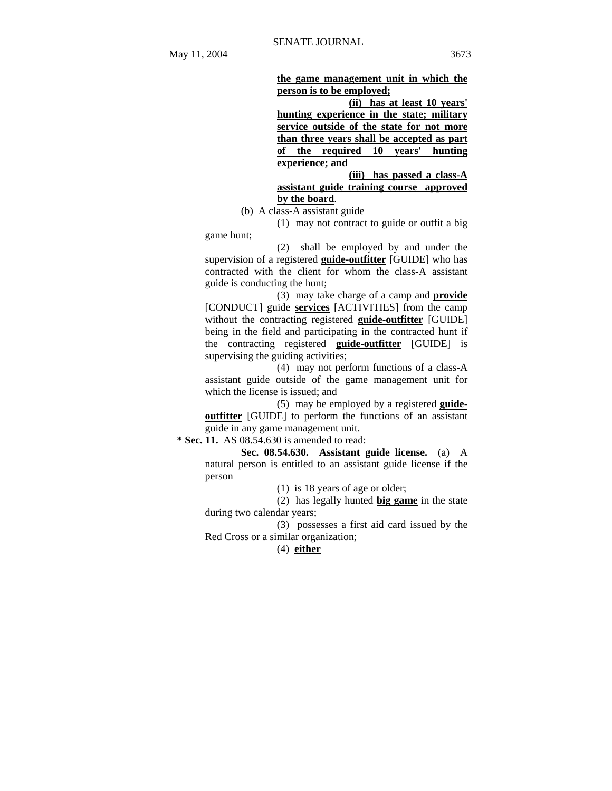**the game management unit in which the person is to be employed;** 

**(ii) has at least 10 years' hunting experience in the state; military service outside of the state for not more than three years shall be accepted as part of the required 10 years' hunting experience; and** 

**(iii) has passed a class-A** 

**assistant guide training course approved by the board**.

(b) A class-A assistant guide

(1) may not contract to guide or outfit a big game hunt;

(2) shall be employed by and under the supervision of a registered **guide-outfitter** [GUIDE] who has contracted with the client for whom the class-A assistant guide is conducting the hunt;

(3) may take charge of a camp and **provide** [CONDUCT] guide **services** [ACTIVITIES] from the camp without the contracting registered **guide-outfitter** [GUIDE] being in the field and participating in the contracted hunt if the contracting registered **guide-outfitter** [GUIDE] is supervising the guiding activities;

(4) may not perform functions of a class-A assistant guide outside of the game management unit for which the license is issued; and

(5) may be employed by a registered **guideoutfitter** [GUIDE] to perform the functions of an assistant guide in any game management unit.

 **\* Sec. 11.** AS 08.54.630 is amended to read:

**Sec. 08.54.630. Assistant guide license.** (a) A natural person is entitled to an assistant guide license if the person

(1) is 18 years of age or older;

(2) has legally hunted **big game** in the state during two calendar years;

(3) possesses a first aid card issued by the Red Cross or a similar organization;

# (4) **either**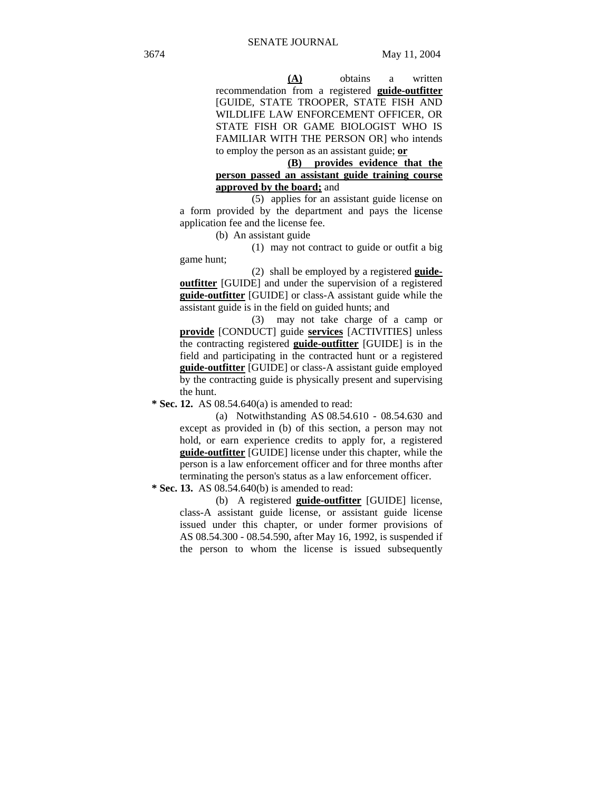**(A)** obtains a written recommendation from a registered **guide-outfitter** [GUIDE, STATE TROOPER, STATE FISH AND WILDLIFE LAW ENFORCEMENT OFFICER, OR STATE FISH OR GAME BIOLOGIST WHO IS FAMILIAR WITH THE PERSON OR1 who intends to employ the person as an assistant guide; **or**

**(B) provides evidence that the person passed an assistant guide training course approved by the board;** and

(5) applies for an assistant guide license on a form provided by the department and pays the license application fee and the license fee.

(b) An assistant guide

(1) may not contract to guide or outfit a big game hunt;

(2) shall be employed by a registered **guideoutfitter** [GUIDE] and under the supervision of a registered **guide-outfitter** [GUIDE] or class-A assistant guide while the assistant guide is in the field on guided hunts; and

(3) may not take charge of a camp or **provide** [CONDUCT] guide **services** [ACTIVITIES] unless the contracting registered **guide-outfitter** [GUIDE] is in the field and participating in the contracted hunt or a registered **guide-outfitter** [GUIDE] or class-A assistant guide employed by the contracting guide is physically present and supervising the hunt.

 **\* Sec. 12.** AS 08.54.640(a) is amended to read:

(a) Notwithstanding AS 08.54.610 - 08.54.630 and except as provided in (b) of this section, a person may not hold, or earn experience credits to apply for, a registered **guide-outfitter** [GUIDE] license under this chapter, while the person is a law enforcement officer and for three months after terminating the person's status as a law enforcement officer.

 **\* Sec. 13.** AS 08.54.640(b) is amended to read:

(b) A registered **guide-outfitter** [GUIDE] license, class-A assistant guide license, or assistant guide license issued under this chapter, or under former provisions of AS 08.54.300 - 08.54.590, after May 16, 1992, is suspended if the person to whom the license is issued subsequently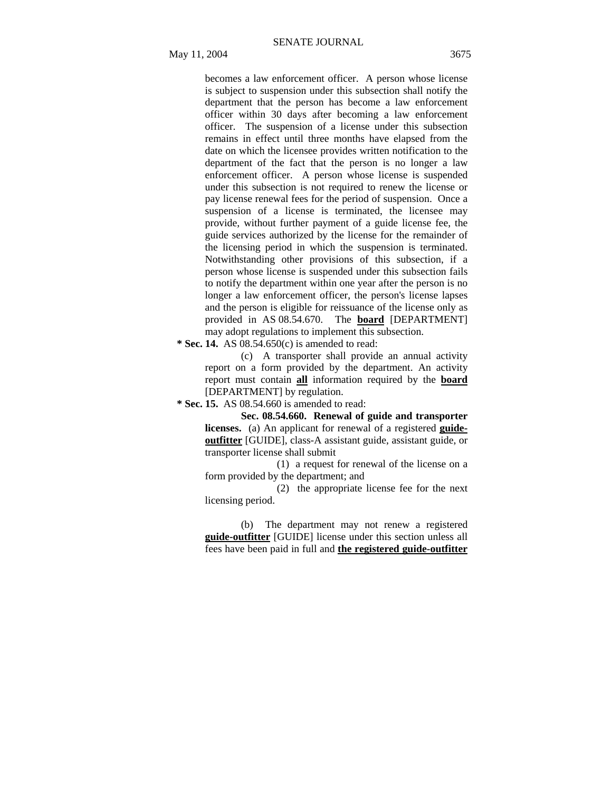becomes a law enforcement officer. A person whose license is subject to suspension under this subsection shall notify the department that the person has become a law enforcement officer within 30 days after becoming a law enforcement officer. The suspension of a license under this subsection remains in effect until three months have elapsed from the date on which the licensee provides written notification to the department of the fact that the person is no longer a law enforcement officer. A person whose license is suspended under this subsection is not required to renew the license or pay license renewal fees for the period of suspension. Once a suspension of a license is terminated, the licensee may provide, without further payment of a guide license fee, the guide services authorized by the license for the remainder of the licensing period in which the suspension is terminated. Notwithstanding other provisions of this subsection, if a person whose license is suspended under this subsection fails to notify the department within one year after the person is no longer a law enforcement officer, the person's license lapses and the person is eligible for reissuance of the license only as provided in AS 08.54.670. The **board** [DEPARTMENT] may adopt regulations to implement this subsection.

 **\* Sec. 14.** AS 08.54.650(c) is amended to read:

(c) A transporter shall provide an annual activity report on a form provided by the department. An activity report must contain **all** information required by the **board** [DEPARTMENT] by regulation.

 **\* Sec. 15.** AS 08.54.660 is amended to read:

**Sec. 08.54.660. Renewal of guide and transporter licenses.** (a) An applicant for renewal of a registered **guideoutfitter** [GUIDE], class-A assistant guide, assistant guide, or transporter license shall submit

(1) a request for renewal of the license on a form provided by the department; and

(2) the appropriate license fee for the next licensing period.

(b) The department may not renew a registered **guide-outfitter** [GUIDE] license under this section unless all fees have been paid in full and **the registered guide-outfitter**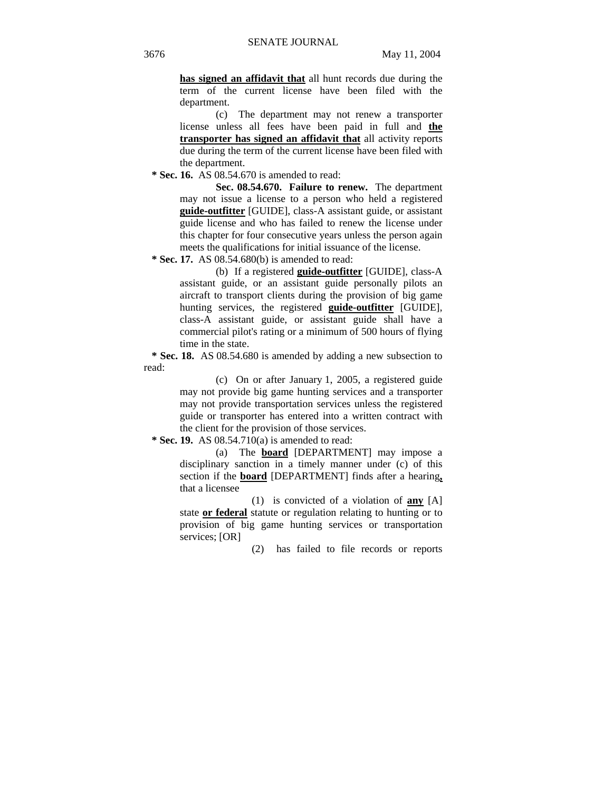**has signed an affidavit that** all hunt records due during the term of the current license have been filed with the department.

(c) The department may not renew a transporter license unless all fees have been paid in full and **the transporter has signed an affidavit that** all activity reports due during the term of the current license have been filed with the department.

 **\* Sec. 16.** AS 08.54.670 is amended to read:

**Sec. 08.54.670. Failure to renew.** The department may not issue a license to a person who held a registered **guide-outfitter** [GUIDE], class-A assistant guide, or assistant guide license and who has failed to renew the license under this chapter for four consecutive years unless the person again meets the qualifications for initial issuance of the license.

 **\* Sec. 17.** AS 08.54.680(b) is amended to read:

(b) If a registered **guide-outfitter** [GUIDE], class-A assistant guide, or an assistant guide personally pilots an aircraft to transport clients during the provision of big game hunting services, the registered **guide-outfitter** [GUIDE], class-A assistant guide, or assistant guide shall have a commercial pilot's rating or a minimum of 500 hours of flying time in the state.

 **\* Sec. 18.** AS 08.54.680 is amended by adding a new subsection to read:

> (c) On or after January 1, 2005, a registered guide may not provide big game hunting services and a transporter may not provide transportation services unless the registered guide or transporter has entered into a written contract with the client for the provision of those services.

 **\* Sec. 19.** AS 08.54.710(a) is amended to read:

(a) The **board** [DEPARTMENT] may impose a disciplinary sanction in a timely manner under (c) of this section if the **board** [DEPARTMENT] finds after a hearing**,** that a licensee

(1) is convicted of a violation of **any** [A] state **or federal** statute or regulation relating to hunting or to provision of big game hunting services or transportation services; [OR]

(2) has failed to file records or reports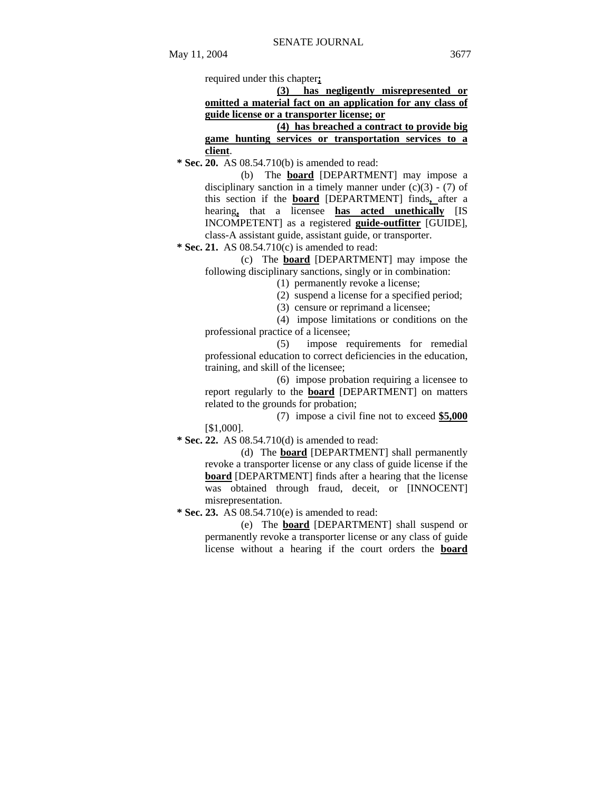required under this chapter**;** 

|                                                            |  |  | (3) has negligently misrepresented or |  |
|------------------------------------------------------------|--|--|---------------------------------------|--|
| omitted a material fact on an application for any class of |  |  |                                       |  |
| guide license or a transporter license; or                 |  |  |                                       |  |

**(4) has breached a contract to provide big game hunting services or transportation services to a client**.

 **\* Sec. 20.** AS 08.54.710(b) is amended to read:

(b) The **board** [DEPARTMENT] may impose a disciplinary sanction in a timely manner under  $(c)(3) - (7)$  of this section if the **board** [DEPARTMENT] finds**,** after a hearing**,** that a licensee **has acted unethically** [IS INCOMPETENT] as a registered **guide-outfitter** [GUIDE], class-A assistant guide, assistant guide, or transporter.

 **\* Sec. 21.** AS 08.54.710(c) is amended to read:

(c) The **board** [DEPARTMENT] may impose the following disciplinary sanctions, singly or in combination:

(1) permanently revoke a license;

(2) suspend a license for a specified period;

(3) censure or reprimand a licensee;

(4) impose limitations or conditions on the professional practice of a licensee;

(5) impose requirements for remedial professional education to correct deficiencies in the education, training, and skill of the licensee;

(6) impose probation requiring a licensee to report regularly to the **board** [DEPARTMENT] on matters related to the grounds for probation;

(7) impose a civil fine not to exceed **\$5,000** [\$1,000].

 **\* Sec. 22.** AS 08.54.710(d) is amended to read:

(d) The **board** [DEPARTMENT] shall permanently revoke a transporter license or any class of guide license if the **board** [DEPARTMENT] finds after a hearing that the license was obtained through fraud, deceit, or [INNOCENT] misrepresentation.

 **\* Sec. 23.** AS 08.54.710(e) is amended to read:

(e) The **board** [DEPARTMENT] shall suspend or permanently revoke a transporter license or any class of guide license without a hearing if the court orders the **board**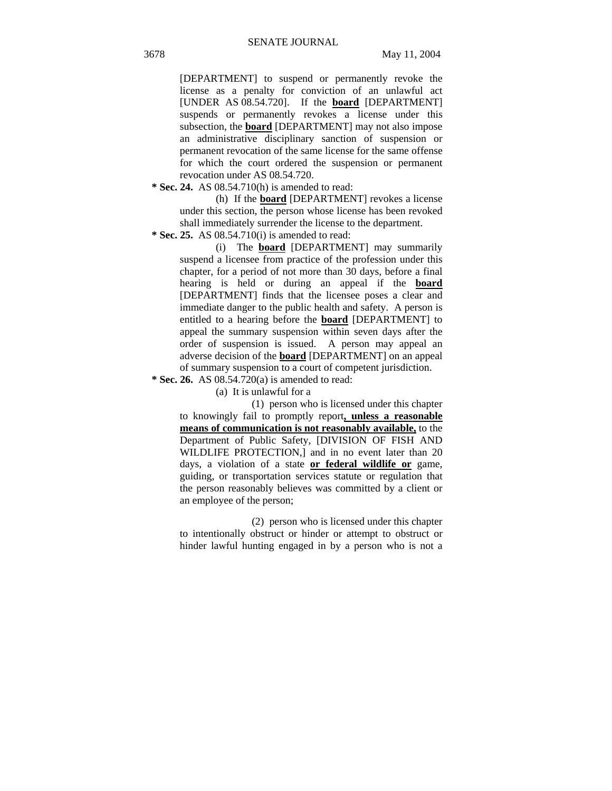[DEPARTMENT] to suspend or permanently revoke the license as a penalty for conviction of an unlawful act [UNDER AS 08.54.720]. If the **board** [DEPARTMENT] suspends or permanently revokes a license under this subsection, the **board** [DEPARTMENT] may not also impose an administrative disciplinary sanction of suspension or permanent revocation of the same license for the same offense for which the court ordered the suspension or permanent revocation under AS 08.54.720.

 **\* Sec. 24.** AS 08.54.710(h) is amended to read:

(h) If the **board** [DEPARTMENT] revokes a license under this section, the person whose license has been revoked shall immediately surrender the license to the department.

 **\* Sec. 25.** AS 08.54.710(i) is amended to read:

(i) The **board** [DEPARTMENT] may summarily suspend a licensee from practice of the profession under this chapter, for a period of not more than 30 days, before a final hearing is held or during an appeal if the **board** [DEPARTMENT] finds that the licensee poses a clear and immediate danger to the public health and safety. A person is entitled to a hearing before the **board** [DEPARTMENT] to appeal the summary suspension within seven days after the order of suspension is issued. A person may appeal an adverse decision of the **board** [DEPARTMENT] on an appeal of summary suspension to a court of competent jurisdiction.

 **\* Sec. 26.** AS 08.54.720(a) is amended to read:

(a) It is unlawful for a

(1) person who is licensed under this chapter to knowingly fail to promptly report**, unless a reasonable means of communication is not reasonably available,** to the Department of Public Safety, [DIVISION OF FISH AND WILDLIFE PROTECTION,] and in no event later than 20 days, a violation of a state **or federal wildlife or** game, guiding, or transportation services statute or regulation that the person reasonably believes was committed by a client or an employee of the person;

(2) person who is licensed under this chapter to intentionally obstruct or hinder or attempt to obstruct or hinder lawful hunting engaged in by a person who is not a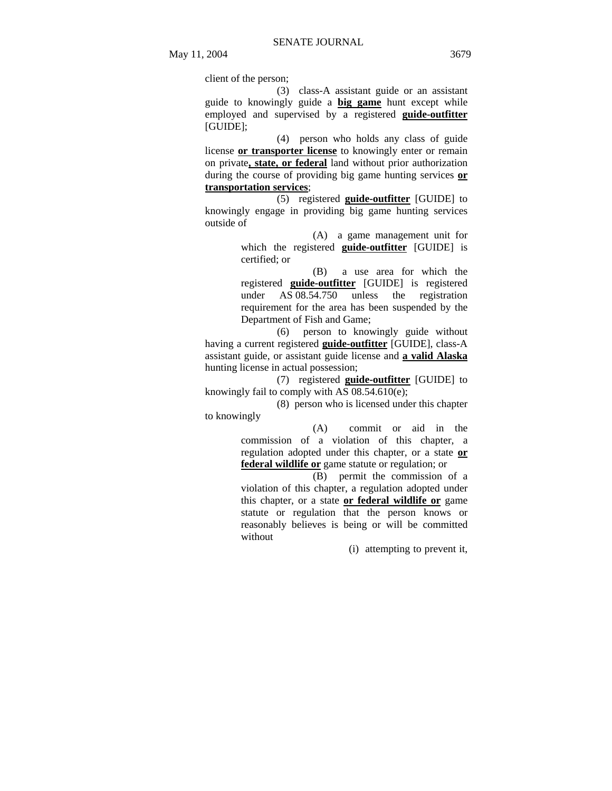client of the person;

(3) class-A assistant guide or an assistant guide to knowingly guide a **big game** hunt except while employed and supervised by a registered **guide-outfitter** [GUIDE];

(4) person who holds any class of guide license **or transporter license** to knowingly enter or remain on private**, state, or federal** land without prior authorization during the course of providing big game hunting services **or transportation services**;

(5) registered **guide-outfitter** [GUIDE] to knowingly engage in providing big game hunting services outside of

> (A) a game management unit for which the registered **guide-outfitter** [GUIDE] is certified; or

> (B) a use area for which the registered **guide-outfitter** [GUIDE] is registered under AS 08.54.750 unless the registration requirement for the area has been suspended by the Department of Fish and Game;

(6) person to knowingly guide without having a current registered **guide-outfitter** [GUIDE], class-A assistant guide, or assistant guide license and **a valid Alaska** hunting license in actual possession;

(7) registered **guide-outfitter** [GUIDE] to knowingly fail to comply with AS 08.54.610(e);

(8) person who is licensed under this chapter to knowingly

> (A) commit or aid in the commission of a violation of this chapter, a regulation adopted under this chapter, or a state **or federal wildlife or** game statute or regulation; or

> $\overline{(B)}$  permit the commission of a violation of this chapter, a regulation adopted under this chapter, or a state **or federal wildlife or** game statute or regulation that the person knows or reasonably believes is being or will be committed without

> > (i) attempting to prevent it,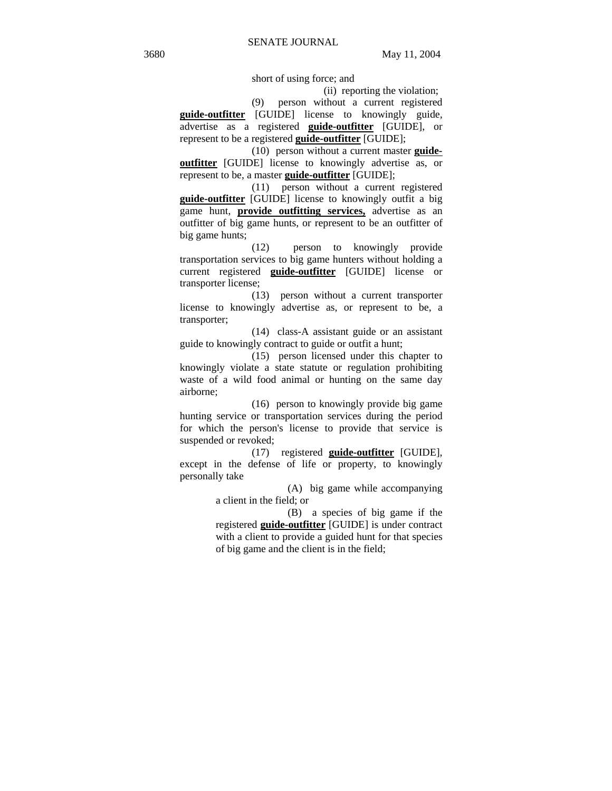short of using force; and

(ii) reporting the violation;

(9) person without a current registered **guide-outfitter** [GUIDE] license to knowingly guide, advertise as a registered **guide-outfitter** [GUIDE], or represent to be a registered **guide-outfitter** [GUIDE];

(10) person without a current master **guideoutfitter** [GUIDE] license to knowingly advertise as, or represent to be, a master **guide-outfitter** [GUIDE];

(11) person without a current registered **guide-outfitter** [GUIDE] license to knowingly outfit a big game hunt, **provide outfitting services,** advertise as an outfitter of big game hunts, or represent to be an outfitter of big game hunts;

(12) person to knowingly provide transportation services to big game hunters without holding a current registered **guide-outfitter** [GUIDE] license or transporter license;

(13) person without a current transporter license to knowingly advertise as, or represent to be, a transporter;

(14) class-A assistant guide or an assistant guide to knowingly contract to guide or outfit a hunt;

(15) person licensed under this chapter to knowingly violate a state statute or regulation prohibiting waste of a wild food animal or hunting on the same day airborne;

(16) person to knowingly provide big game hunting service or transportation services during the period for which the person's license to provide that service is suspended or revoked;

(17) registered **guide-outfitter** [GUIDE], except in the defense of life or property, to knowingly personally take

> (A) big game while accompanying a client in the field; or

> (B) a species of big game if the registered **guide-outfitter** [GUIDE] is under contract with a client to provide a guided hunt for that species of big game and the client is in the field;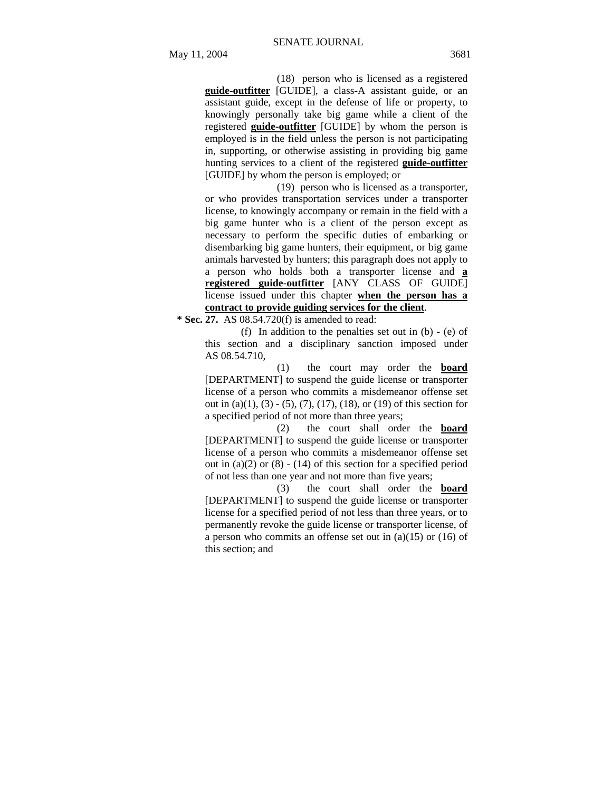(18) person who is licensed as a registered **guide-outfitter** [GUIDE], a class-A assistant guide, or an assistant guide, except in the defense of life or property, to knowingly personally take big game while a client of the registered **guide-outfitter** [GUIDE] by whom the person is employed is in the field unless the person is not participating in, supporting, or otherwise assisting in providing big game hunting services to a client of the registered **guide-outfitter** [GUIDE] by whom the person is employed; or

(19) person who is licensed as a transporter, or who provides transportation services under a transporter license, to knowingly accompany or remain in the field with a big game hunter who is a client of the person except as necessary to perform the specific duties of embarking or disembarking big game hunters, their equipment, or big game animals harvested by hunters; this paragraph does not apply to a person who holds both a transporter license and **a registered guide-outfitter** [ANY CLASS OF GUIDE] license issued under this chapter **when the person has a contract to provide guiding services for the client**.

 **\* Sec. 27.** AS 08.54.720(f) is amended to read:

(f) In addition to the penalties set out in (b) - (e) of this section and a disciplinary sanction imposed under AS 08.54.710,

(1) the court may order the **board** [DEPARTMENT] to suspend the guide license or transporter license of a person who commits a misdemeanor offense set out in (a)(1), (3) - (5), (7), (17), (18), or (19) of this section for a specified period of not more than three years;

(2) the court shall order the **board** [DEPARTMENT] to suspend the guide license or transporter license of a person who commits a misdemeanor offense set out in (a)(2) or  $(8) - (14)$  of this section for a specified period of not less than one year and not more than five years;

(3) the court shall order the **board** [DEPARTMENT] to suspend the guide license or transporter license for a specified period of not less than three years, or to permanently revoke the guide license or transporter license, of a person who commits an offense set out in (a)(15) or (16) of this section; and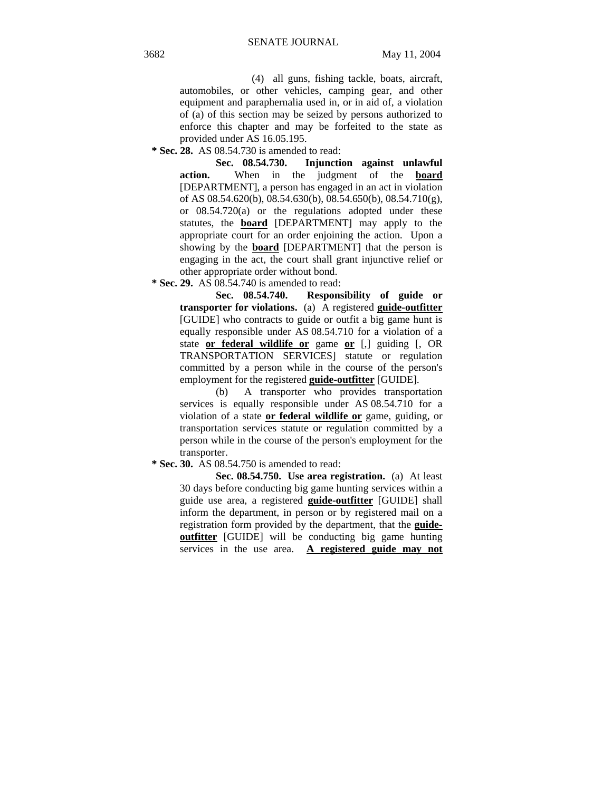(4) all guns, fishing tackle, boats, aircraft, automobiles, or other vehicles, camping gear, and other equipment and paraphernalia used in, or in aid of, a violation of (a) of this section may be seized by persons authorized to enforce this chapter and may be forfeited to the state as provided under AS 16.05.195.

 **\* Sec. 28.** AS 08.54.730 is amended to read:

**Sec. 08.54.730. Injunction against unlawful action.** When in the judgment of the **board** [DEPARTMENT], a person has engaged in an act in violation of AS 08.54.620(b), 08.54.630(b), 08.54.650(b), 08.54.710(g), or 08.54.720(a) or the regulations adopted under these statutes, the **board** [DEPARTMENT] may apply to the appropriate court for an order enjoining the action. Upon a showing by the **board** [DEPARTMENT] that the person is engaging in the act, the court shall grant injunctive relief or other appropriate order without bond.

 **\* Sec. 29.** AS 08.54.740 is amended to read:

**Sec. 08.54.740. Responsibility of guide or transporter for violations.** (a) A registered **guide-outfitter** [GUIDE] who contracts to guide or outfit a big game hunt is equally responsible under AS 08.54.710 for a violation of a state **or federal wildlife or** game **or** [,] guiding [, OR TRANSPORTATION SERVICES] statute or regulation committed by a person while in the course of the person's employment for the registered **guide-outfitter** [GUIDE].

(b) A transporter who provides transportation services is equally responsible under AS 08.54.710 for a violation of a state **or federal wildlife or** game, guiding, or transportation services statute or regulation committed by a person while in the course of the person's employment for the transporter.

 **\* Sec. 30.** AS 08.54.750 is amended to read:

**Sec. 08.54.750. Use area registration.** (a) At least 30 days before conducting big game hunting services within a guide use area, a registered **guide-outfitter** [GUIDE] shall inform the department, in person or by registered mail on a registration form provided by the department, that the **guideoutfitter** [GUIDE] will be conducting big game hunting services in the use area. **A registered guide may not**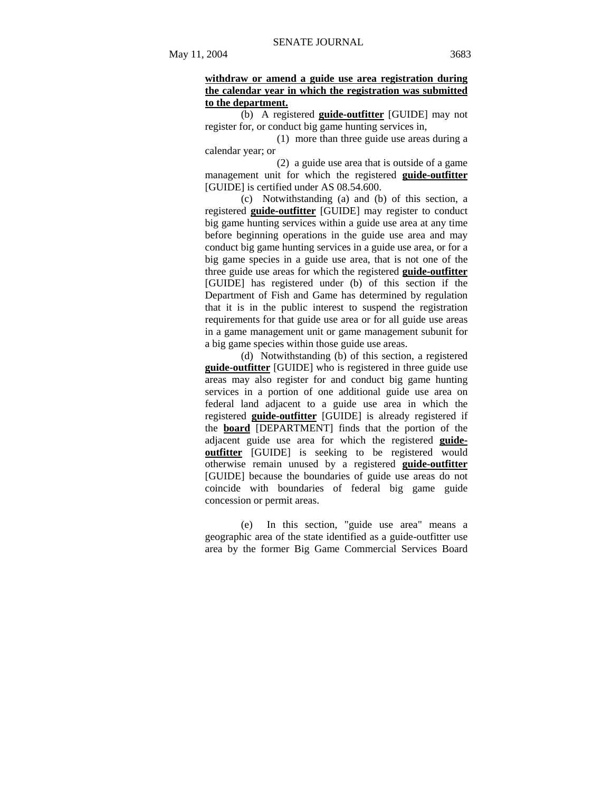# **withdraw or amend a guide use area registration during the calendar year in which the registration was submitted to the department.**

(b) A registered **guide-outfitter** [GUIDE] may not register for, or conduct big game hunting services in,

(1) more than three guide use areas during a calendar year; or

(2) a guide use area that is outside of a game management unit for which the registered **guide-outfitter** [GUIDE] is certified under AS 08.54.600.

(c) Notwithstanding (a) and (b) of this section, a registered **guide-outfitter** [GUIDE] may register to conduct big game hunting services within a guide use area at any time before beginning operations in the guide use area and may conduct big game hunting services in a guide use area, or for a big game species in a guide use area, that is not one of the three guide use areas for which the registered **guide-outfitter** [GUIDE] has registered under (b) of this section if the Department of Fish and Game has determined by regulation that it is in the public interest to suspend the registration requirements for that guide use area or for all guide use areas in a game management unit or game management subunit for a big game species within those guide use areas.

(d) Notwithstanding (b) of this section, a registered **guide-outfitter** [GUIDE] who is registered in three guide use areas may also register for and conduct big game hunting services in a portion of one additional guide use area on federal land adjacent to a guide use area in which the registered **guide-outfitter** [GUIDE] is already registered if the **board** [DEPARTMENT] finds that the portion of the adjacent guide use area for which the registered **guideoutfitter** [GUIDE] is seeking to be registered would otherwise remain unused by a registered **guide-outfitter** [GUIDE] because the boundaries of guide use areas do not coincide with boundaries of federal big game guide concession or permit areas.

(e) In this section, "guide use area" means a geographic area of the state identified as a guide-outfitter use area by the former Big Game Commercial Services Board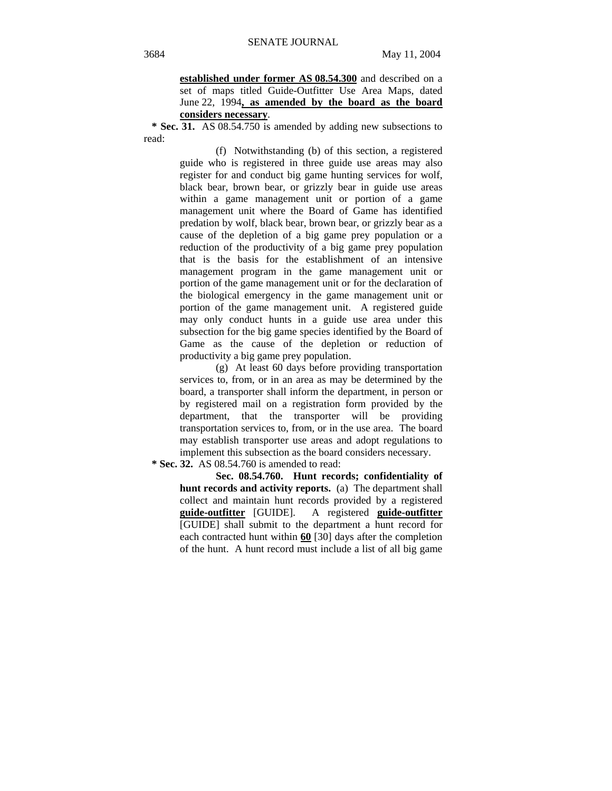**established under former AS 08.54.300** and described on a set of maps titled Guide-Outfitter Use Area Maps, dated June 22, 1994**, as amended by the board as the board considers necessary**.

 **\* Sec. 31.** AS 08.54.750 is amended by adding new subsections to read:

> (f) Notwithstanding (b) of this section, a registered guide who is registered in three guide use areas may also register for and conduct big game hunting services for wolf, black bear, brown bear, or grizzly bear in guide use areas within a game management unit or portion of a game management unit where the Board of Game has identified predation by wolf, black bear, brown bear, or grizzly bear as a cause of the depletion of a big game prey population or a reduction of the productivity of a big game prey population that is the basis for the establishment of an intensive management program in the game management unit or portion of the game management unit or for the declaration of the biological emergency in the game management unit or portion of the game management unit. A registered guide may only conduct hunts in a guide use area under this subsection for the big game species identified by the Board of Game as the cause of the depletion or reduction of productivity a big game prey population.

> (g) At least 60 days before providing transportation services to, from, or in an area as may be determined by the board, a transporter shall inform the department, in person or by registered mail on a registration form provided by the department, that the transporter will be providing transportation services to, from, or in the use area. The board may establish transporter use areas and adopt regulations to implement this subsection as the board considers necessary.

 **\* Sec. 32.** AS 08.54.760 is amended to read:

**Sec. 08.54.760. Hunt records; confidentiality of hunt records and activity reports.** (a) The department shall collect and maintain hunt records provided by a registered **guide-outfitter** [GUIDE]. A registered **guide-outfitter** [GUIDE] shall submit to the department a hunt record for each contracted hunt within **60** [30] days after the completion of the hunt. A hunt record must include a list of all big game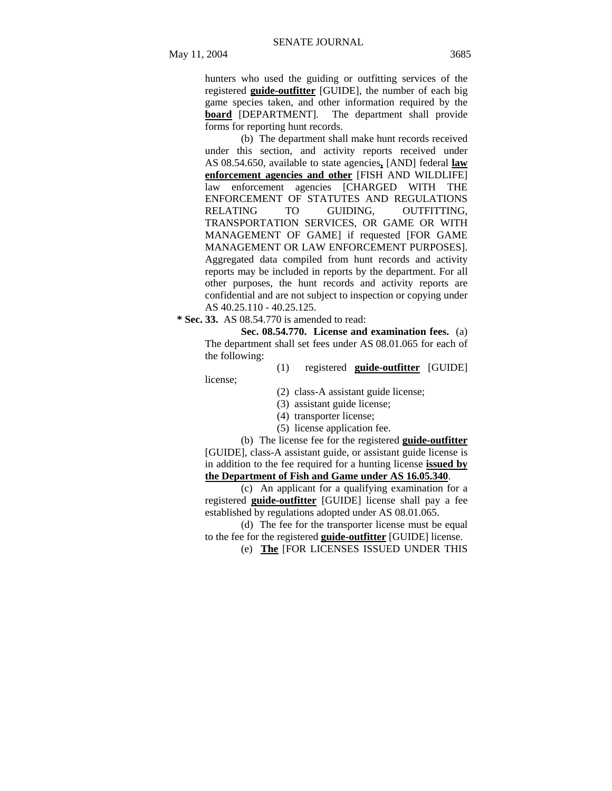hunters who used the guiding or outfitting services of the registered **guide-outfitter** [GUIDE], the number of each big game species taken, and other information required by the **board** [DEPARTMENT]. The department shall provide forms for reporting hunt records.

(b) The department shall make hunt records received under this section, and activity reports received under AS 08.54.650, available to state agencies**,** [AND] federal **law enforcement agencies and other** [FISH AND WILDLIFE] law enforcement agencies [CHARGED WITH THE ENFORCEMENT OF STATUTES AND REGULATIONS RELATING TO GUIDING, OUTFITTING, TRANSPORTATION SERVICES, OR GAME OR WITH MANAGEMENT OF GAME] if requested [FOR GAME MANAGEMENT OR LAW ENFORCEMENT PURPOSES]. Aggregated data compiled from hunt records and activity reports may be included in reports by the department. For all other purposes, the hunt records and activity reports are confidential and are not subject to inspection or copying under AS 40.25.110 - 40.25.125.

 **\* Sec. 33.** AS 08.54.770 is amended to read:

**Sec. 08.54.770. License and examination fees.** (a) The department shall set fees under AS 08.01.065 for each of the following:

(1) registered **guide-outfitter** [GUIDE] license;

(2) class-A assistant guide license;

(3) assistant guide license;

(4) transporter license;

(5) license application fee.

(b) The license fee for the registered **guide-outfitter** [GUIDE], class-A assistant guide, or assistant guide license is in addition to the fee required for a hunting license **issued by the Department of Fish and Game under AS 16.05.340**.

(c) An applicant for a qualifying examination for a registered **guide-outfitter** [GUIDE] license shall pay a fee established by regulations adopted under AS 08.01.065.

(d) The fee for the transporter license must be equal to the fee for the registered **guide-outfitter** [GUIDE] license.

(e) **The** [FOR LICENSES ISSUED UNDER THIS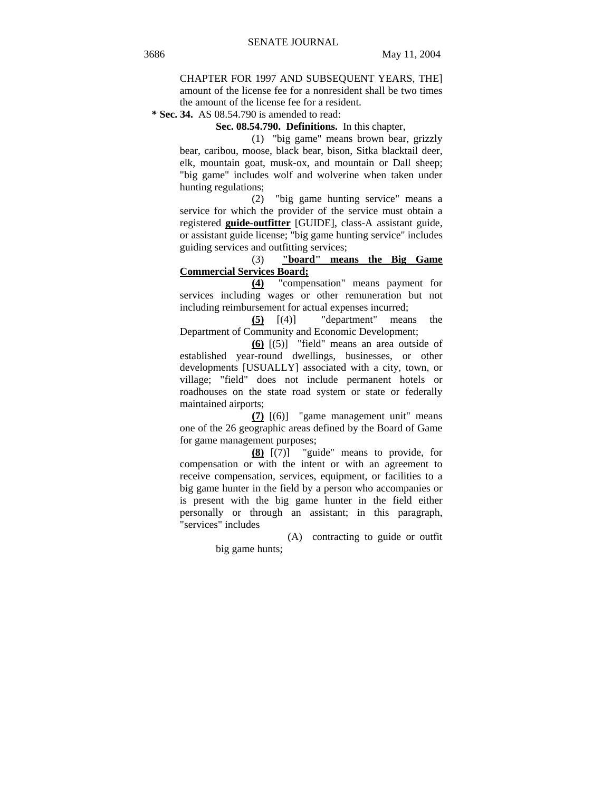CHAPTER FOR 1997 AND SUBSEQUENT YEARS, THE] amount of the license fee for a nonresident shall be two times the amount of the license fee for a resident.

 **\* Sec. 34.** AS 08.54.790 is amended to read:

**Sec. 08.54.790. Definitions.** In this chapter,

(1) "big game" means brown bear, grizzly bear, caribou, moose, black bear, bison, Sitka blacktail deer, elk, mountain goat, musk-ox, and mountain or Dall sheep; "big game" includes wolf and wolverine when taken under hunting regulations;

(2) "big game hunting service" means a service for which the provider of the service must obtain a registered **guide-outfitter** [GUIDE], class-A assistant guide, or assistant guide license; "big game hunting service" includes guiding services and outfitting services;

# (3) **"board" means the Big Game Commercial Services Board;**

**(4)** "compensation" means payment for services including wages or other remuneration but not including reimbursement for actual expenses incurred;

**(5)** [(4)] "department" means the Department of Community and Economic Development;

**(6)** [(5)] "field" means an area outside of established year-round dwellings, businesses, or other developments [USUALLY] associated with a city, town, or village; "field" does not include permanent hotels or roadhouses on the state road system or state or federally maintained airports;

**(7)** [(6)] "game management unit" means one of the 26 geographic areas defined by the Board of Game for game management purposes;

**(8)** [(7)] "guide" means to provide, for compensation or with the intent or with an agreement to receive compensation, services, equipment, or facilities to a big game hunter in the field by a person who accompanies or is present with the big game hunter in the field either personally or through an assistant; in this paragraph, "services" includes

> (A) contracting to guide or outfit big game hunts;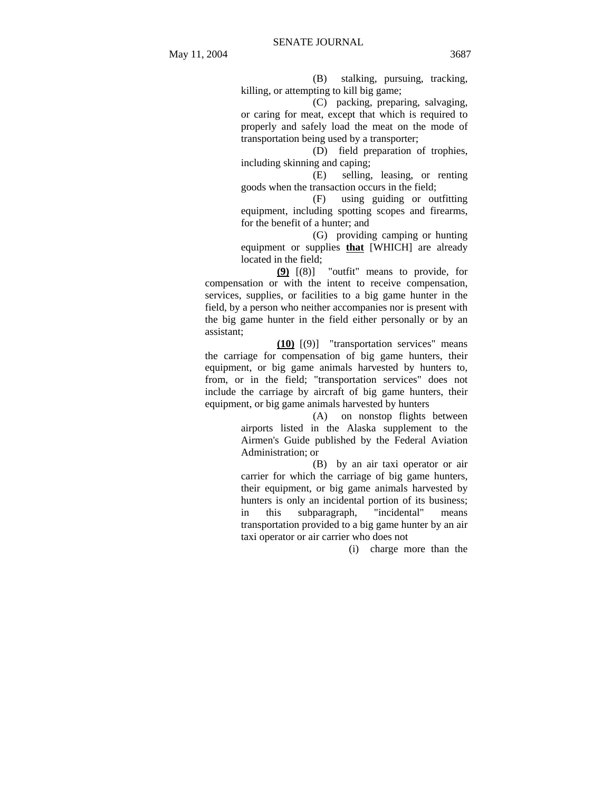(B) stalking, pursuing, tracking,

killing, or attempting to kill big game;

(C) packing, preparing, salvaging, or caring for meat, except that which is required to properly and safely load the meat on the mode of transportation being used by a transporter;

(D) field preparation of trophies, including skinning and caping;

(E) selling, leasing, or renting goods when the transaction occurs in the field;

(F) using guiding or outfitting equipment, including spotting scopes and firearms, for the benefit of a hunter; and

(G) providing camping or hunting equipment or supplies **that** [WHICH] are already located in the field;

**(9)** [(8)] "outfit" means to provide, for compensation or with the intent to receive compensation, services, supplies, or facilities to a big game hunter in the field, by a person who neither accompanies nor is present with the big game hunter in the field either personally or by an assistant;

**(10)** [(9)] "transportation services" means the carriage for compensation of big game hunters, their equipment, or big game animals harvested by hunters to, from, or in the field; "transportation services" does not include the carriage by aircraft of big game hunters, their equipment, or big game animals harvested by hunters

> (A) on nonstop flights between airports listed in the Alaska supplement to the Airmen's Guide published by the Federal Aviation Administration; or

> (B) by an air taxi operator or air carrier for which the carriage of big game hunters, their equipment, or big game animals harvested by hunters is only an incidental portion of its business; in this subparagraph, "incidental" means transportation provided to a big game hunter by an air taxi operator or air carrier who does not

> > (i) charge more than the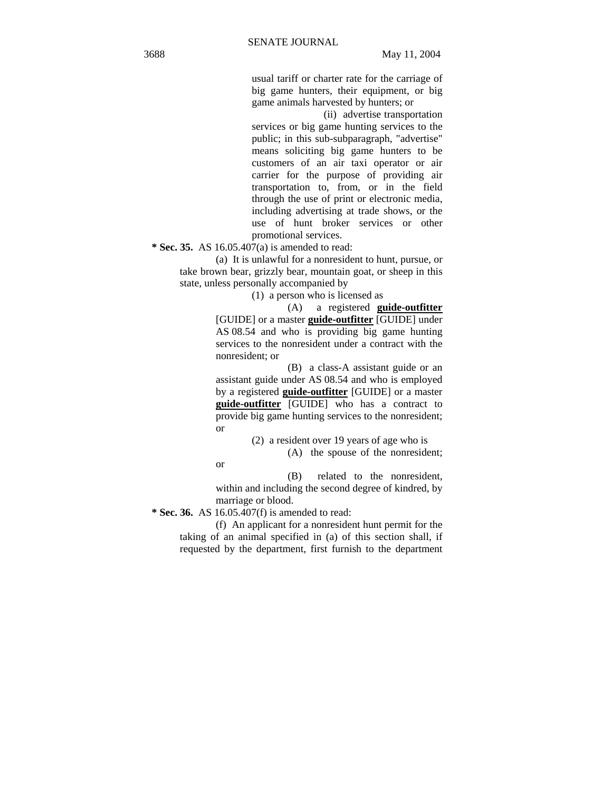usual tariff or charter rate for the carriage of big game hunters, their equipment, or big game animals harvested by hunters; or

(ii) advertise transportation services or big game hunting services to the public; in this sub-subparagraph, "advertise" means soliciting big game hunters to be customers of an air taxi operator or air carrier for the purpose of providing air transportation to, from, or in the field through the use of print or electronic media, including advertising at trade shows, or the use of hunt broker services or other promotional services.

 **\* Sec. 35.** AS 16.05.407(a) is amended to read:

(a) It is unlawful for a nonresident to hunt, pursue, or take brown bear, grizzly bear, mountain goat, or sheep in this state, unless personally accompanied by

(1) a person who is licensed as

(A) a registered **guide-outfitter** [GUIDE] or a master **guide-outfitter** [GUIDE] under AS 08.54 and who is providing big game hunting services to the nonresident under a contract with the nonresident; or

(B) a class-A assistant guide or an assistant guide under AS 08.54 and who is employed by a registered **guide-outfitter** [GUIDE] or a master **guide-outfitter** [GUIDE] who has a contract to provide big game hunting services to the nonresident; or

(2) a resident over 19 years of age who is

(A) the spouse of the nonresident;

(B) related to the nonresident, within and including the second degree of kindred, by marriage or blood.

 **\* Sec. 36.** AS 16.05.407(f) is amended to read:

or

(f) An applicant for a nonresident hunt permit for the taking of an animal specified in (a) of this section shall, if requested by the department, first furnish to the department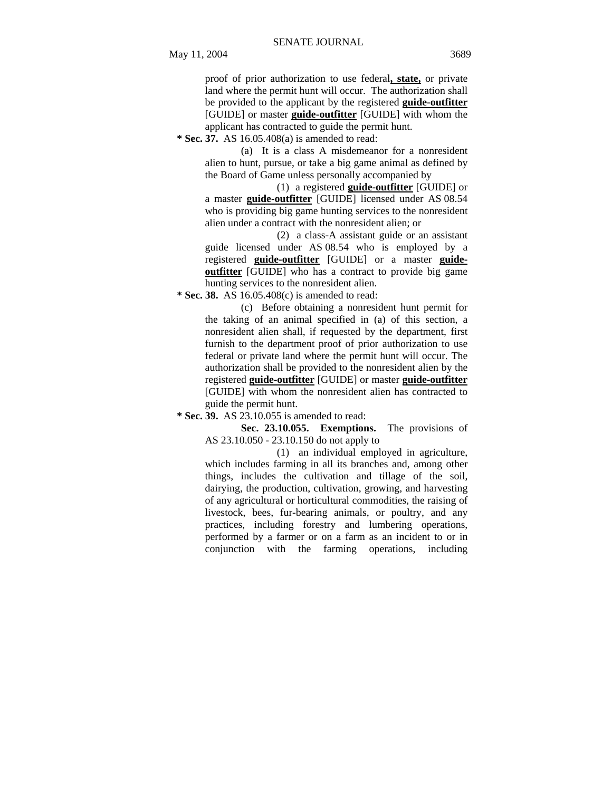proof of prior authorization to use federal**, state,** or private land where the permit hunt will occur. The authorization shall be provided to the applicant by the registered **guide-outfitter** [GUIDE] or master **guide-outfitter** [GUIDE] with whom the applicant has contracted to guide the permit hunt.

 **\* Sec. 37.** AS 16.05.408(a) is amended to read:

(a) It is a class A misdemeanor for a nonresident alien to hunt, pursue, or take a big game animal as defined by the Board of Game unless personally accompanied by

(1) a registered **guide-outfitter** [GUIDE] or a master **guide-outfitter** [GUIDE] licensed under AS 08.54 who is providing big game hunting services to the nonresident alien under a contract with the nonresident alien; or

(2) a class-A assistant guide or an assistant guide licensed under AS 08.54 who is employed by a registered **guide-outfitter** [GUIDE] or a master **guideoutfitter** [GUIDE] who has a contract to provide big game hunting services to the nonresident alien.

 **\* Sec. 38.** AS 16.05.408(c) is amended to read:

(c) Before obtaining a nonresident hunt permit for the taking of an animal specified in (a) of this section, a nonresident alien shall, if requested by the department, first furnish to the department proof of prior authorization to use federal or private land where the permit hunt will occur. The authorization shall be provided to the nonresident alien by the registered **guide-outfitter** [GUIDE] or master **guide-outfitter** [GUIDE] with whom the nonresident alien has contracted to guide the permit hunt.

 **\* Sec. 39.** AS 23.10.055 is amended to read:

**Sec. 23.10.055. Exemptions.** The provisions of AS 23.10.050 - 23.10.150 do not apply to

(1) an individual employed in agriculture, which includes farming in all its branches and, among other things, includes the cultivation and tillage of the soil, dairying, the production, cultivation, growing, and harvesting of any agricultural or horticultural commodities, the raising of livestock, bees, fur-bearing animals, or poultry, and any practices, including forestry and lumbering operations, performed by a farmer or on a farm as an incident to or in conjunction with the farming operations, including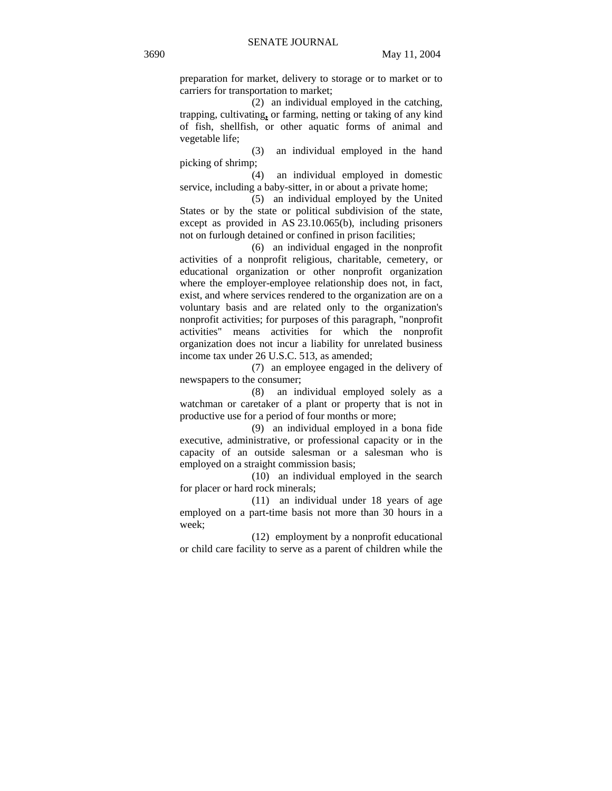preparation for market, delivery to storage or to market or to carriers for transportation to market;

(2) an individual employed in the catching, trapping, cultivating**,** or farming, netting or taking of any kind of fish, shellfish, or other aquatic forms of animal and vegetable life;

(3) an individual employed in the hand picking of shrimp;

(4) an individual employed in domestic service, including a baby-sitter, in or about a private home;

(5) an individual employed by the United States or by the state or political subdivision of the state, except as provided in AS 23.10.065(b), including prisoners not on furlough detained or confined in prison facilities;

(6) an individual engaged in the nonprofit activities of a nonprofit religious, charitable, cemetery, or educational organization or other nonprofit organization where the employer-employee relationship does not, in fact, exist, and where services rendered to the organization are on a voluntary basis and are related only to the organization's nonprofit activities; for purposes of this paragraph, "nonprofit activities" means activities for which the nonprofit organization does not incur a liability for unrelated business income tax under 26 U.S.C. 513, as amended;

(7) an employee engaged in the delivery of newspapers to the consumer;

(8) an individual employed solely as a watchman or caretaker of a plant or property that is not in productive use for a period of four months or more;

(9) an individual employed in a bona fide executive, administrative, or professional capacity or in the capacity of an outside salesman or a salesman who is employed on a straight commission basis;

(10) an individual employed in the search for placer or hard rock minerals;

(11) an individual under 18 years of age employed on a part-time basis not more than 30 hours in a week;

(12) employment by a nonprofit educational or child care facility to serve as a parent of children while the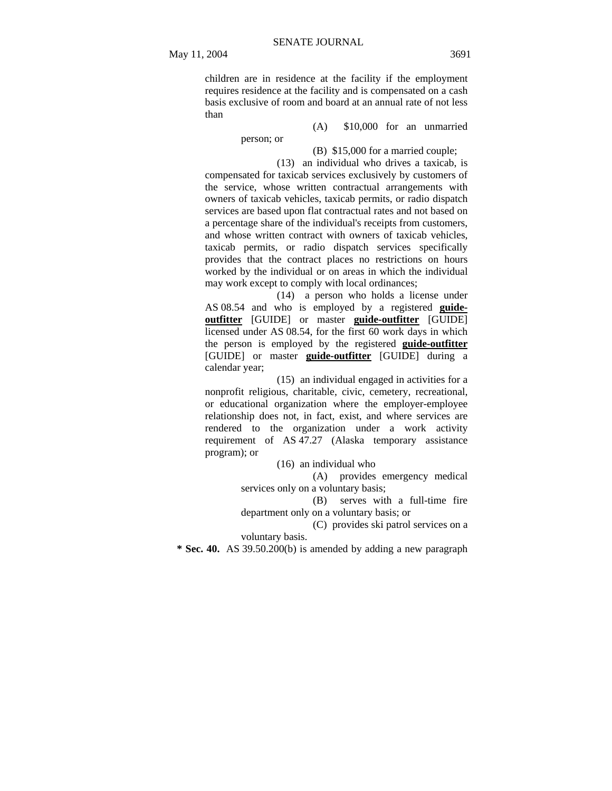children are in residence at the facility if the employment requires residence at the facility and is compensated on a cash basis exclusive of room and board at an annual rate of not less than

person; or

(A) \$10,000 for an unmarried

(B) \$15,000 for a married couple; (13) an individual who drives a taxicab, is compensated for taxicab services exclusively by customers of the service, whose written contractual arrangements with owners of taxicab vehicles, taxicab permits, or radio dispatch

services are based upon flat contractual rates and not based on a percentage share of the individual's receipts from customers, and whose written contract with owners of taxicab vehicles, taxicab permits, or radio dispatch services specifically provides that the contract places no restrictions on hours worked by the individual or on areas in which the individual may work except to comply with local ordinances;

(14) a person who holds a license under AS 08.54 and who is employed by a registered **guideoutfitter** [GUIDE] or master **guide-outfitter** [GUIDE] licensed under AS 08.54, for the first 60 work days in which the person is employed by the registered **guide-outfitter** [GUIDE] or master **guide-outfitter** [GUIDE] during a calendar year;

(15) an individual engaged in activities for a nonprofit religious, charitable, civic, cemetery, recreational, or educational organization where the employer-employee relationship does not, in fact, exist, and where services are rendered to the organization under a work activity requirement of AS 47.27 (Alaska temporary assistance program); or

(16) an individual who

(A) provides emergency medical services only on a voluntary basis;

(B) serves with a full-time fire department only on a voluntary basis; or

(C) provides ski patrol services on a voluntary basis.

 **\* Sec. 40.** AS 39.50.200(b) is amended by adding a new paragraph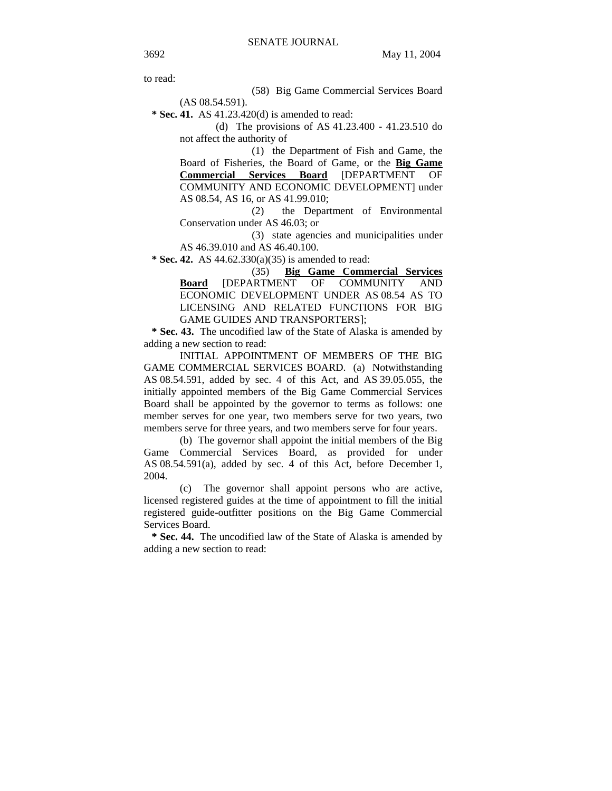to read:

(58) Big Game Commercial Services Board (AS 08.54.591).

 **\* Sec. 41.** AS 41.23.420(d) is amended to read:

(d) The provisions of AS 41.23.400 - 41.23.510 do not affect the authority of

(1) the Department of Fish and Game, the Board of Fisheries, the Board of Game, or the **Big Game Commercial Services Board** [DEPARTMENT OF COMMUNITY AND ECONOMIC DEVELOPMENT] under AS 08.54, AS 16, or AS 41.99.010;

(2) the Department of Environmental Conservation under AS 46.03; or

(3) state agencies and municipalities under AS 46.39.010 and AS 46.40.100.

 **\* Sec. 42.** AS 44.62.330(a)(35) is amended to read:

(35) **Big Game Commercial Services Board** [DEPARTMENT OF COMMUNITY AND ECONOMIC DEVELOPMENT UNDER AS 08.54 AS TO LICENSING AND RELATED FUNCTIONS FOR BIG GAME GUIDES AND TRANSPORTERS];

 **\* Sec. 43.** The uncodified law of the State of Alaska is amended by adding a new section to read:

INITIAL APPOINTMENT OF MEMBERS OF THE BIG GAME COMMERCIAL SERVICES BOARD. (a) Notwithstanding AS 08.54.591, added by sec. 4 of this Act, and AS 39.05.055, the initially appointed members of the Big Game Commercial Services Board shall be appointed by the governor to terms as follows: one member serves for one year, two members serve for two years, two members serve for three years, and two members serve for four years.

(b) The governor shall appoint the initial members of the Big Game Commercial Services Board, as provided for under AS 08.54.591(a), added by sec. 4 of this Act, before December 1, 2004.

(c) The governor shall appoint persons who are active, licensed registered guides at the time of appointment to fill the initial registered guide-outfitter positions on the Big Game Commercial Services Board.

 **\* Sec. 44.** The uncodified law of the State of Alaska is amended by adding a new section to read: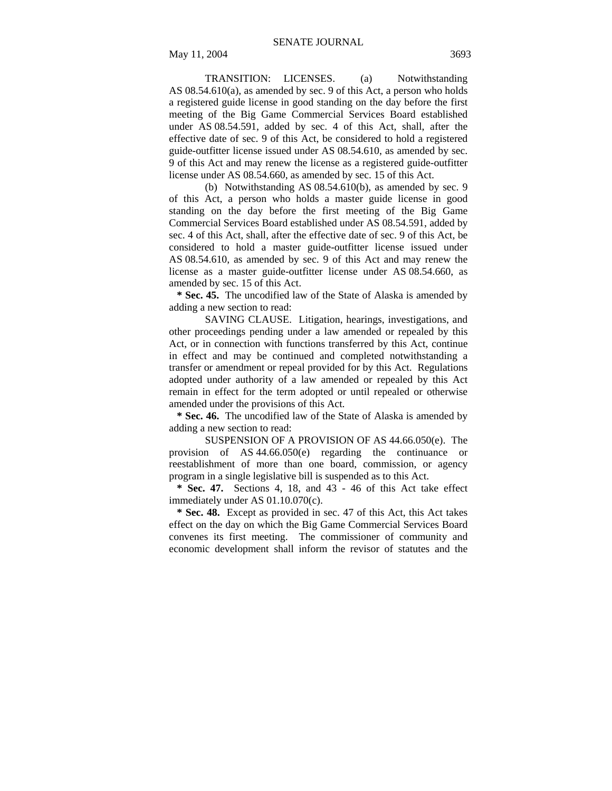TRANSITION: LICENSES. (a) Notwithstanding AS 08.54.610(a), as amended by sec. 9 of this Act, a person who holds a registered guide license in good standing on the day before the first meeting of the Big Game Commercial Services Board established under AS 08.54.591, added by sec. 4 of this Act, shall, after the effective date of sec. 9 of this Act, be considered to hold a registered guide-outfitter license issued under AS 08.54.610, as amended by sec. 9 of this Act and may renew the license as a registered guide-outfitter license under AS 08.54.660, as amended by sec. 15 of this Act.

(b) Notwithstanding AS 08.54.610(b), as amended by sec. 9 of this Act, a person who holds a master guide license in good standing on the day before the first meeting of the Big Game Commercial Services Board established under AS 08.54.591, added by sec. 4 of this Act, shall, after the effective date of sec. 9 of this Act, be considered to hold a master guide-outfitter license issued under AS 08.54.610, as amended by sec. 9 of this Act and may renew the license as a master guide-outfitter license under AS 08.54.660, as amended by sec. 15 of this Act.

 **\* Sec. 45.** The uncodified law of the State of Alaska is amended by adding a new section to read:

SAVING CLAUSE. Litigation, hearings, investigations, and other proceedings pending under a law amended or repealed by this Act, or in connection with functions transferred by this Act, continue in effect and may be continued and completed notwithstanding a transfer or amendment or repeal provided for by this Act. Regulations adopted under authority of a law amended or repealed by this Act remain in effect for the term adopted or until repealed or otherwise amended under the provisions of this Act.

 **\* Sec. 46.** The uncodified law of the State of Alaska is amended by adding a new section to read:

SUSPENSION OF A PROVISION OF AS 44.66.050(e). The provision of AS 44.66.050(e) regarding the continuance or reestablishment of more than one board, commission, or agency program in a single legislative bill is suspended as to this Act.

 **\* Sec. 47.** Sections 4, 18, and 43 - 46 of this Act take effect immediately under AS 01.10.070(c).

 **\* Sec. 48.** Except as provided in sec. 47 of this Act, this Act takes effect on the day on which the Big Game Commercial Services Board convenes its first meeting. The commissioner of community and economic development shall inform the revisor of statutes and the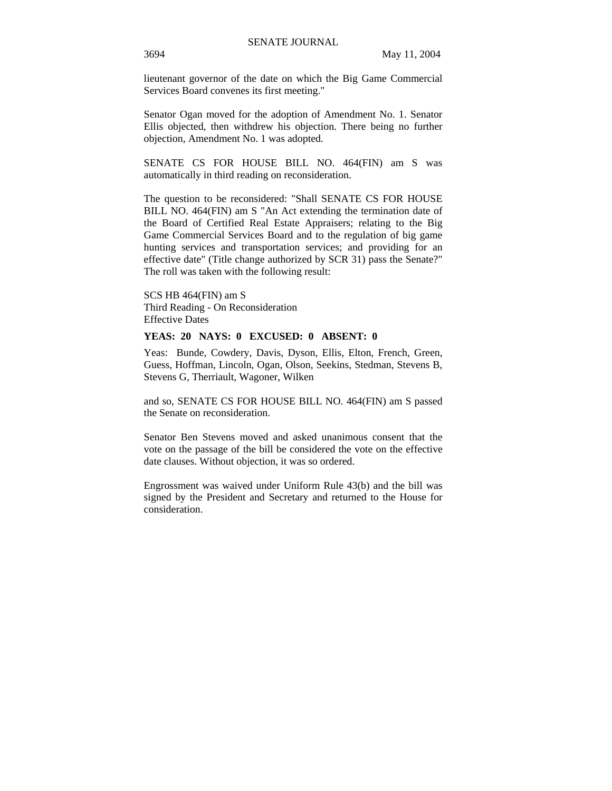lieutenant governor of the date on which the Big Game Commercial Services Board convenes its first meeting."

Senator Ogan moved for the adoption of Amendment No. 1. Senator Ellis objected, then withdrew his objection. There being no further objection, Amendment No. 1 was adopted.

SENATE CS FOR HOUSE BILL NO. 464(FIN) am S was automatically in third reading on reconsideration.

The question to be reconsidered: "Shall SENATE CS FOR HOUSE BILL NO. 464(FIN) am S "An Act extending the termination date of the Board of Certified Real Estate Appraisers; relating to the Big Game Commercial Services Board and to the regulation of big game hunting services and transportation services; and providing for an effective date" (Title change authorized by SCR 31) pass the Senate?" The roll was taken with the following result:

SCS HB 464(FIN) am S Third Reading - On Reconsideration Effective Dates

## **YEAS: 20 NAYS: 0 EXCUSED: 0 ABSENT: 0**

Yeas: Bunde, Cowdery, Davis, Dyson, Ellis, Elton, French, Green, Guess, Hoffman, Lincoln, Ogan, Olson, Seekins, Stedman, Stevens B, Stevens G, Therriault, Wagoner, Wilken

and so, SENATE CS FOR HOUSE BILL NO. 464(FIN) am S passed the Senate on reconsideration.

Senator Ben Stevens moved and asked unanimous consent that the vote on the passage of the bill be considered the vote on the effective date clauses. Without objection, it was so ordered.

Engrossment was waived under Uniform Rule 43(b) and the bill was signed by the President and Secretary and returned to the House for consideration.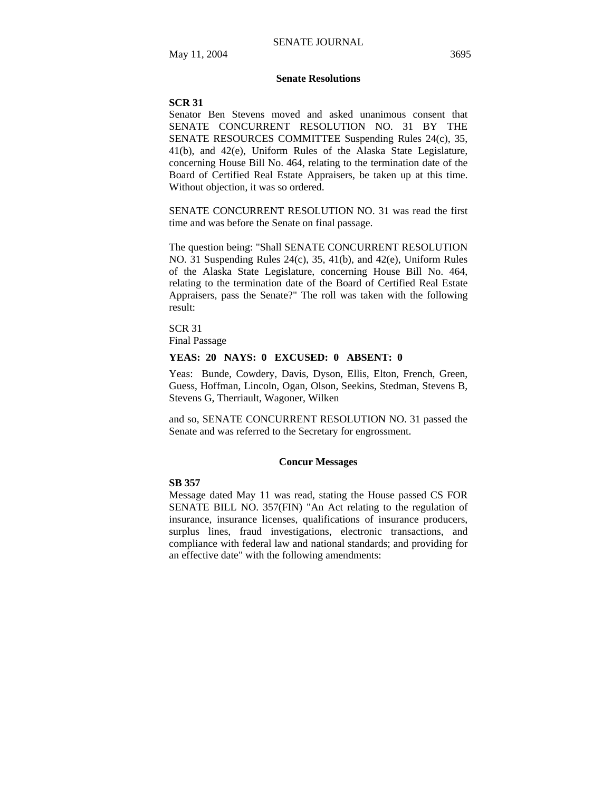### **Senate Resolutions**

#### **SCR 31**

Senator Ben Stevens moved and asked unanimous consent that SENATE CONCURRENT RESOLUTION NO. 31 BY THE SENATE RESOURCES COMMITTEE Suspending Rules 24(c), 35, 41(b), and 42(e), Uniform Rules of the Alaska State Legislature, concerning House Bill No. 464, relating to the termination date of the Board of Certified Real Estate Appraisers, be taken up at this time. Without objection, it was so ordered.

SENATE CONCURRENT RESOLUTION NO. 31 was read the first time and was before the Senate on final passage.

The question being: "Shall SENATE CONCURRENT RESOLUTION NO. 31 Suspending Rules 24(c), 35, 41(b), and 42(e), Uniform Rules of the Alaska State Legislature, concerning House Bill No. 464, relating to the termination date of the Board of Certified Real Estate Appraisers, pass the Senate?" The roll was taken with the following result:

SCR 31 Final Passage

#### **YEAS: 20 NAYS: 0 EXCUSED: 0 ABSENT: 0**

Yeas: Bunde, Cowdery, Davis, Dyson, Ellis, Elton, French, Green, Guess, Hoffman, Lincoln, Ogan, Olson, Seekins, Stedman, Stevens B, Stevens G, Therriault, Wagoner, Wilken

and so, SENATE CONCURRENT RESOLUTION NO. 31 passed the Senate and was referred to the Secretary for engrossment.

#### **Concur Messages**

#### **SB 357**

Message dated May 11 was read, stating the House passed CS FOR SENATE BILL NO. 357(FIN) "An Act relating to the regulation of insurance, insurance licenses, qualifications of insurance producers, surplus lines, fraud investigations, electronic transactions, and compliance with federal law and national standards; and providing for an effective date" with the following amendments: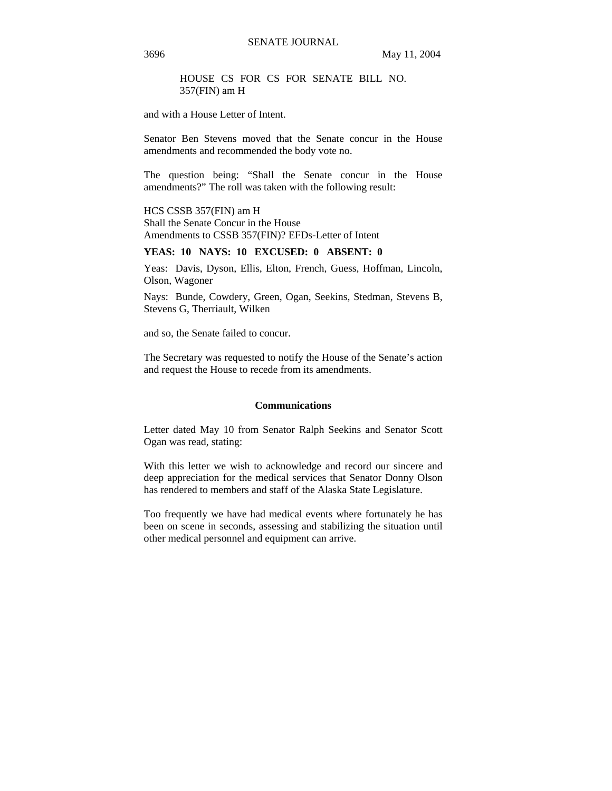HOUSE CS FOR CS FOR SENATE BILL NO. 357(FIN) am H

and with a House Letter of Intent.

Senator Ben Stevens moved that the Senate concur in the House amendments and recommended the body vote no.

The question being: "Shall the Senate concur in the House amendments?" The roll was taken with the following result:

#### HCS CSSB 357(FIN) am H

Shall the Senate Concur in the House Amendments to CSSB 357(FIN)? EFDs-Letter of Intent

### **YEAS: 10 NAYS: 10 EXCUSED: 0 ABSENT: 0**

Yeas: Davis, Dyson, Ellis, Elton, French, Guess, Hoffman, Lincoln, Olson, Wagoner

Nays: Bunde, Cowdery, Green, Ogan, Seekins, Stedman, Stevens B, Stevens G, Therriault, Wilken

and so, the Senate failed to concur.

The Secretary was requested to notify the House of the Senate's action and request the House to recede from its amendments.

#### **Communications**

Letter dated May 10 from Senator Ralph Seekins and Senator Scott Ogan was read, stating:

With this letter we wish to acknowledge and record our sincere and deep appreciation for the medical services that Senator Donny Olson has rendered to members and staff of the Alaska State Legislature.

Too frequently we have had medical events where fortunately he has been on scene in seconds, assessing and stabilizing the situation until other medical personnel and equipment can arrive.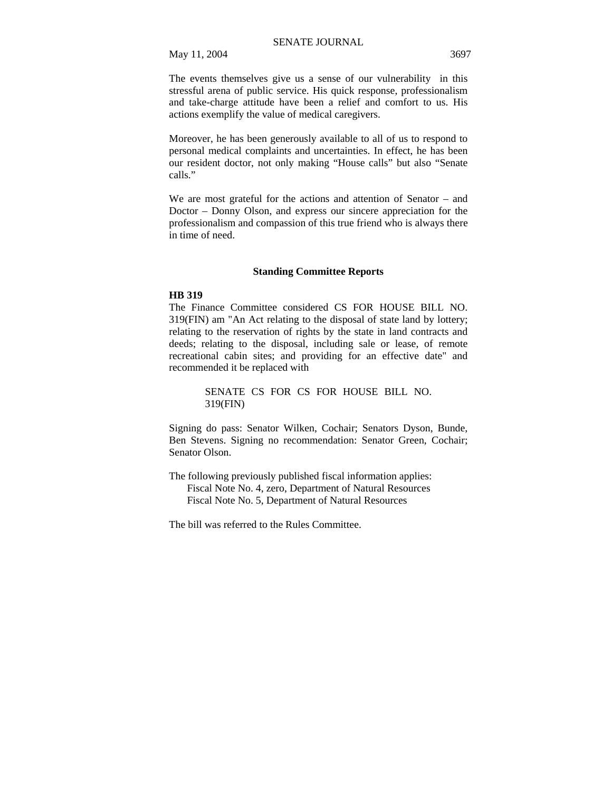The events themselves give us a sense of our vulnerability in this stressful arena of public service. His quick response, professionalism and take-charge attitude have been a relief and comfort to us. His actions exemplify the value of medical caregivers.

Moreover, he has been generously available to all of us to respond to personal medical complaints and uncertainties. In effect, he has been our resident doctor, not only making "House calls" but also "Senate calls."

We are most grateful for the actions and attention of Senator – and Doctor – Donny Olson, and express our sincere appreciation for the professionalism and compassion of this true friend who is always there in time of need.

### **Standing Committee Reports**

#### **HB 319**

The Finance Committee considered CS FOR HOUSE BILL NO. 319(FIN) am "An Act relating to the disposal of state land by lottery; relating to the reservation of rights by the state in land contracts and deeds; relating to the disposal, including sale or lease, of remote recreational cabin sites; and providing for an effective date" and recommended it be replaced with

> SENATE CS FOR CS FOR HOUSE BILL NO. 319(FIN)

Signing do pass: Senator Wilken, Cochair; Senators Dyson, Bunde, Ben Stevens. Signing no recommendation: Senator Green, Cochair; Senator Olson.

The following previously published fiscal information applies: Fiscal Note No. 4, zero, Department of Natural Resources Fiscal Note No. 5, Department of Natural Resources

The bill was referred to the Rules Committee.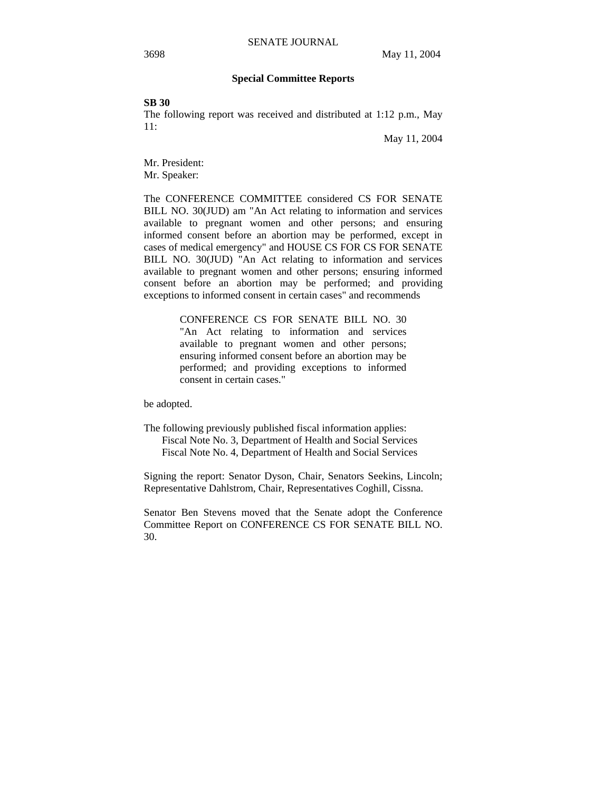## **Special Committee Reports**

**SB 30** 

The following report was received and distributed at 1:12 p.m., May 11:

May 11, 2004

Mr. President: Mr. Speaker:

The CONFERENCE COMMITTEE considered CS FOR SENATE BILL NO. 30(JUD) am "An Act relating to information and services available to pregnant women and other persons; and ensuring informed consent before an abortion may be performed, except in cases of medical emergency" and HOUSE CS FOR CS FOR SENATE BILL NO. 30(JUD) "An Act relating to information and services available to pregnant women and other persons; ensuring informed consent before an abortion may be performed; and providing exceptions to informed consent in certain cases" and recommends

> CONFERENCE CS FOR SENATE BILL NO. 30 "An Act relating to information and services available to pregnant women and other persons; ensuring informed consent before an abortion may be performed; and providing exceptions to informed consent in certain cases."

be adopted.

The following previously published fiscal information applies: Fiscal Note No. 3, Department of Health and Social Services Fiscal Note No. 4, Department of Health and Social Services

Signing the report: Senator Dyson, Chair, Senators Seekins, Lincoln; Representative Dahlstrom, Chair, Representatives Coghill, Cissna.

Senator Ben Stevens moved that the Senate adopt the Conference Committee Report on CONFERENCE CS FOR SENATE BILL NO. 30.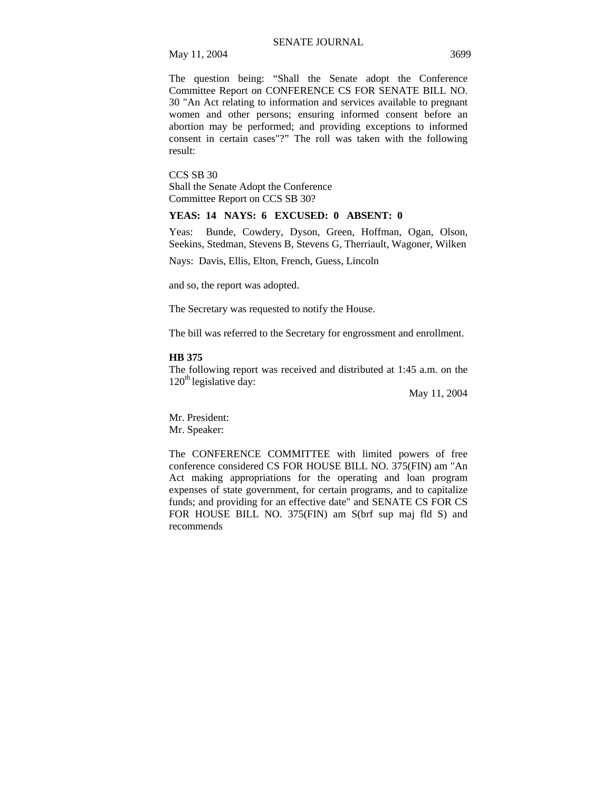May 11, 2004 3699

The question being: "Shall the Senate adopt the Conference Committee Report on CONFERENCE CS FOR SENATE BILL NO. 30 "An Act relating to information and services available to pregnant women and other persons; ensuring informed consent before an abortion may be performed; and providing exceptions to informed consent in certain cases"?" The roll was taken with the following result:

CCS SB 30 Shall the Senate Adopt the Conference Committee Report on CCS SB 30?

## **YEAS: 14 NAYS: 6 EXCUSED: 0 ABSENT: 0**

Yeas: Bunde, Cowdery, Dyson, Green, Hoffman, Ogan, Olson, Seekins, Stedman, Stevens B, Stevens G, Therriault, Wagoner, Wilken

Nays: Davis, Ellis, Elton, French, Guess, Lincoln

and so, the report was adopted.

The Secretary was requested to notify the House.

The bill was referred to the Secretary for engrossment and enrollment.

#### **HB 375**

The following report was received and distributed at 1:45 a.m. on the  $120<sup>th</sup>$  legislative day:

May 11, 2004

Mr. President: Mr. Speaker:

The CONFERENCE COMMITTEE with limited powers of free conference considered CS FOR HOUSE BILL NO. 375(FIN) am "An Act making appropriations for the operating and loan program expenses of state government, for certain programs, and to capitalize funds; and providing for an effective date" and SENATE CS FOR CS FOR HOUSE BILL NO. 375(FIN) am S(brf sup maj fld S) and recommends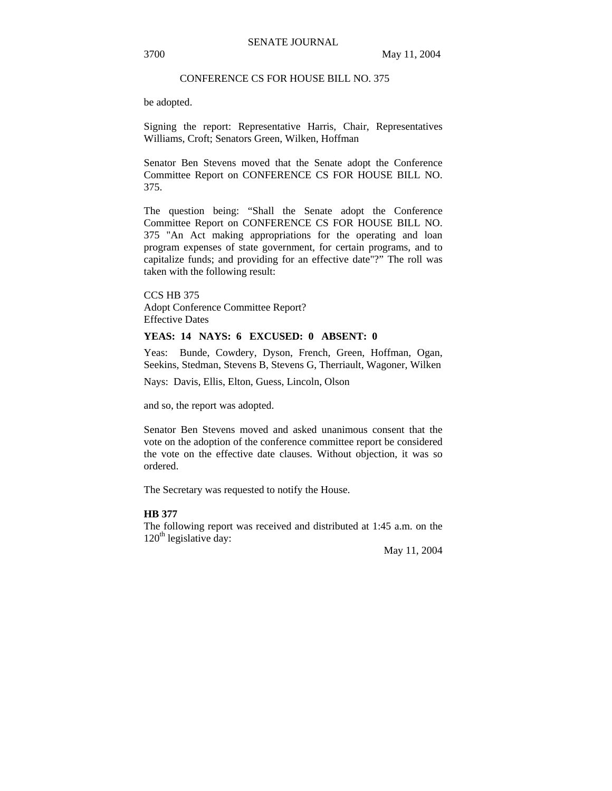## CONFERENCE CS FOR HOUSE BILL NO. 375

be adopted.

Signing the report: Representative Harris, Chair, Representatives Williams, Croft; Senators Green, Wilken, Hoffman

Senator Ben Stevens moved that the Senate adopt the Conference Committee Report on CONFERENCE CS FOR HOUSE BILL NO. 375.

The question being: "Shall the Senate adopt the Conference Committee Report on CONFERENCE CS FOR HOUSE BILL NO. 375 "An Act making appropriations for the operating and loan program expenses of state government, for certain programs, and to capitalize funds; and providing for an effective date"?" The roll was taken with the following result:

CCS HB 375 Adopt Conference Committee Report? Effective Dates

## **YEAS: 14 NAYS: 6 EXCUSED: 0 ABSENT: 0**

Yeas: Bunde, Cowdery, Dyson, French, Green, Hoffman, Ogan, Seekins, Stedman, Stevens B, Stevens G, Therriault, Wagoner, Wilken

Nays: Davis, Ellis, Elton, Guess, Lincoln, Olson

and so, the report was adopted.

Senator Ben Stevens moved and asked unanimous consent that the vote on the adoption of the conference committee report be considered the vote on the effective date clauses. Without objection, it was so ordered.

The Secretary was requested to notify the House.

### **HB 377**

The following report was received and distributed at 1:45 a.m. on the  $120<sup>th</sup>$  legislative day:

May 11, 2004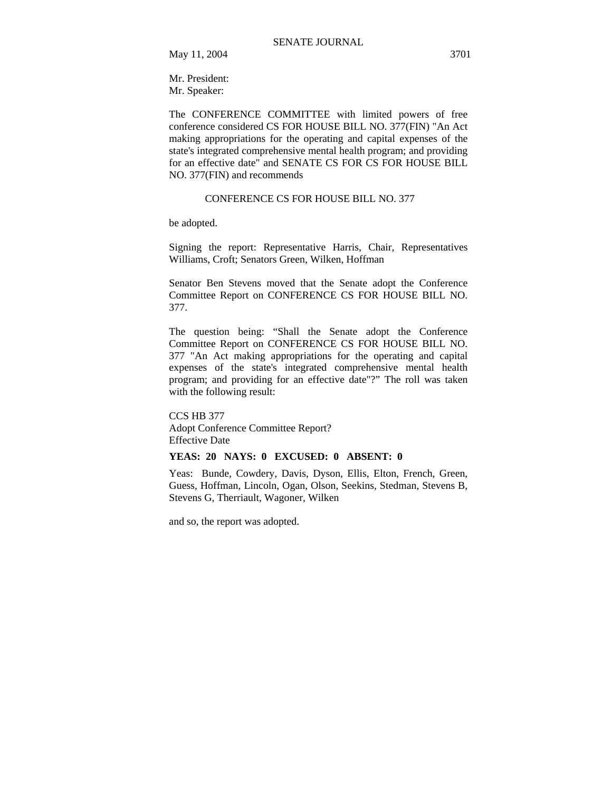Mr. President: Mr. Speaker:

The CONFERENCE COMMITTEE with limited powers of free conference considered CS FOR HOUSE BILL NO. 377(FIN) "An Act making appropriations for the operating and capital expenses of the state's integrated comprehensive mental health program; and providing for an effective date" and SENATE CS FOR CS FOR HOUSE BILL NO. 377(FIN) and recommends

## CONFERENCE CS FOR HOUSE BILL NO. 377

be adopted.

Signing the report: Representative Harris, Chair, Representatives Williams, Croft; Senators Green, Wilken, Hoffman

Senator Ben Stevens moved that the Senate adopt the Conference Committee Report on CONFERENCE CS FOR HOUSE BILL NO. 377.

The question being: "Shall the Senate adopt the Conference Committee Report on CONFERENCE CS FOR HOUSE BILL NO. 377 "An Act making appropriations for the operating and capital expenses of the state's integrated comprehensive mental health program; and providing for an effective date"?" The roll was taken with the following result:

CCS HB 377 Adopt Conference Committee Report? Effective Date

## **YEAS: 20 NAYS: 0 EXCUSED: 0 ABSENT: 0**

Yeas: Bunde, Cowdery, Davis, Dyson, Ellis, Elton, French, Green, Guess, Hoffman, Lincoln, Ogan, Olson, Seekins, Stedman, Stevens B, Stevens G, Therriault, Wagoner, Wilken

and so, the report was adopted.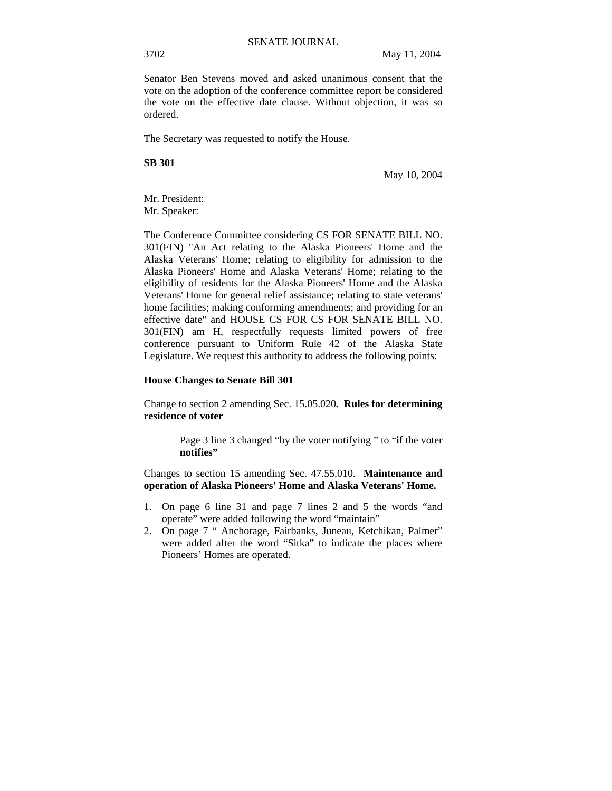Senator Ben Stevens moved and asked unanimous consent that the vote on the adoption of the conference committee report be considered the vote on the effective date clause. Without objection, it was so ordered.

The Secretary was requested to notify the House.

**SB 301**

May 10, 2004

Mr. President: Mr. Speaker:

The Conference Committee considering CS FOR SENATE BILL NO. 301(FIN) "An Act relating to the Alaska Pioneers' Home and the Alaska Veterans' Home; relating to eligibility for admission to the Alaska Pioneers' Home and Alaska Veterans' Home; relating to the eligibility of residents for the Alaska Pioneers' Home and the Alaska Veterans' Home for general relief assistance; relating to state veterans' home facilities; making conforming amendments; and providing for an effective date" and HOUSE CS FOR CS FOR SENATE BILL NO. 301(FIN) am H, respectfully requests limited powers of free conference pursuant to Uniform Rule 42 of the Alaska State Legislature. We request this authority to address the following points:

### **House Changes to Senate Bill 301**

Change to section 2 amending Sec. 15.05.020**. Rules for determining residence of voter**

> Page 3 line 3 changed "by the voter notifying " to "**if** the voter **notifies"**

Changes to section 15 amending Sec. 47.55.010. **Maintenance and operation of Alaska Pioneers' Home and Alaska Veterans' Home.** 

- 1. On page 6 line 31 and page 7 lines 2 and 5 the words "and operate" were added following the word "maintain"
- 2. On page 7 " Anchorage, Fairbanks, Juneau, Ketchikan, Palmer" were added after the word "Sitka" to indicate the places where Pioneers' Homes are operated.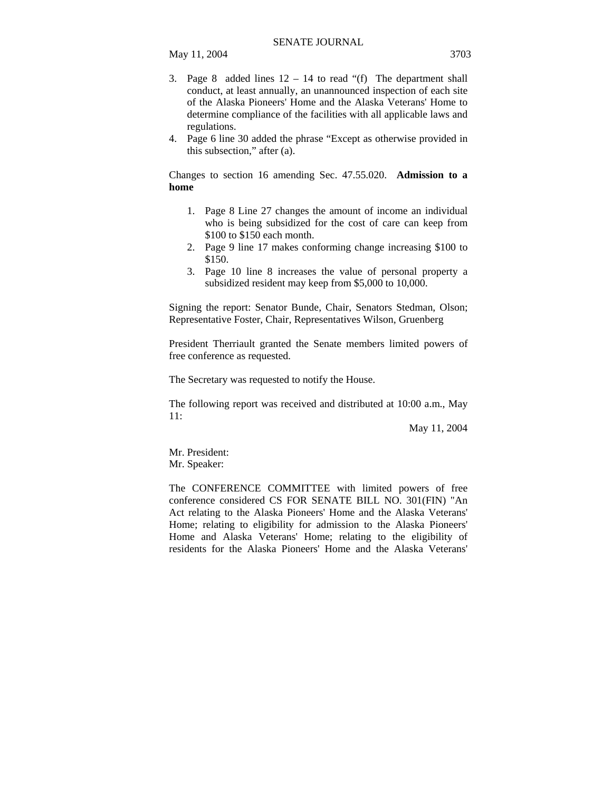- 3. Page 8 added lines  $12 14$  to read "(f) The department shall
- conduct, at least annually, an unannounced inspection of each site of the Alaska Pioneers' Home and the Alaska Veterans' Home to determine compliance of the facilities with all applicable laws and regulations.
- 4. Page 6 line 30 added the phrase "Except as otherwise provided in this subsection," after (a).

Changes to section 16 amending Sec. 47.55.020. **Admission to a home** 

- 1. Page 8 Line 27 changes the amount of income an individual who is being subsidized for the cost of care can keep from \$100 to \$150 each month.
- 2. Page 9 line 17 makes conforming change increasing \$100 to \$150.
- 3. Page 10 line 8 increases the value of personal property a subsidized resident may keep from \$5,000 to 10,000.

Signing the report: Senator Bunde, Chair, Senators Stedman, Olson; Representative Foster, Chair, Representatives Wilson, Gruenberg

President Therriault granted the Senate members limited powers of free conference as requested.

The Secretary was requested to notify the House.

The following report was received and distributed at 10:00 a.m., May 11:

May 11, 2004

Mr. President: Mr. Speaker:

The CONFERENCE COMMITTEE with limited powers of free conference considered CS FOR SENATE BILL NO. 301(FIN) "An Act relating to the Alaska Pioneers' Home and the Alaska Veterans' Home; relating to eligibility for admission to the Alaska Pioneers' Home and Alaska Veterans' Home; relating to the eligibility of residents for the Alaska Pioneers' Home and the Alaska Veterans'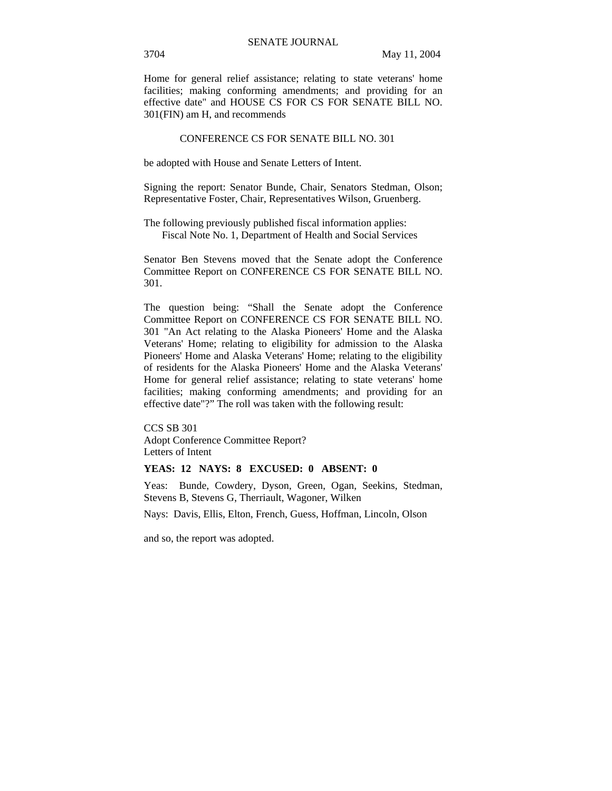Home for general relief assistance; relating to state veterans' home facilities; making conforming amendments; and providing for an effective date" and HOUSE CS FOR CS FOR SENATE BILL NO. 301(FIN) am H, and recommends

#### CONFERENCE CS FOR SENATE BILL NO. 301

be adopted with House and Senate Letters of Intent.

Signing the report: Senator Bunde, Chair, Senators Stedman, Olson; Representative Foster, Chair, Representatives Wilson, Gruenberg.

The following previously published fiscal information applies: Fiscal Note No. 1, Department of Health and Social Services

Senator Ben Stevens moved that the Senate adopt the Conference Committee Report on CONFERENCE CS FOR SENATE BILL NO. 301.

The question being: "Shall the Senate adopt the Conference Committee Report on CONFERENCE CS FOR SENATE BILL NO. 301 "An Act relating to the Alaska Pioneers' Home and the Alaska Veterans' Home; relating to eligibility for admission to the Alaska Pioneers' Home and Alaska Veterans' Home; relating to the eligibility of residents for the Alaska Pioneers' Home and the Alaska Veterans' Home for general relief assistance; relating to state veterans' home facilities; making conforming amendments; and providing for an effective date"?" The roll was taken with the following result:

CCS SB 301 Adopt Conference Committee Report? Letters of Intent

### **YEAS: 12 NAYS: 8 EXCUSED: 0 ABSENT: 0**

Yeas: Bunde, Cowdery, Dyson, Green, Ogan, Seekins, Stedman, Stevens B, Stevens G, Therriault, Wagoner, Wilken

Nays: Davis, Ellis, Elton, French, Guess, Hoffman, Lincoln, Olson

and so, the report was adopted.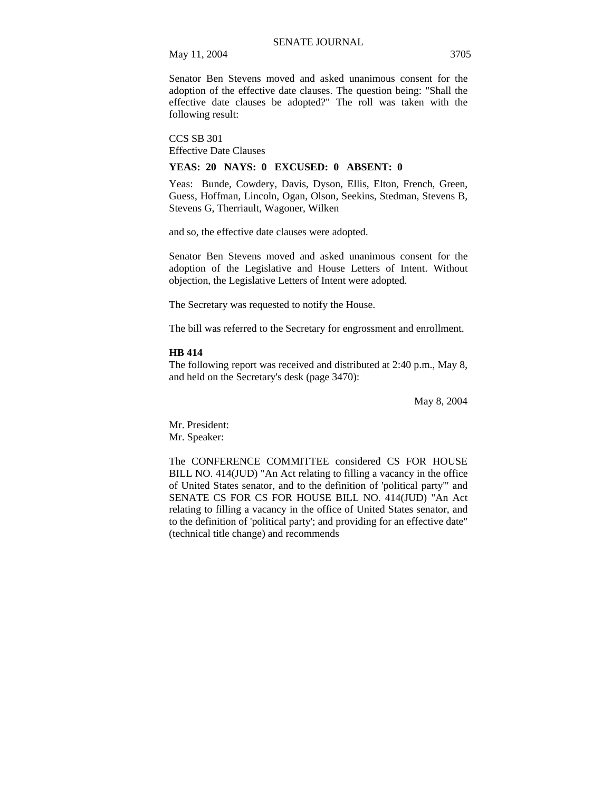May 11, 2004 3705

Senator Ben Stevens moved and asked unanimous consent for the adoption of the effective date clauses. The question being: "Shall the effective date clauses be adopted?" The roll was taken with the following result:

CCS SB 301 Effective Date Clauses

### **YEAS: 20 NAYS: 0 EXCUSED: 0 ABSENT: 0**

Yeas: Bunde, Cowdery, Davis, Dyson, Ellis, Elton, French, Green, Guess, Hoffman, Lincoln, Ogan, Olson, Seekins, Stedman, Stevens B, Stevens G, Therriault, Wagoner, Wilken

and so, the effective date clauses were adopted.

Senator Ben Stevens moved and asked unanimous consent for the adoption of the Legislative and House Letters of Intent. Without objection, the Legislative Letters of Intent were adopted.

The Secretary was requested to notify the House.

The bill was referred to the Secretary for engrossment and enrollment.

#### **HB 414**

The following report was received and distributed at 2:40 p.m., May 8, and held on the Secretary's desk (page 3470):

May 8, 2004

Mr. President: Mr. Speaker:

The CONFERENCE COMMITTEE considered CS FOR HOUSE BILL NO. 414(JUD) "An Act relating to filling a vacancy in the office of United States senator, and to the definition of 'political party'" and SENATE CS FOR CS FOR HOUSE BILL NO. 414(JUD) "An Act relating to filling a vacancy in the office of United States senator, and to the definition of 'political party'; and providing for an effective date" (technical title change) and recommends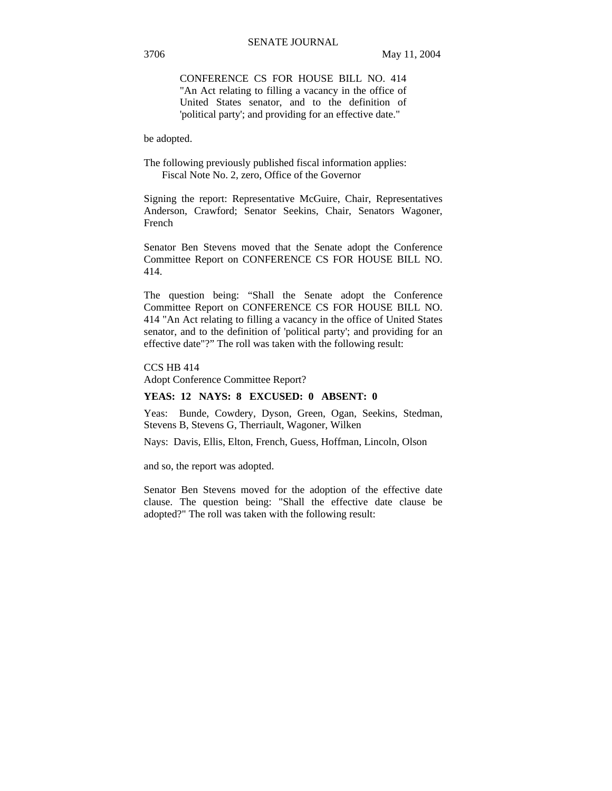CONFERENCE CS FOR HOUSE BILL NO. 414 "An Act relating to filling a vacancy in the office of United States senator, and to the definition of 'political party'; and providing for an effective date."

be adopted.

The following previously published fiscal information applies: Fiscal Note No. 2, zero, Office of the Governor

Signing the report: Representative McGuire, Chair, Representatives Anderson, Crawford; Senator Seekins, Chair, Senators Wagoner, French

Senator Ben Stevens moved that the Senate adopt the Conference Committee Report on CONFERENCE CS FOR HOUSE BILL NO. 414.

The question being: "Shall the Senate adopt the Conference Committee Report on CONFERENCE CS FOR HOUSE BILL NO. 414 "An Act relating to filling a vacancy in the office of United States senator, and to the definition of 'political party'; and providing for an effective date"?" The roll was taken with the following result:

CCS HB 414

Adopt Conference Committee Report?

# **YEAS: 12 NAYS: 8 EXCUSED: 0 ABSENT: 0**

Yeas: Bunde, Cowdery, Dyson, Green, Ogan, Seekins, Stedman, Stevens B, Stevens G, Therriault, Wagoner, Wilken

Nays: Davis, Ellis, Elton, French, Guess, Hoffman, Lincoln, Olson

and so, the report was adopted.

Senator Ben Stevens moved for the adoption of the effective date clause. The question being: "Shall the effective date clause be adopted?" The roll was taken with the following result: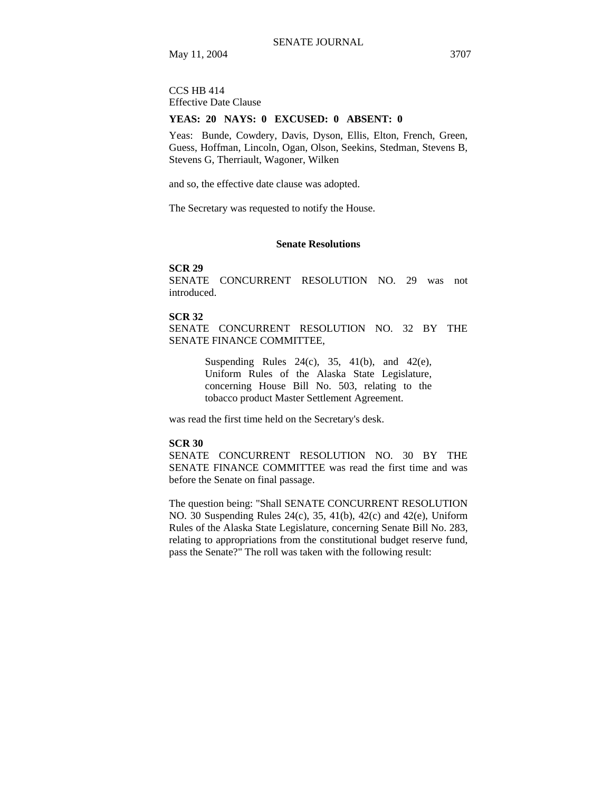CCS HB 414 Effective Date Clause

#### **YEAS: 20 NAYS: 0 EXCUSED: 0 ABSENT: 0**

Yeas: Bunde, Cowdery, Davis, Dyson, Ellis, Elton, French, Green, Guess, Hoffman, Lincoln, Ogan, Olson, Seekins, Stedman, Stevens B, Stevens G, Therriault, Wagoner, Wilken

and so, the effective date clause was adopted.

The Secretary was requested to notify the House.

## **Senate Resolutions**

#### **SCR 29**

SENATE CONCURRENT RESOLUTION NO. 29 was not introduced.

## **SCR 32**

SENATE CONCURRENT RESOLUTION NO. 32 BY THE SENATE FINANCE COMMITTEE,

> Suspending Rules  $24(c)$ ,  $35$ ,  $41(b)$ , and  $42(e)$ , Uniform Rules of the Alaska State Legislature, concerning House Bill No. 503, relating to the tobacco product Master Settlement Agreement.

was read the first time held on the Secretary's desk.

#### **SCR 30**

SENATE CONCURRENT RESOLUTION NO. 30 BY THE SENATE FINANCE COMMITTEE was read the first time and was before the Senate on final passage.

The question being: "Shall SENATE CONCURRENT RESOLUTION NO. 30 Suspending Rules 24(c), 35, 41(b), 42(c) and 42(e), Uniform Rules of the Alaska State Legislature, concerning Senate Bill No. 283, relating to appropriations from the constitutional budget reserve fund, pass the Senate?" The roll was taken with the following result: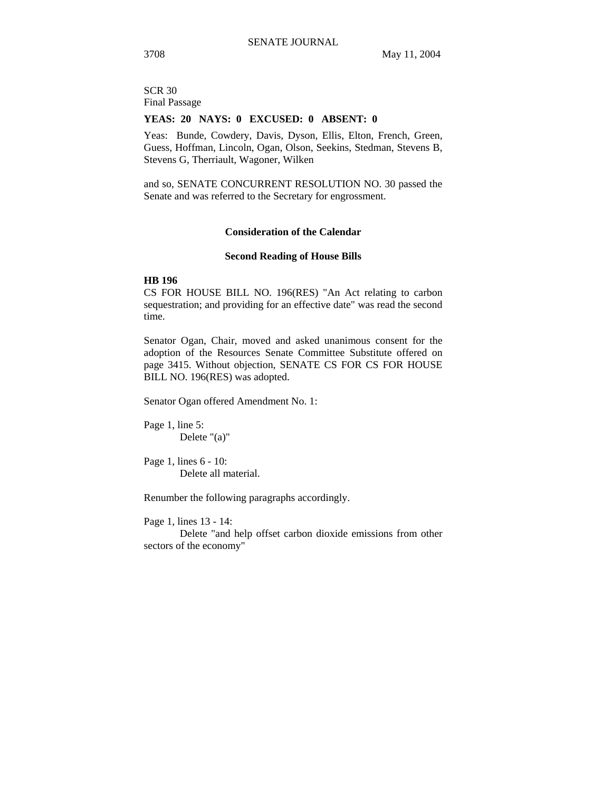SCR 30 Final Passage

#### **YEAS: 20 NAYS: 0 EXCUSED: 0 ABSENT: 0**

Yeas: Bunde, Cowdery, Davis, Dyson, Ellis, Elton, French, Green, Guess, Hoffman, Lincoln, Ogan, Olson, Seekins, Stedman, Stevens B, Stevens G, Therriault, Wagoner, Wilken

and so, SENATE CONCURRENT RESOLUTION NO. 30 passed the Senate and was referred to the Secretary for engrossment.

#### **Consideration of the Calendar**

### **Second Reading of House Bills**

# **HB 196**

CS FOR HOUSE BILL NO. 196(RES) "An Act relating to carbon sequestration; and providing for an effective date" was read the second time.

Senator Ogan, Chair, moved and asked unanimous consent for the adoption of the Resources Senate Committee Substitute offered on page 3415. Without objection, SENATE CS FOR CS FOR HOUSE BILL NO. 196(RES) was adopted.

Senator Ogan offered Amendment No. 1:

Page 1, line 5: Delete "(a)"

Page 1, lines 6 - 10: Delete all material.

Renumber the following paragraphs accordingly.

Page 1, lines 13 - 14:

Delete "and help offset carbon dioxide emissions from other sectors of the economy"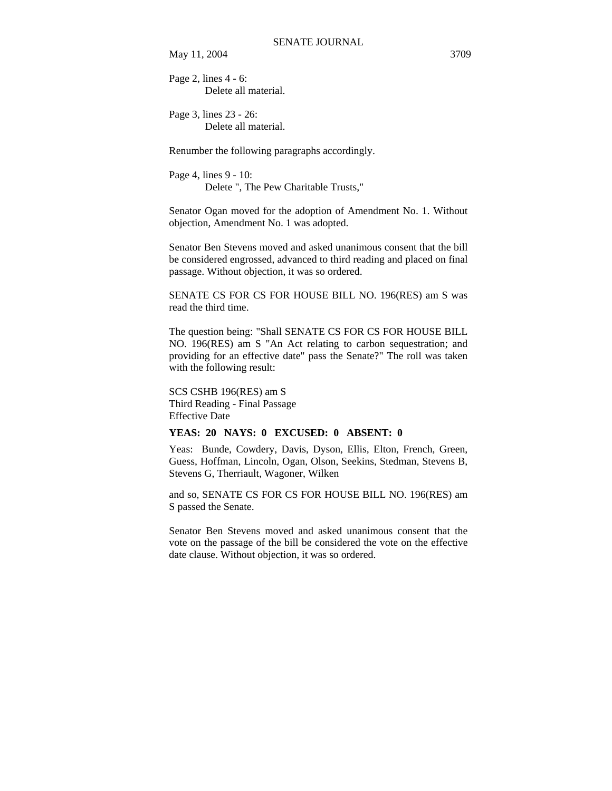May 11, 2004 3709

Page 2, lines 4 - 6: Delete all material.

Page 3, lines 23 - 26: Delete all material.

Renumber the following paragraphs accordingly.

Page 4, lines 9 - 10: Delete ", The Pew Charitable Trusts,"

Senator Ogan moved for the adoption of Amendment No. 1. Without objection, Amendment No. 1 was adopted.

Senator Ben Stevens moved and asked unanimous consent that the bill be considered engrossed, advanced to third reading and placed on final passage. Without objection, it was so ordered.

SENATE CS FOR CS FOR HOUSE BILL NO. 196(RES) am S was read the third time.

The question being: "Shall SENATE CS FOR CS FOR HOUSE BILL NO. 196(RES) am S "An Act relating to carbon sequestration; and providing for an effective date" pass the Senate?" The roll was taken with the following result:

SCS CSHB 196(RES) am S Third Reading - Final Passage Effective Date

# **YEAS: 20 NAYS: 0 EXCUSED: 0 ABSENT: 0**

Yeas: Bunde, Cowdery, Davis, Dyson, Ellis, Elton, French, Green, Guess, Hoffman, Lincoln, Ogan, Olson, Seekins, Stedman, Stevens B, Stevens G, Therriault, Wagoner, Wilken

and so, SENATE CS FOR CS FOR HOUSE BILL NO. 196(RES) am S passed the Senate.

Senator Ben Stevens moved and asked unanimous consent that the vote on the passage of the bill be considered the vote on the effective date clause. Without objection, it was so ordered.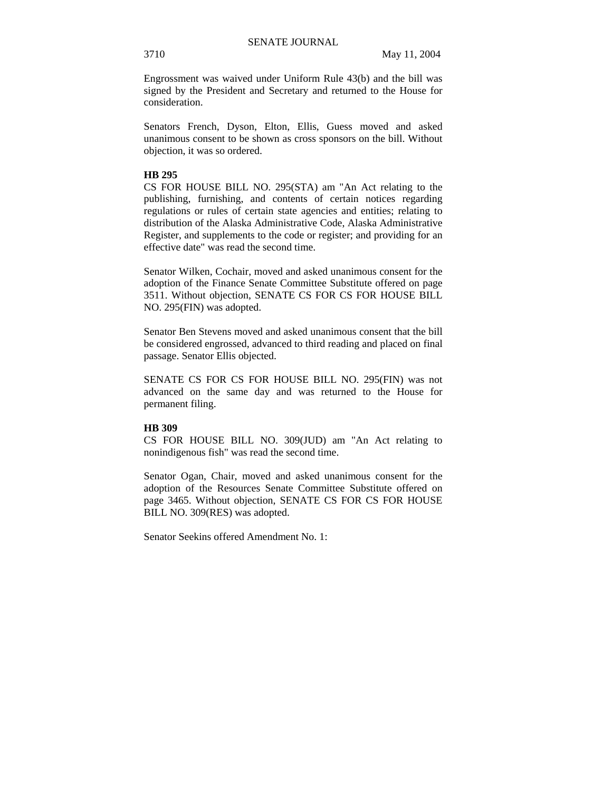Engrossment was waived under Uniform Rule 43(b) and the bill was signed by the President and Secretary and returned to the House for consideration.

Senators French, Dyson, Elton, Ellis, Guess moved and asked unanimous consent to be shown as cross sponsors on the bill. Without objection, it was so ordered.

#### **HB 295**

CS FOR HOUSE BILL NO. 295(STA) am "An Act relating to the publishing, furnishing, and contents of certain notices regarding regulations or rules of certain state agencies and entities; relating to distribution of the Alaska Administrative Code, Alaska Administrative Register, and supplements to the code or register; and providing for an effective date" was read the second time.

Senator Wilken, Cochair, moved and asked unanimous consent for the adoption of the Finance Senate Committee Substitute offered on page 3511. Without objection, SENATE CS FOR CS FOR HOUSE BILL NO. 295(FIN) was adopted.

Senator Ben Stevens moved and asked unanimous consent that the bill be considered engrossed, advanced to third reading and placed on final passage. Senator Ellis objected.

SENATE CS FOR CS FOR HOUSE BILL NO. 295(FIN) was not advanced on the same day and was returned to the House for permanent filing.

### **HB 309**

CS FOR HOUSE BILL NO. 309(JUD) am "An Act relating to nonindigenous fish" was read the second time.

Senator Ogan, Chair, moved and asked unanimous consent for the adoption of the Resources Senate Committee Substitute offered on page 3465. Without objection, SENATE CS FOR CS FOR HOUSE BILL NO. 309(RES) was adopted.

Senator Seekins offered Amendment No. 1: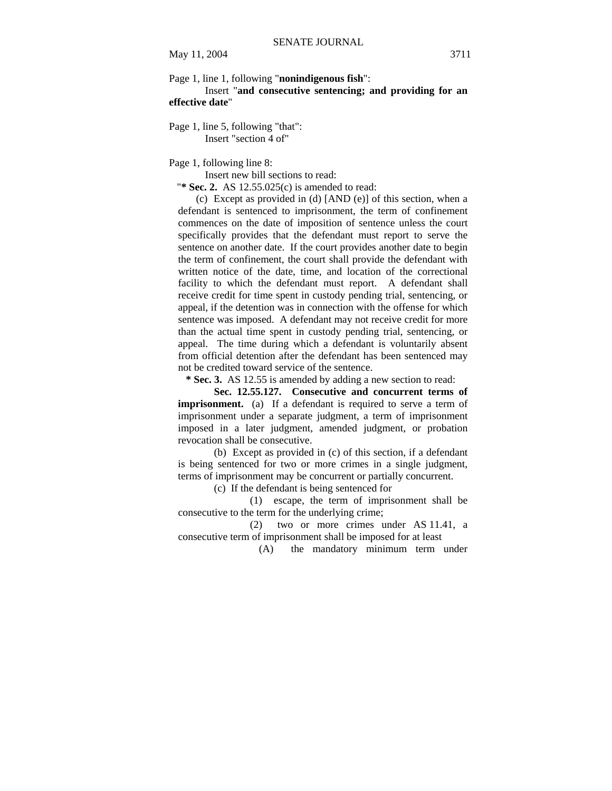Page 1, line 1, following "**nonindigenous fish**":

Insert "**and consecutive sentencing; and providing for an effective date**"

Page 1, line 5, following "that": Insert "section 4 of"

Page 1, following line 8:

Insert new bill sections to read:

"**\* Sec. 2.** AS 12.55.025(c) is amended to read:

(c) Except as provided in (d) [AND (e)] of this section, when a defendant is sentenced to imprisonment, the term of confinement commences on the date of imposition of sentence unless the court specifically provides that the defendant must report to serve the sentence on another date. If the court provides another date to begin the term of confinement, the court shall provide the defendant with written notice of the date, time, and location of the correctional facility to which the defendant must report. A defendant shall receive credit for time spent in custody pending trial, sentencing, or appeal, if the detention was in connection with the offense for which sentence was imposed. A defendant may not receive credit for more than the actual time spent in custody pending trial, sentencing, or appeal. The time during which a defendant is voluntarily absent from official detention after the defendant has been sentenced may not be credited toward service of the sentence.

 **\* Sec. 3.** AS 12.55 is amended by adding a new section to read:

**Sec. 12.55.127. Consecutive and concurrent terms of imprisonment.** (a) If a defendant is required to serve a term of imprisonment under a separate judgment, a term of imprisonment imposed in a later judgment, amended judgment, or probation revocation shall be consecutive.

(b) Except as provided in (c) of this section, if a defendant is being sentenced for two or more crimes in a single judgment, terms of imprisonment may be concurrent or partially concurrent.

(c) If the defendant is being sentenced for

(1) escape, the term of imprisonment shall be consecutive to the term for the underlying crime;

(2) two or more crimes under AS 11.41, a consecutive term of imprisonment shall be imposed for at least

(A) the mandatory minimum term under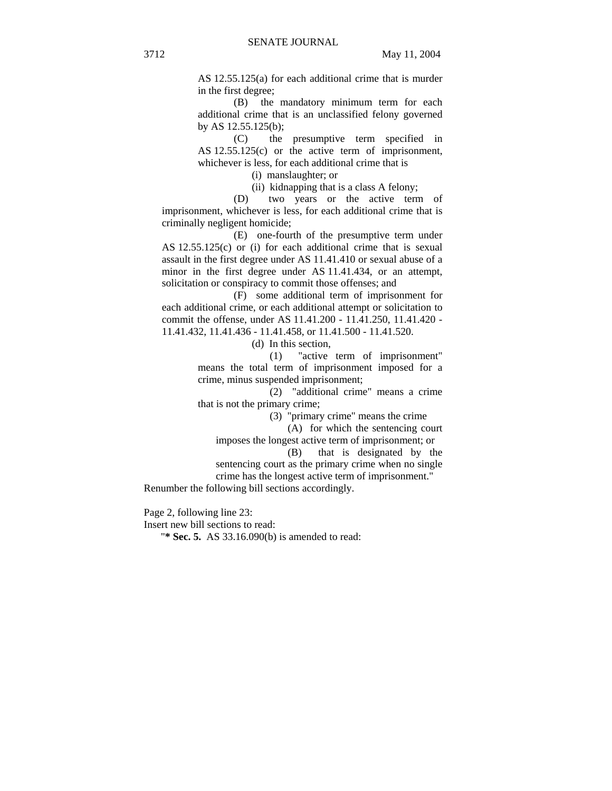AS 12.55.125(a) for each additional crime that is murder in the first degree;

(B) the mandatory minimum term for each additional crime that is an unclassified felony governed by AS 12.55.125(b);

(C) the presumptive term specified in AS 12.55.125(c) or the active term of imprisonment, whichever is less, for each additional crime that is

(i) manslaughter; or

(ii) kidnapping that is a class A felony;

(D) two years or the active term of imprisonment, whichever is less, for each additional crime that is criminally negligent homicide;

(E) one-fourth of the presumptive term under AS 12.55.125(c) or (i) for each additional crime that is sexual assault in the first degree under AS 11.41.410 or sexual abuse of a minor in the first degree under AS 11.41.434, or an attempt, solicitation or conspiracy to commit those offenses; and

(F) some additional term of imprisonment for each additional crime, or each additional attempt or solicitation to commit the offense, under AS 11.41.200 - 11.41.250, 11.41.420 - 11.41.432, 11.41.436 - 11.41.458, or 11.41.500 - 11.41.520.

(d) In this section,

(1) "active term of imprisonment" means the total term of imprisonment imposed for a crime, minus suspended imprisonment;

(2) "additional crime" means a crime that is not the primary crime;

(3) "primary crime" means the crime

(A) for which the sentencing court imposes the longest active term of imprisonment; or

(B) that is designated by the sentencing court as the primary crime when no single

crime has the longest active term of imprisonment."

Renumber the following bill sections accordingly.

Page 2, following line 23:

Insert new bill sections to read:

"**\* Sec. 5.** AS 33.16.090(b) is amended to read: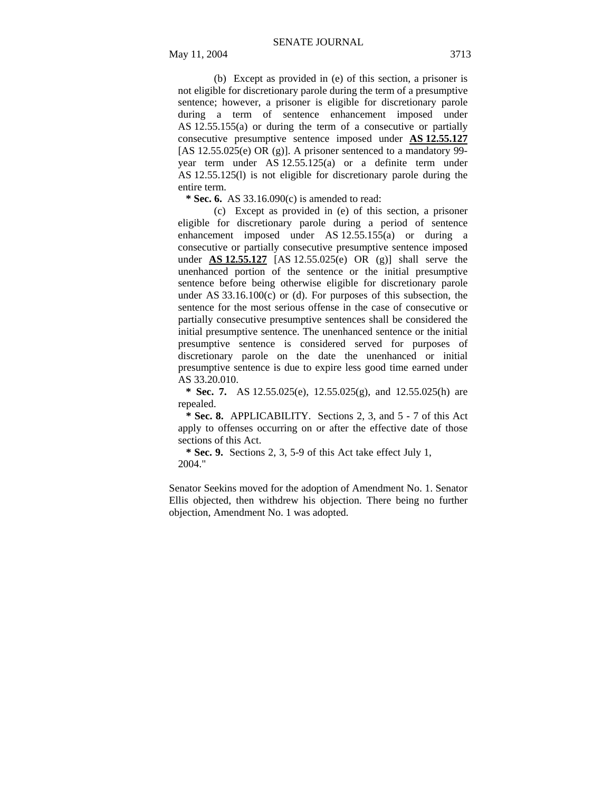(b) Except as provided in (e) of this section, a prisoner is not eligible for discretionary parole during the term of a presumptive sentence; however, a prisoner is eligible for discretionary parole during a term of sentence enhancement imposed under AS 12.55.155(a) or during the term of a consecutive or partially consecutive presumptive sentence imposed under **AS 12.55.127** [AS 12.55.025(e) OR (g)]. A prisoner sentenced to a mandatory 99 year term under AS 12.55.125(a) or a definite term under AS 12.55.125(l) is not eligible for discretionary parole during the

 **\* Sec. 6.** AS 33.16.090(c) is amended to read:

entire term.

(c) Except as provided in (e) of this section, a prisoner eligible for discretionary parole during a period of sentence enhancement imposed under AS 12.55.155(a) or during a consecutive or partially consecutive presumptive sentence imposed under **AS 12.55.127** [AS 12.55.025(e) OR (g)] shall serve the unenhanced portion of the sentence or the initial presumptive sentence before being otherwise eligible for discretionary parole under AS 33.16.100(c) or (d). For purposes of this subsection, the sentence for the most serious offense in the case of consecutive or partially consecutive presumptive sentences shall be considered the initial presumptive sentence. The unenhanced sentence or the initial presumptive sentence is considered served for purposes of discretionary parole on the date the unenhanced or initial presumptive sentence is due to expire less good time earned under AS 33.20.010.

 **\* Sec. 7.** AS 12.55.025(e), 12.55.025(g), and 12.55.025(h) are repealed.

 **\* Sec. 8.** APPLICABILITY. Sections 2, 3, and 5 - 7 of this Act apply to offenses occurring on or after the effective date of those sections of this Act.

 **\* Sec. 9.** Sections 2, 3, 5-9 of this Act take effect July 1, 2004."

Senator Seekins moved for the adoption of Amendment No. 1. Senator Ellis objected, then withdrew his objection. There being no further objection, Amendment No. 1 was adopted.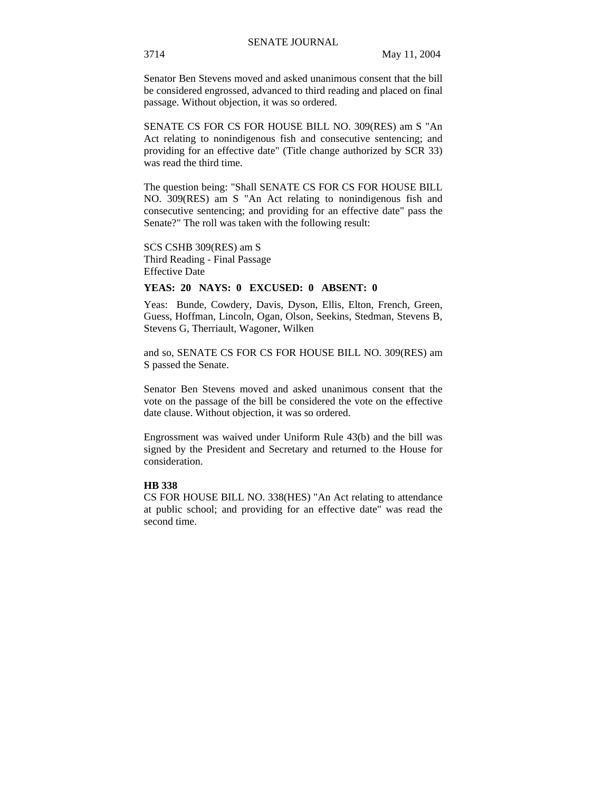Senator Ben Stevens moved and asked unanimous consent that the bill be considered engrossed, advanced to third reading and placed on final passage. Without objection, it was so ordered.

SENATE CS FOR CS FOR HOUSE BILL NO. 309(RES) am S "An Act relating to nonindigenous fish and consecutive sentencing; and providing for an effective date" (Title change authorized by SCR 33) was read the third time.

The question being: "Shall SENATE CS FOR CS FOR HOUSE BILL NO. 309(RES) am S "An Act relating to nonindigenous fish and consecutive sentencing; and providing for an effective date" pass the Senate?" The roll was taken with the following result:

#### SCS CSHB 309(RES) am S

Third Reading - Final Passage Effective Date

# **YEAS: 20 NAYS: 0 EXCUSED: 0 ABSENT: 0**

Yeas: Bunde, Cowdery, Davis, Dyson, Ellis, Elton, French, Green, Guess, Hoffman, Lincoln, Ogan, Olson, Seekins, Stedman, Stevens B, Stevens G, Therriault, Wagoner, Wilken

and so, SENATE CS FOR CS FOR HOUSE BILL NO. 309(RES) am S passed the Senate.

Senator Ben Stevens moved and asked unanimous consent that the vote on the passage of the bill be considered the vote on the effective date clause. Without objection, it was so ordered.

Engrossment was waived under Uniform Rule 43(b) and the bill was signed by the President and Secretary and returned to the House for consideration.

# **HB 338**

CS FOR HOUSE BILL NO. 338(HES) "An Act relating to attendance at public school; and providing for an effective date" was read the second time.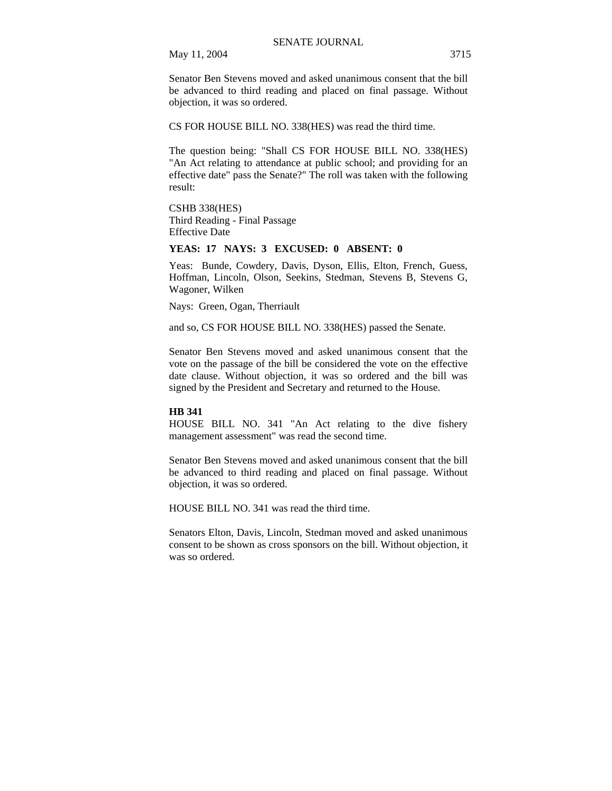May 11, 2004 3715

Senator Ben Stevens moved and asked unanimous consent that the bill be advanced to third reading and placed on final passage. Without objection, it was so ordered.

CS FOR HOUSE BILL NO. 338(HES) was read the third time.

The question being: "Shall CS FOR HOUSE BILL NO. 338(HES) "An Act relating to attendance at public school; and providing for an effective date" pass the Senate?" The roll was taken with the following result:

CSHB 338(HES) Third Reading - Final Passage Effective Date

# **YEAS: 17 NAYS: 3 EXCUSED: 0 ABSENT: 0**

Yeas: Bunde, Cowdery, Davis, Dyson, Ellis, Elton, French, Guess, Hoffman, Lincoln, Olson, Seekins, Stedman, Stevens B, Stevens G, Wagoner, Wilken

Nays: Green, Ogan, Therriault

and so, CS FOR HOUSE BILL NO. 338(HES) passed the Senate.

Senator Ben Stevens moved and asked unanimous consent that the vote on the passage of the bill be considered the vote on the effective date clause. Without objection, it was so ordered and the bill was signed by the President and Secretary and returned to the House.

# **HB 341**

HOUSE BILL NO. 341 "An Act relating to the dive fishery management assessment" was read the second time.

Senator Ben Stevens moved and asked unanimous consent that the bill be advanced to third reading and placed on final passage. Without objection, it was so ordered.

HOUSE BILL NO. 341 was read the third time.

Senators Elton, Davis, Lincoln, Stedman moved and asked unanimous consent to be shown as cross sponsors on the bill. Without objection, it was so ordered.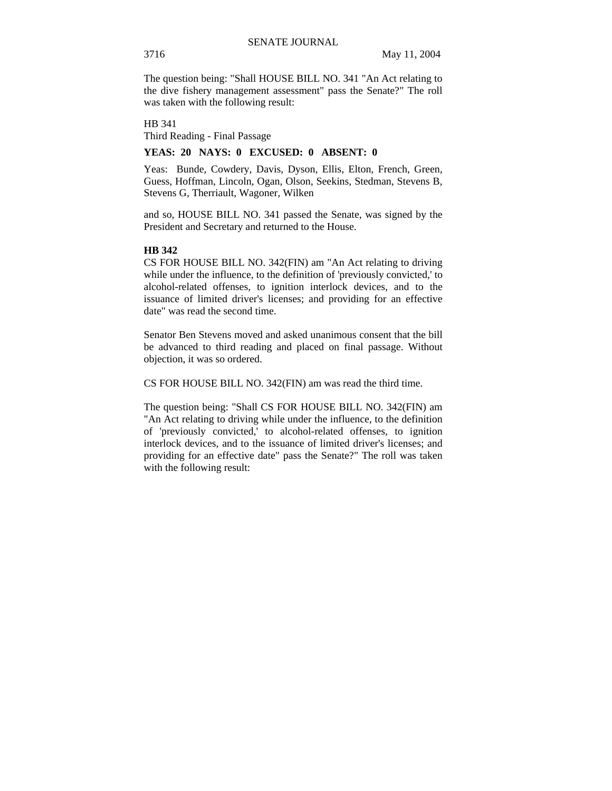The question being: "Shall HOUSE BILL NO. 341 "An Act relating to the dive fishery management assessment" pass the Senate?" The roll was taken with the following result:

HB 341

Third Reading - Final Passage

# **YEAS: 20 NAYS: 0 EXCUSED: 0 ABSENT: 0**

Yeas: Bunde, Cowdery, Davis, Dyson, Ellis, Elton, French, Green, Guess, Hoffman, Lincoln, Ogan, Olson, Seekins, Stedman, Stevens B, Stevens G, Therriault, Wagoner, Wilken

and so, HOUSE BILL NO. 341 passed the Senate, was signed by the President and Secretary and returned to the House.

# **HB 342**

CS FOR HOUSE BILL NO. 342(FIN) am "An Act relating to driving while under the influence, to the definition of 'previously convicted,' to alcohol-related offenses, to ignition interlock devices, and to the issuance of limited driver's licenses; and providing for an effective date" was read the second time.

Senator Ben Stevens moved and asked unanimous consent that the bill be advanced to third reading and placed on final passage. Without objection, it was so ordered.

CS FOR HOUSE BILL NO. 342(FIN) am was read the third time.

The question being: "Shall CS FOR HOUSE BILL NO. 342(FIN) am "An Act relating to driving while under the influence, to the definition of 'previously convicted,' to alcohol-related offenses, to ignition interlock devices, and to the issuance of limited driver's licenses; and providing for an effective date" pass the Senate?" The roll was taken with the following result: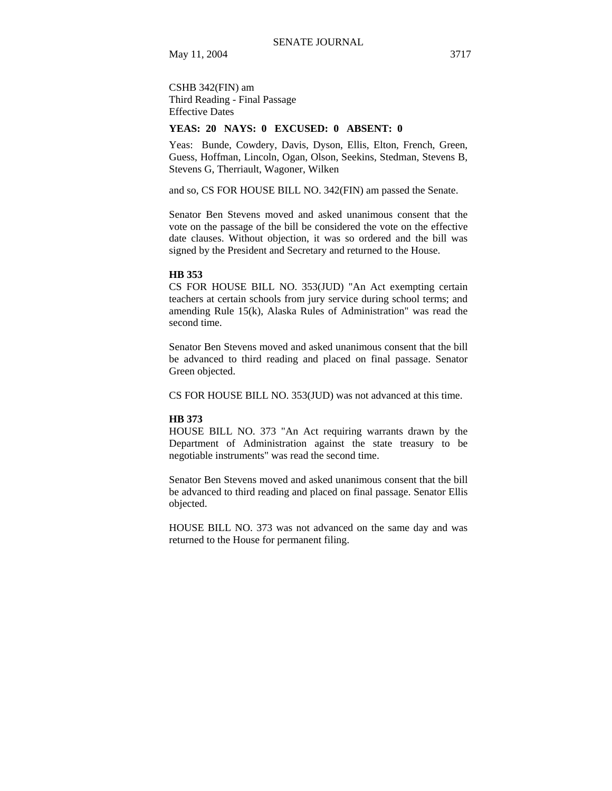CSHB 342(FIN) am Third Reading - Final Passage Effective Dates

# **YEAS: 20 NAYS: 0 EXCUSED: 0 ABSENT: 0**

Yeas: Bunde, Cowdery, Davis, Dyson, Ellis, Elton, French, Green, Guess, Hoffman, Lincoln, Ogan, Olson, Seekins, Stedman, Stevens B, Stevens G, Therriault, Wagoner, Wilken

and so, CS FOR HOUSE BILL NO. 342(FIN) am passed the Senate.

Senator Ben Stevens moved and asked unanimous consent that the vote on the passage of the bill be considered the vote on the effective date clauses. Without objection, it was so ordered and the bill was signed by the President and Secretary and returned to the House.

### **HB 353**

CS FOR HOUSE BILL NO. 353(JUD) "An Act exempting certain teachers at certain schools from jury service during school terms; and amending Rule 15(k), Alaska Rules of Administration" was read the second time.

Senator Ben Stevens moved and asked unanimous consent that the bill be advanced to third reading and placed on final passage. Senator Green objected.

CS FOR HOUSE BILL NO. 353(JUD) was not advanced at this time.

#### **HB 373**

HOUSE BILL NO. 373 "An Act requiring warrants drawn by the Department of Administration against the state treasury to be negotiable instruments" was read the second time.

Senator Ben Stevens moved and asked unanimous consent that the bill be advanced to third reading and placed on final passage. Senator Ellis objected.

HOUSE BILL NO. 373 was not advanced on the same day and was returned to the House for permanent filing.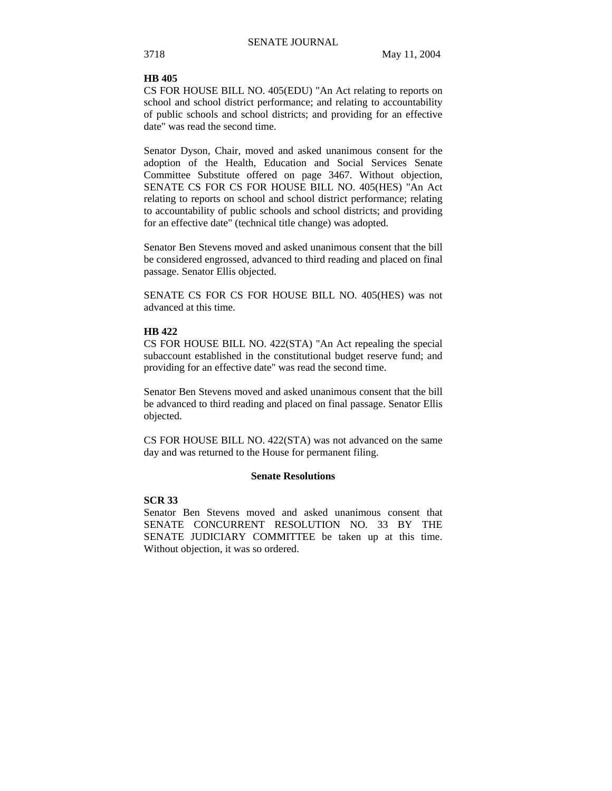# **HB 405**

CS FOR HOUSE BILL NO. 405(EDU) "An Act relating to reports on school and school district performance; and relating to accountability of public schools and school districts; and providing for an effective date" was read the second time.

Senator Dyson, Chair, moved and asked unanimous consent for the adoption of the Health, Education and Social Services Senate Committee Substitute offered on page 3467. Without objection, SENATE CS FOR CS FOR HOUSE BILL NO. 405(HES) "An Act relating to reports on school and school district performance; relating to accountability of public schools and school districts; and providing for an effective date" (technical title change) was adopted.

Senator Ben Stevens moved and asked unanimous consent that the bill be considered engrossed, advanced to third reading and placed on final passage. Senator Ellis objected.

SENATE CS FOR CS FOR HOUSE BILL NO. 405(HES) was not advanced at this time.

# **HB 422**

CS FOR HOUSE BILL NO. 422(STA) "An Act repealing the special subaccount established in the constitutional budget reserve fund; and providing for an effective date" was read the second time.

Senator Ben Stevens moved and asked unanimous consent that the bill be advanced to third reading and placed on final passage. Senator Ellis objected.

CS FOR HOUSE BILL NO. 422(STA) was not advanced on the same day and was returned to the House for permanent filing.

# **Senate Resolutions**

# **SCR 33**

Senator Ben Stevens moved and asked unanimous consent that SENATE CONCURRENT RESOLUTION NO. 33 BY THE SENATE JUDICIARY COMMITTEE be taken up at this time. Without objection, it was so ordered.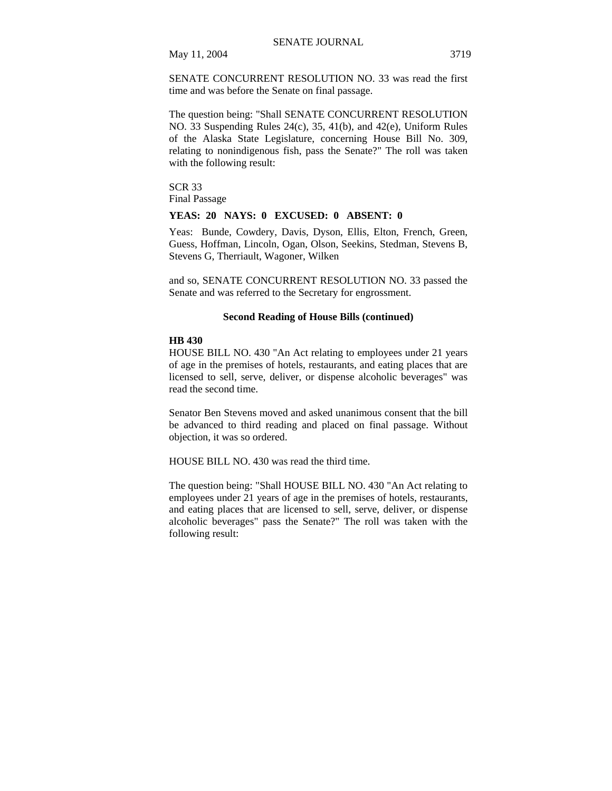May 11, 2004 3719

SENATE CONCURRENT RESOLUTION NO. 33 was read the first time and was before the Senate on final passage.

The question being: "Shall SENATE CONCURRENT RESOLUTION NO. 33 Suspending Rules 24(c), 35, 41(b), and 42(e), Uniform Rules of the Alaska State Legislature, concerning House Bill No. 309, relating to nonindigenous fish, pass the Senate?" The roll was taken with the following result:

SCR 33 Final Passage

# **YEAS: 20 NAYS: 0 EXCUSED: 0 ABSENT: 0**

Yeas: Bunde, Cowdery, Davis, Dyson, Ellis, Elton, French, Green, Guess, Hoffman, Lincoln, Ogan, Olson, Seekins, Stedman, Stevens B, Stevens G, Therriault, Wagoner, Wilken

and so, SENATE CONCURRENT RESOLUTION NO. 33 passed the Senate and was referred to the Secretary for engrossment.

# **Second Reading of House Bills (continued)**

#### **HB 430**

HOUSE BILL NO. 430 "An Act relating to employees under 21 years of age in the premises of hotels, restaurants, and eating places that are licensed to sell, serve, deliver, or dispense alcoholic beverages" was read the second time.

Senator Ben Stevens moved and asked unanimous consent that the bill be advanced to third reading and placed on final passage. Without objection, it was so ordered.

HOUSE BILL NO. 430 was read the third time.

The question being: "Shall HOUSE BILL NO. 430 "An Act relating to employees under 21 years of age in the premises of hotels, restaurants, and eating places that are licensed to sell, serve, deliver, or dispense alcoholic beverages" pass the Senate?" The roll was taken with the following result: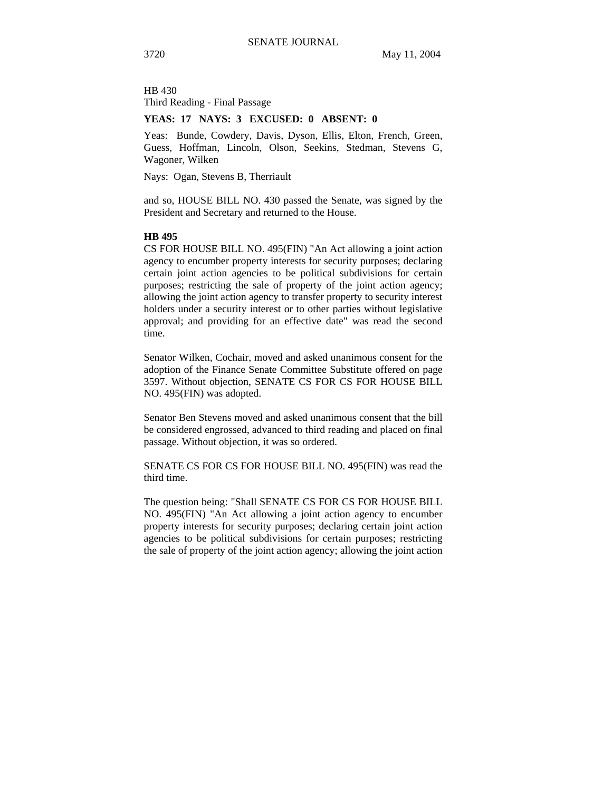HB 430 Third Reading - Final Passage

# **YEAS: 17 NAYS: 3 EXCUSED: 0 ABSENT: 0**

Yeas: Bunde, Cowdery, Davis, Dyson, Ellis, Elton, French, Green, Guess, Hoffman, Lincoln, Olson, Seekins, Stedman, Stevens G, Wagoner, Wilken

Nays: Ogan, Stevens B, Therriault

and so, HOUSE BILL NO. 430 passed the Senate, was signed by the President and Secretary and returned to the House.

# **HB 495**

CS FOR HOUSE BILL NO. 495(FIN) "An Act allowing a joint action agency to encumber property interests for security purposes; declaring certain joint action agencies to be political subdivisions for certain purposes; restricting the sale of property of the joint action agency; allowing the joint action agency to transfer property to security interest holders under a security interest or to other parties without legislative approval; and providing for an effective date" was read the second time.

Senator Wilken, Cochair, moved and asked unanimous consent for the adoption of the Finance Senate Committee Substitute offered on page 3597. Without objection, SENATE CS FOR CS FOR HOUSE BILL NO. 495(FIN) was adopted.

Senator Ben Stevens moved and asked unanimous consent that the bill be considered engrossed, advanced to third reading and placed on final passage. Without objection, it was so ordered.

SENATE CS FOR CS FOR HOUSE BILL NO. 495(FIN) was read the third time.

The question being: "Shall SENATE CS FOR CS FOR HOUSE BILL NO. 495(FIN) "An Act allowing a joint action agency to encumber property interests for security purposes; declaring certain joint action agencies to be political subdivisions for certain purposes; restricting the sale of property of the joint action agency; allowing the joint action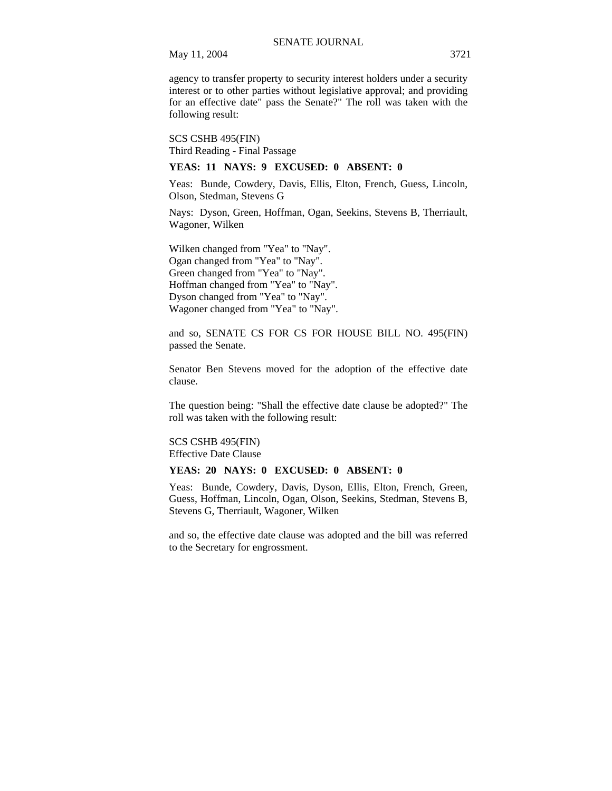agency to transfer property to security interest holders under a security interest or to other parties without legislative approval; and providing for an effective date" pass the Senate?" The roll was taken with the following result:

SCS CSHB 495(FIN) Third Reading - Final Passage

# **YEAS: 11 NAYS: 9 EXCUSED: 0 ABSENT: 0**

Yeas: Bunde, Cowdery, Davis, Ellis, Elton, French, Guess, Lincoln, Olson, Stedman, Stevens G

Nays: Dyson, Green, Hoffman, Ogan, Seekins, Stevens B, Therriault, Wagoner, Wilken

Wilken changed from "Yea" to "Nay". Ogan changed from "Yea" to "Nay". Green changed from "Yea" to "Nay". Hoffman changed from "Yea" to "Nay". Dyson changed from "Yea" to "Nay". Wagoner changed from "Yea" to "Nay".

and so, SENATE CS FOR CS FOR HOUSE BILL NO. 495(FIN) passed the Senate.

Senator Ben Stevens moved for the adoption of the effective date clause.

The question being: "Shall the effective date clause be adopted?" The roll was taken with the following result:

SCS CSHB 495(FIN) Effective Date Clause

#### **YEAS: 20 NAYS: 0 EXCUSED: 0 ABSENT: 0**

Yeas: Bunde, Cowdery, Davis, Dyson, Ellis, Elton, French, Green, Guess, Hoffman, Lincoln, Ogan, Olson, Seekins, Stedman, Stevens B, Stevens G, Therriault, Wagoner, Wilken

and so, the effective date clause was adopted and the bill was referred to the Secretary for engrossment.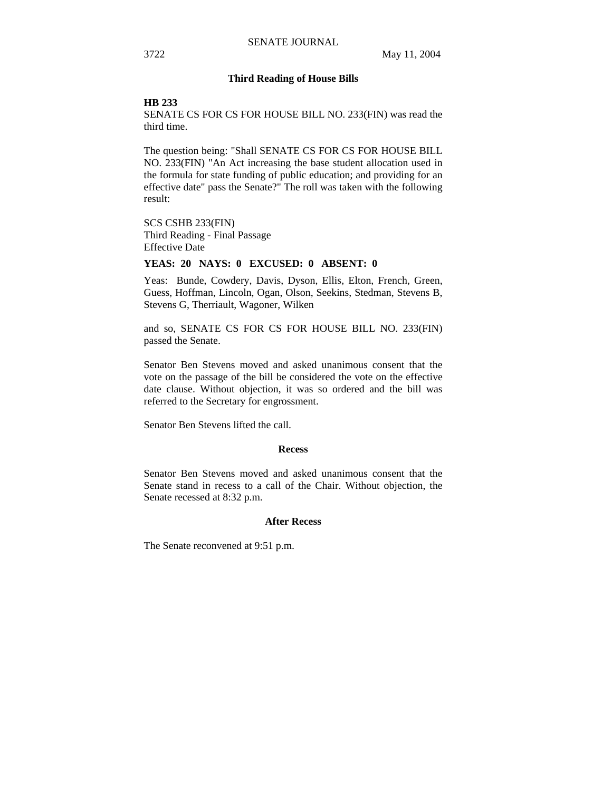# **Third Reading of House Bills**

#### **HB 233**

SENATE CS FOR CS FOR HOUSE BILL NO. 233(FIN) was read the third time.

The question being: "Shall SENATE CS FOR CS FOR HOUSE BILL NO. 233(FIN) "An Act increasing the base student allocation used in the formula for state funding of public education; and providing for an effective date" pass the Senate?" The roll was taken with the following result:

SCS CSHB 233(FIN) Third Reading - Final Passage Effective Date

# **YEAS: 20 NAYS: 0 EXCUSED: 0 ABSENT: 0**

Yeas: Bunde, Cowdery, Davis, Dyson, Ellis, Elton, French, Green, Guess, Hoffman, Lincoln, Ogan, Olson, Seekins, Stedman, Stevens B, Stevens G, Therriault, Wagoner, Wilken

and so, SENATE CS FOR CS FOR HOUSE BILL NO. 233(FIN) passed the Senate.

Senator Ben Stevens moved and asked unanimous consent that the vote on the passage of the bill be considered the vote on the effective date clause. Without objection, it was so ordered and the bill was referred to the Secretary for engrossment.

Senator Ben Stevens lifted the call.

#### **Recess**

Senator Ben Stevens moved and asked unanimous consent that the Senate stand in recess to a call of the Chair. Without objection, the Senate recessed at 8:32 p.m.

### **After Recess**

The Senate reconvened at 9:51 p.m.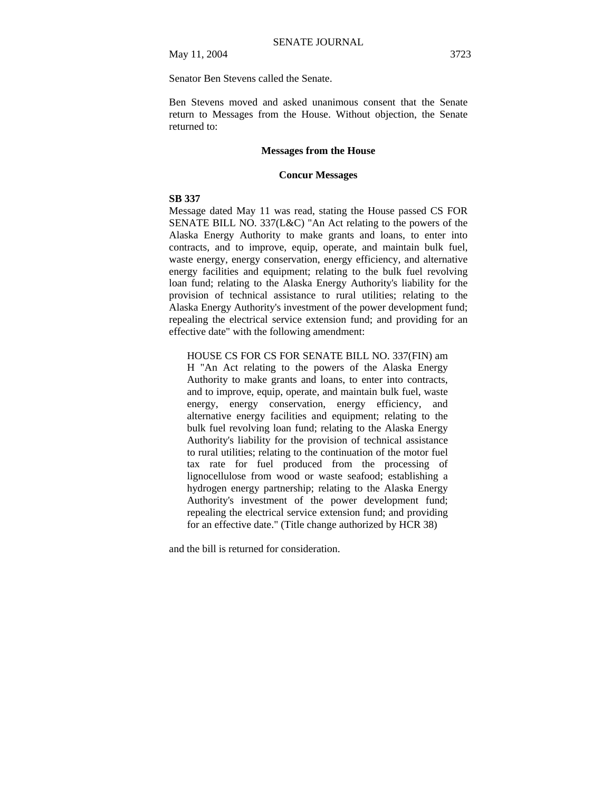May 11, 2004 3723

Senator Ben Stevens called the Senate.

Ben Stevens moved and asked unanimous consent that the Senate return to Messages from the House. Without objection, the Senate returned to:

# **Messages from the House**

# **Concur Messages**

# **SB 337**

Message dated May 11 was read, stating the House passed CS FOR SENATE BILL NO. 337(L&C) "An Act relating to the powers of the Alaska Energy Authority to make grants and loans, to enter into contracts, and to improve, equip, operate, and maintain bulk fuel, waste energy, energy conservation, energy efficiency, and alternative energy facilities and equipment; relating to the bulk fuel revolving loan fund; relating to the Alaska Energy Authority's liability for the provision of technical assistance to rural utilities; relating to the Alaska Energy Authority's investment of the power development fund; repealing the electrical service extension fund; and providing for an effective date" with the following amendment:

# HOUSE CS FOR CS FOR SENATE BILL NO. 337(FIN) am

H "An Act relating to the powers of the Alaska Energy Authority to make grants and loans, to enter into contracts, and to improve, equip, operate, and maintain bulk fuel, waste energy, energy conservation, energy efficiency, and alternative energy facilities and equipment; relating to the bulk fuel revolving loan fund; relating to the Alaska Energy Authority's liability for the provision of technical assistance to rural utilities; relating to the continuation of the motor fuel tax rate for fuel produced from the processing of lignocellulose from wood or waste seafood; establishing a hydrogen energy partnership; relating to the Alaska Energy Authority's investment of the power development fund; repealing the electrical service extension fund; and providing for an effective date." (Title change authorized by HCR 38)

and the bill is returned for consideration.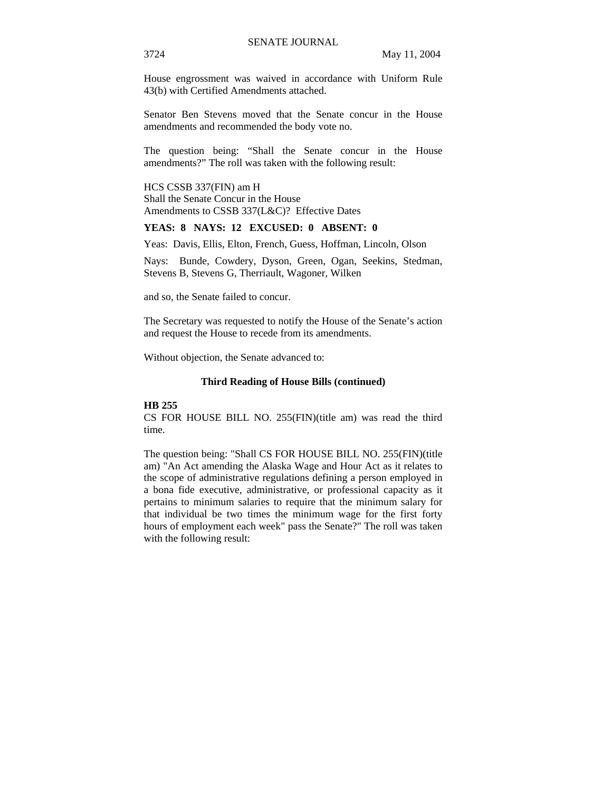House engrossment was waived in accordance with Uniform Rule 43(b) with Certified Amendments attached.

Senator Ben Stevens moved that the Senate concur in the House amendments and recommended the body vote no.

The question being: "Shall the Senate concur in the House amendments?" The roll was taken with the following result:

HCS CSSB 337(FIN) am H Shall the Senate Concur in the House Amendments to CSSB 337(L&C)? Effective Dates

# **YEAS: 8 NAYS: 12 EXCUSED: 0 ABSENT: 0**

Yeas: Davis, Ellis, Elton, French, Guess, Hoffman, Lincoln, Olson

Nays: Bunde, Cowdery, Dyson, Green, Ogan, Seekins, Stedman, Stevens B, Stevens G, Therriault, Wagoner, Wilken

and so, the Senate failed to concur.

The Secretary was requested to notify the House of the Senate's action and request the House to recede from its amendments.

Without objection, the Senate advanced to:

#### **Third Reading of House Bills (continued)**

#### **HB 255**

CS FOR HOUSE BILL NO. 255(FIN)(title am) was read the third time.

The question being: "Shall CS FOR HOUSE BILL NO. 255(FIN)(title am) "An Act amending the Alaska Wage and Hour Act as it relates to the scope of administrative regulations defining a person employed in a bona fide executive, administrative, or professional capacity as it pertains to minimum salaries to require that the minimum salary for that individual be two times the minimum wage for the first forty hours of employment each week" pass the Senate?" The roll was taken with the following result: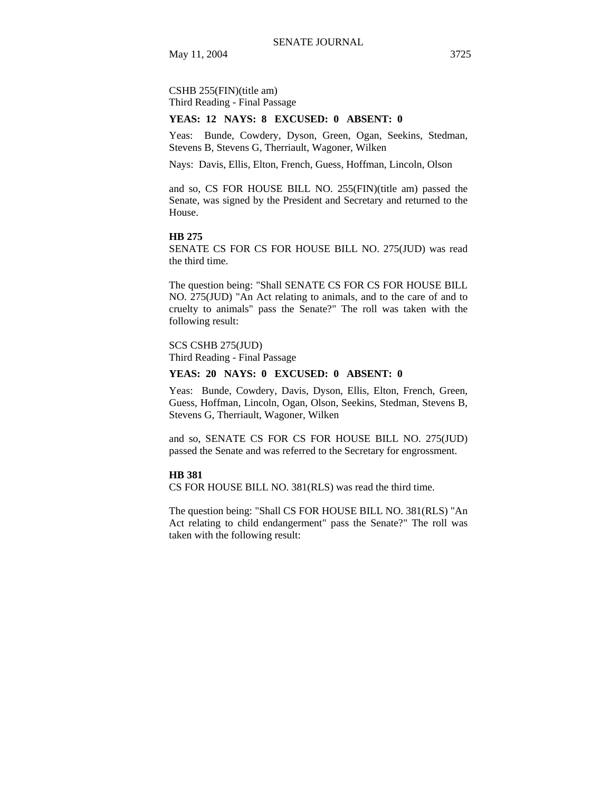CSHB 255(FIN)(title am) Third Reading - Final Passage

#### **YEAS: 12 NAYS: 8 EXCUSED: 0 ABSENT: 0**

Yeas: Bunde, Cowdery, Dyson, Green, Ogan, Seekins, Stedman, Stevens B, Stevens G, Therriault, Wagoner, Wilken

Nays: Davis, Ellis, Elton, French, Guess, Hoffman, Lincoln, Olson

and so, CS FOR HOUSE BILL NO. 255(FIN)(title am) passed the Senate, was signed by the President and Secretary and returned to the House.

#### **HB 275**

SENATE CS FOR CS FOR HOUSE BILL NO. 275(JUD) was read the third time.

The question being: "Shall SENATE CS FOR CS FOR HOUSE BILL NO. 275(JUD) "An Act relating to animals, and to the care of and to cruelty to animals" pass the Senate?" The roll was taken with the following result:

# SCS CSHB 275(JUD)

Third Reading - Final Passage

# **YEAS: 20 NAYS: 0 EXCUSED: 0 ABSENT: 0**

Yeas: Bunde, Cowdery, Davis, Dyson, Ellis, Elton, French, Green, Guess, Hoffman, Lincoln, Ogan, Olson, Seekins, Stedman, Stevens B, Stevens G, Therriault, Wagoner, Wilken

and so, SENATE CS FOR CS FOR HOUSE BILL NO. 275(JUD) passed the Senate and was referred to the Secretary for engrossment.

# **HB 381**

CS FOR HOUSE BILL NO. 381(RLS) was read the third time.

The question being: "Shall CS FOR HOUSE BILL NO. 381(RLS) "An Act relating to child endangerment" pass the Senate?" The roll was taken with the following result: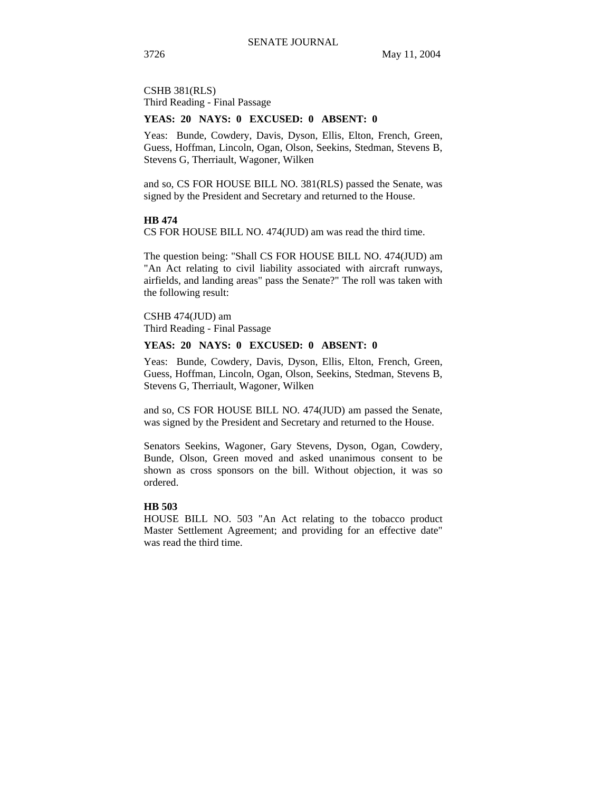CSHB 381(RLS) Third Reading - Final Passage

# **YEAS: 20 NAYS: 0 EXCUSED: 0 ABSENT: 0**

Yeas: Bunde, Cowdery, Davis, Dyson, Ellis, Elton, French, Green, Guess, Hoffman, Lincoln, Ogan, Olson, Seekins, Stedman, Stevens B, Stevens G, Therriault, Wagoner, Wilken

and so, CS FOR HOUSE BILL NO. 381(RLS) passed the Senate, was signed by the President and Secretary and returned to the House.

# **HB 474**

CS FOR HOUSE BILL NO. 474(JUD) am was read the third time.

The question being: "Shall CS FOR HOUSE BILL NO. 474(JUD) am "An Act relating to civil liability associated with aircraft runways, airfields, and landing areas" pass the Senate?" The roll was taken with the following result:

CSHB 474(JUD) am Third Reading - Final Passage

# **YEAS: 20 NAYS: 0 EXCUSED: 0 ABSENT: 0**

Yeas: Bunde, Cowdery, Davis, Dyson, Ellis, Elton, French, Green, Guess, Hoffman, Lincoln, Ogan, Olson, Seekins, Stedman, Stevens B, Stevens G, Therriault, Wagoner, Wilken

and so, CS FOR HOUSE BILL NO. 474(JUD) am passed the Senate, was signed by the President and Secretary and returned to the House.

Senators Seekins, Wagoner, Gary Stevens, Dyson, Ogan, Cowdery, Bunde, Olson, Green moved and asked unanimous consent to be shown as cross sponsors on the bill. Without objection, it was so ordered.

# **HB 503**

HOUSE BILL NO. 503 "An Act relating to the tobacco product Master Settlement Agreement; and providing for an effective date" was read the third time.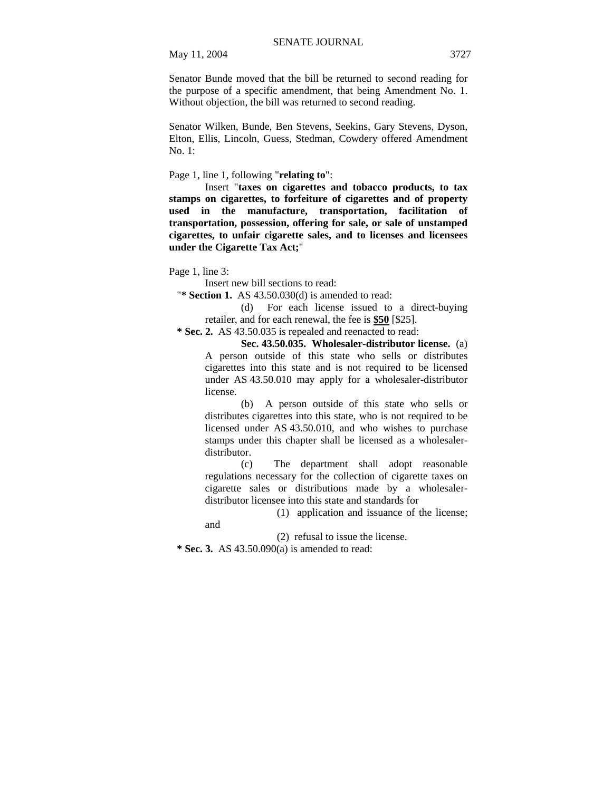May 11, 2004 3727

Senator Bunde moved that the bill be returned to second reading for the purpose of a specific amendment, that being Amendment No. 1. Without objection, the bill was returned to second reading.

Senator Wilken, Bunde, Ben Stevens, Seekins, Gary Stevens, Dyson, Elton, Ellis, Lincoln, Guess, Stedman, Cowdery offered Amendment No. 1:

Page 1, line 1, following "**relating to**":

Insert "**taxes on cigarettes and tobacco products, to tax stamps on cigarettes, to forfeiture of cigarettes and of property used in the manufacture, transportation, facilitation of transportation, possession, offering for sale, or sale of unstamped cigarettes, to unfair cigarette sales, and to licenses and licensees under the Cigarette Tax Act;**"

Page 1, line 3:

Insert new bill sections to read:

"**\* Section 1.** AS 43.50.030(d) is amended to read:

(d) For each license issued to a direct-buying retailer, and for each renewal, the fee is **\$50** [\$25].

 **\* Sec. 2.** AS 43.50.035 is repealed and reenacted to read:

**Sec. 43.50.035. Wholesaler-distributor license.** (a) A person outside of this state who sells or distributes cigarettes into this state and is not required to be licensed under AS 43.50.010 may apply for a wholesaler-distributor license.

(b) A person outside of this state who sells or distributes cigarettes into this state, who is not required to be licensed under AS 43.50.010, and who wishes to purchase stamps under this chapter shall be licensed as a wholesalerdistributor.

(c) The department shall adopt reasonable regulations necessary for the collection of cigarette taxes on cigarette sales or distributions made by a wholesalerdistributor licensee into this state and standards for

(1) application and issuance of the license;

and

(2) refusal to issue the license.

 **\* Sec. 3.** AS 43.50.090(a) is amended to read: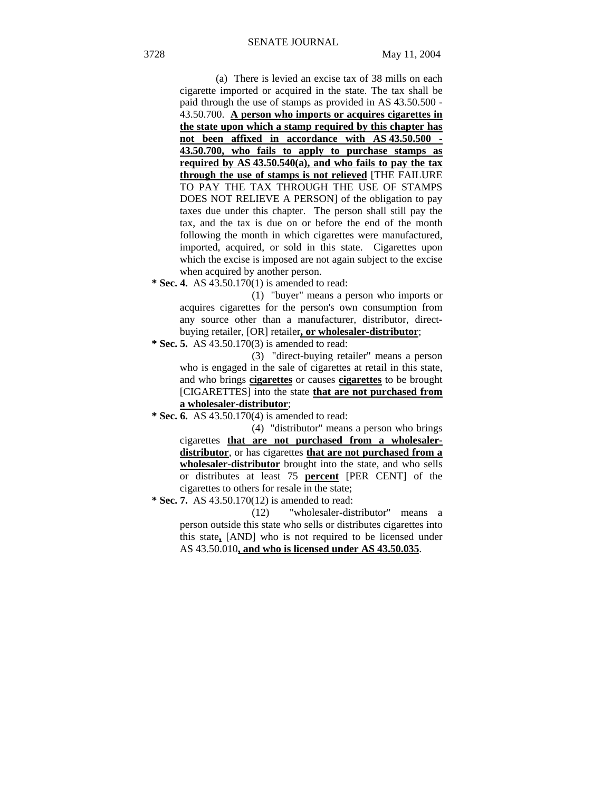(a) There is levied an excise tax of 38 mills on each cigarette imported or acquired in the state. The tax shall be paid through the use of stamps as provided in AS 43.50.500 - 43.50.700. **A person who imports or acquires cigarettes in the state upon which a stamp required by this chapter has not been affixed in accordance with AS 43.50.500 - 43.50.700, who fails to apply to purchase stamps as required by AS 43.50.540(a), and who fails to pay the tax through the use of stamps is not relieved** [THE FAILURE TO PAY THE TAX THROUGH THE USE OF STAMPS DOES NOT RELIEVE A PERSON] of the obligation to pay taxes due under this chapter. The person shall still pay the tax, and the tax is due on or before the end of the month following the month in which cigarettes were manufactured, imported, acquired, or sold in this state. Cigarettes upon which the excise is imposed are not again subject to the excise when acquired by another person.

 **\* Sec. 4.** AS 43.50.170(1) is amended to read:

(1) "buyer" means a person who imports or acquires cigarettes for the person's own consumption from any source other than a manufacturer, distributor, directbuying retailer, [OR] retailer**, or wholesaler-distributor**;

 **\* Sec. 5.** AS 43.50.170(3) is amended to read:

(3) "direct-buying retailer" means a person who is engaged in the sale of cigarettes at retail in this state, and who brings **cigarettes** or causes **cigarettes** to be brought [CIGARETTES] into the state **that are not purchased from a wholesaler-distributor**;

 **\* Sec. 6.** AS 43.50.170(4) is amended to read:

(4) "distributor" means a person who brings cigarettes **that are not purchased from a wholesalerdistributor**, or has cigarettes **that are not purchased from a wholesaler-distributor** brought into the state, and who sells or distributes at least 75 **percent** [PER CENT] of the cigarettes to others for resale in the state;

 **\* Sec. 7.** AS 43.50.170(12) is amended to read:

(12) "wholesaler-distributor" means a person outside this state who sells or distributes cigarettes into this state**,** [AND] who is not required to be licensed under AS 43.50.010**, and who is licensed under AS 43.50.035**.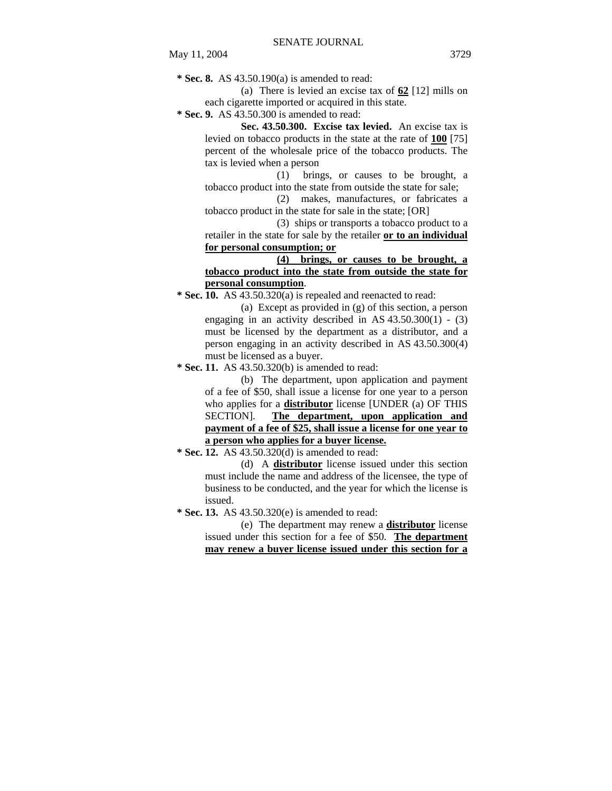**\* Sec. 8.** AS 43.50.190(a) is amended to read:

(a) There is levied an excise tax of **62** [12] mills on each cigarette imported or acquired in this state.

 **\* Sec. 9.** AS 43.50.300 is amended to read:

**Sec. 43.50.300. Excise tax levied.** An excise tax is levied on tobacco products in the state at the rate of **100** [75] percent of the wholesale price of the tobacco products. The tax is levied when a person

(1) brings, or causes to be brought, a tobacco product into the state from outside the state for sale;

(2) makes, manufactures, or fabricates a tobacco product in the state for sale in the state; [OR]

(3) ships or transports a tobacco product to a retailer in the state for sale by the retailer **or to an individual for personal consumption; or**

**(4) brings, or causes to be brought, a tobacco product into the state from outside the state for personal consumption**.

 **\* Sec. 10.** AS 43.50.320(a) is repealed and reenacted to read:

(a) Except as provided in (g) of this section, a person engaging in an activity described in AS  $43.50.300(1)$  - (3) must be licensed by the department as a distributor, and a person engaging in an activity described in AS 43.50.300(4) must be licensed as a buyer.

 **\* Sec. 11.** AS 43.50.320(b) is amended to read:

(b) The department, upon application and payment of a fee of \$50, shall issue a license for one year to a person who applies for a **distributor** license [UNDER (a) OF THIS SECTION]. **The department, upon application and payment of a fee of \$25, shall issue a license for one year to a person who applies for a buyer license.** 

 **\* Sec. 12.** AS 43.50.320(d) is amended to read:

(d) A **distributor** license issued under this section must include the name and address of the licensee, the type of business to be conducted, and the year for which the license is issued.

 **\* Sec. 13.** AS 43.50.320(e) is amended to read:

(e) The department may renew a **distributor** license issued under this section for a fee of \$50. **The department may renew a buyer license issued under this section for a**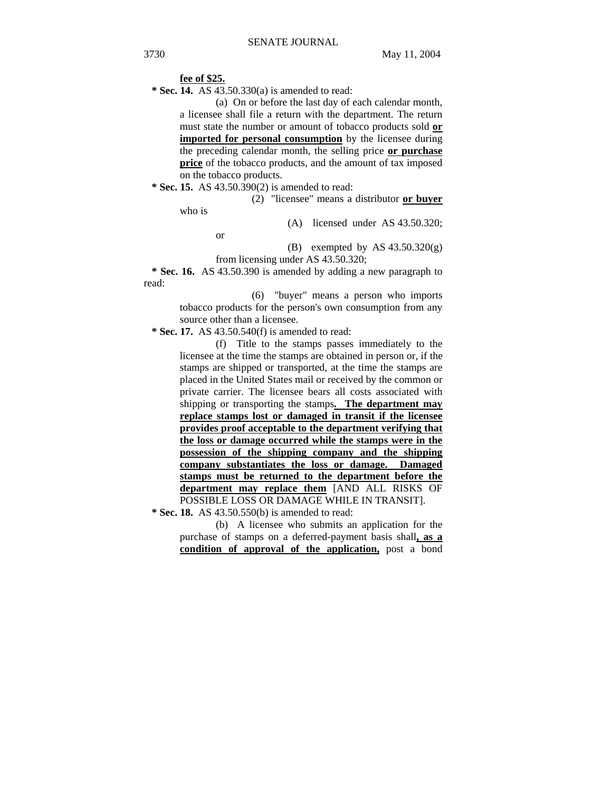#### **fee of \$25.**

 **\* Sec. 14.** AS 43.50.330(a) is amended to read:

(a) On or before the last day of each calendar month, a licensee shall file a return with the department. The return must state the number or amount of tobacco products sold **or imported for personal consumption** by the licensee during the preceding calendar month, the selling price **or purchase price** of the tobacco products, and the amount of tax imposed on the tobacco products.

 **\* Sec. 15.** AS 43.50.390(2) is amended to read:

(2) "licensee" means a distributor **or buyer**

who is

(A) licensed under AS 43.50.320;

or

(B) exempted by AS  $43.50.320(g)$ from licensing under AS 43.50.320;

 **\* Sec. 16.** AS 43.50.390 is amended by adding a new paragraph to

read:

(6) "buyer" means a person who imports tobacco products for the person's own consumption from any source other than a licensee.

 **\* Sec. 17.** AS 43.50.540(f) is amended to read:

(f) Title to the stamps passes immediately to the licensee at the time the stamps are obtained in person or, if the stamps are shipped or transported, at the time the stamps are placed in the United States mail or received by the common or private carrier. The licensee bears all costs associated with shipping or transporting the stamps**. The department may replace stamps lost or damaged in transit if the licensee provides proof acceptable to the department verifying that the loss or damage occurred while the stamps were in the possession of the shipping company and the shipping company substantiates the loss or damage. Damaged stamps must be returned to the department before the department may replace them** [AND ALL RISKS OF POSSIBLE LOSS OR DAMAGE WHILE IN TRANSIT].

 **\* Sec. 18.** AS 43.50.550(b) is amended to read:

(b) A licensee who submits an application for the purchase of stamps on a deferred-payment basis shall**, as a condition of approval of the application,** post a bond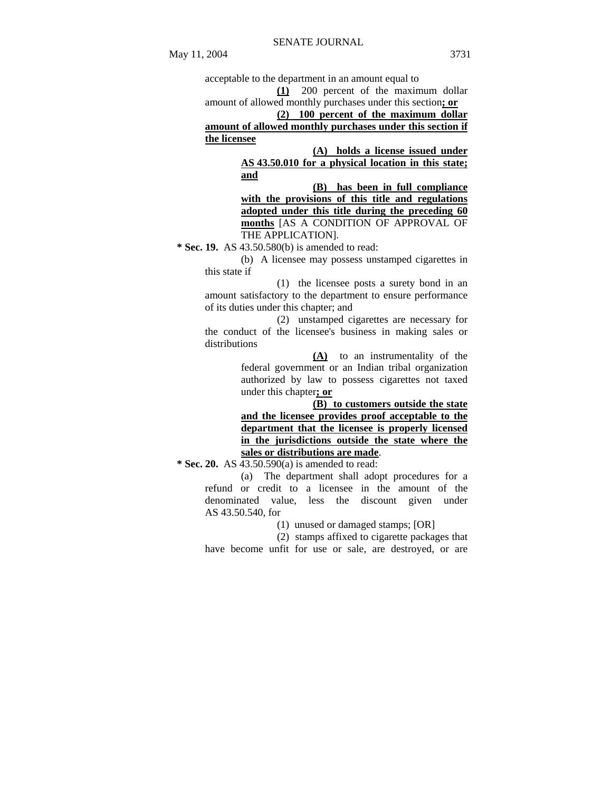**(1)** 200 percent of the maximum dollar amount of allowed monthly purchases under this section**; or**

**(2) 100 percent of the maximum dollar amount of allowed monthly purchases under this section if the licensee**

> **(A) holds a license issued under AS 43.50.010 for a physical location in this state; and**

**(B) has been in full compliance with the provisions of this title and regulations adopted under this title during the preceding 60 months** [AS A CONDITION OF APPROVAL OF THE APPLICATION].

 **\* Sec. 19.** AS 43.50.580(b) is amended to read:

(b) A licensee may possess unstamped cigarettes in this state if

(1) the licensee posts a surety bond in an amount satisfactory to the department to ensure performance of its duties under this chapter; and

(2) unstamped cigarettes are necessary for the conduct of the licensee's business in making sales or distributions

> **(A)** to an instrumentality of the federal government or an Indian tribal organization authorized by law to possess cigarettes not taxed under this chapter**; or**

> **(B) to customers outside the state and the licensee provides proof acceptable to the department that the licensee is properly licensed in the jurisdictions outside the state where the sales or distributions are made**.

 **\* Sec. 20.** AS 43.50.590(a) is amended to read:

(a) The department shall adopt procedures for a refund or credit to a licensee in the amount of the denominated value, less the discount given under AS 43.50.540, for

(1) unused or damaged stamps; [OR]

(2) stamps affixed to cigarette packages that have become unfit for use or sale, are destroyed, or are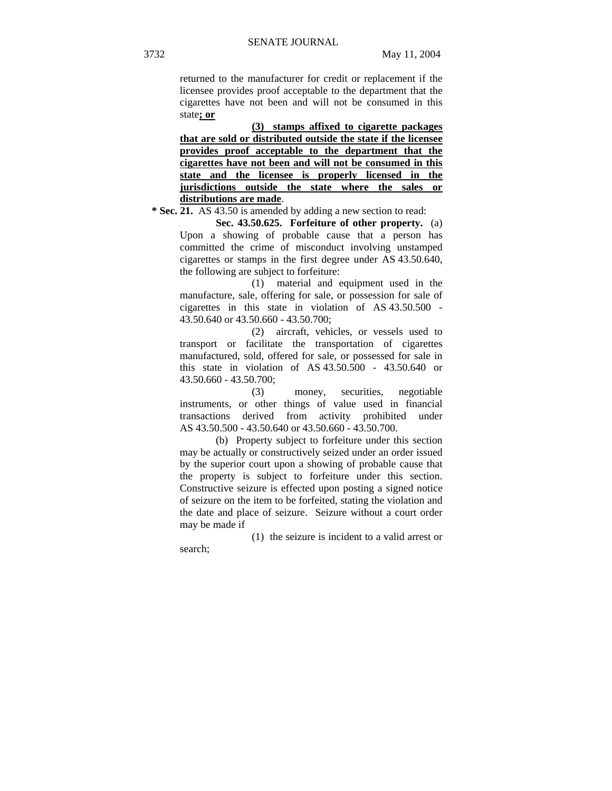returned to the manufacturer for credit or replacement if the licensee provides proof acceptable to the department that the cigarettes have not been and will not be consumed in this state**; or**

**(3) stamps affixed to cigarette packages that are sold or distributed outside the state if the licensee provides proof acceptable to the department that the cigarettes have not been and will not be consumed in this state and the licensee is properly licensed in the jurisdictions outside the state where the sales or distributions are made**.

 **\* Sec. 21.** AS 43.50 is amended by adding a new section to read:

**Sec. 43.50.625. Forfeiture of other property.** (a) Upon a showing of probable cause that a person has committed the crime of misconduct involving unstamped cigarettes or stamps in the first degree under AS 43.50.640, the following are subject to forfeiture:

(1) material and equipment used in the manufacture, sale, offering for sale, or possession for sale of cigarettes in this state in violation of AS 43.50.500 - 43.50.640 or 43.50.660 - 43.50.700;

(2) aircraft, vehicles, or vessels used to transport or facilitate the transportation of cigarettes manufactured, sold, offered for sale, or possessed for sale in this state in violation of AS 43.50.500 - 43.50.640 or 43.50.660 - 43.50.700;

(3) money, securities, negotiable instruments, or other things of value used in financial transactions derived from activity prohibited under AS 43.50.500 - 43.50.640 or 43.50.660 - 43.50.700.

(b) Property subject to forfeiture under this section may be actually or constructively seized under an order issued by the superior court upon a showing of probable cause that the property is subject to forfeiture under this section. Constructive seizure is effected upon posting a signed notice of seizure on the item to be forfeited, stating the violation and the date and place of seizure. Seizure without a court order may be made if

(1) the seizure is incident to a valid arrest or search;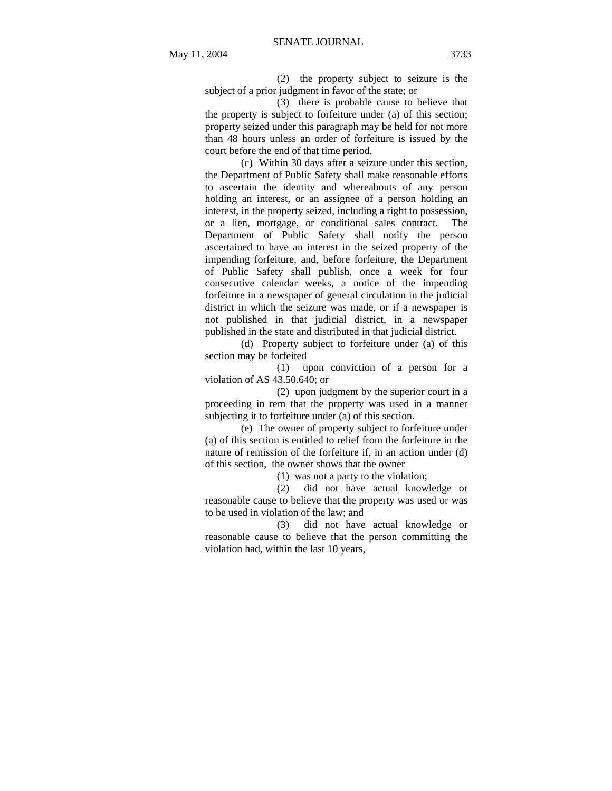(2) the property subject to seizure is the subject of a prior judgment in favor of the state; or

(3) there is probable cause to believe that the property is subject to forfeiture under (a) of this section; property seized under this paragraph may be held for not more than 48 hours unless an order of forfeiture is issued by the court before the end of that time period.

(c) Within 30 days after a seizure under this section, the Department of Public Safety shall make reasonable efforts to ascertain the identity and whereabouts of any person holding an interest, or an assignee of a person holding an interest, in the property seized, including a right to possession, or a lien, mortgage, or conditional sales contract. The Department of Public Safety shall notify the person ascertained to have an interest in the seized property of the impending forfeiture, and, before forfeiture, the Department of Public Safety shall publish, once a week for four consecutive calendar weeks, a notice of the impending forfeiture in a newspaper of general circulation in the judicial district in which the seizure was made, or if a newspaper is not published in that judicial district, in a newspaper published in the state and distributed in that judicial district.

(d) Property subject to forfeiture under (a) of this section may be forfeited

(1) upon conviction of a person for a violation of AS 43.50.640; or

(2) upon judgment by the superior court in a proceeding in rem that the property was used in a manner subjecting it to forfeiture under (a) of this section.

(e) The owner of property subject to forfeiture under (a) of this section is entitled to relief from the forfeiture in the nature of remission of the forfeiture if, in an action under (d) of this section, the owner shows that the owner

(1) was not a party to the violation;

(2) did not have actual knowledge or reasonable cause to believe that the property was used or was to be used in violation of the law; and

(3) did not have actual knowledge or reasonable cause to believe that the person committing the violation had, within the last 10 years,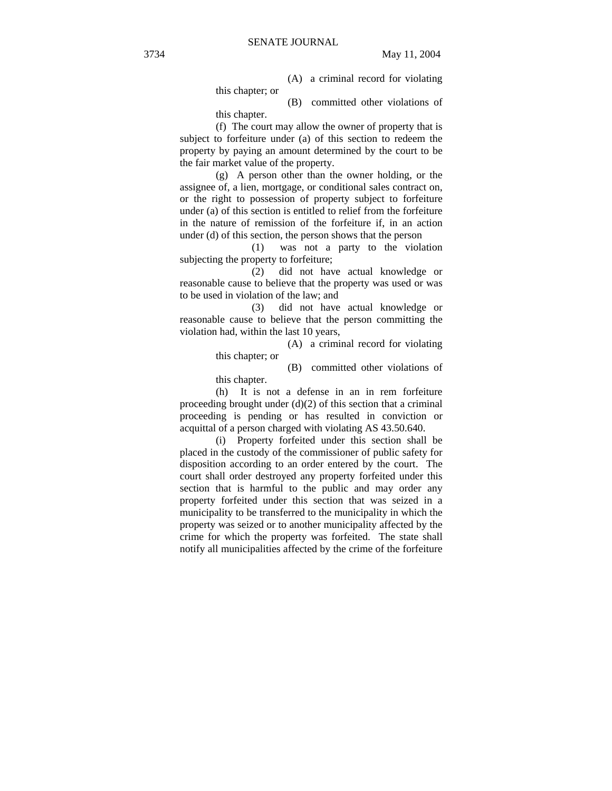(A) a criminal record for violating this chapter; or

(B) committed other violations of this chapter.

(f) The court may allow the owner of property that is subject to forfeiture under (a) of this section to redeem the property by paying an amount determined by the court to be the fair market value of the property.

(g) A person other than the owner holding, or the assignee of, a lien, mortgage, or conditional sales contract on, or the right to possession of property subject to forfeiture under (a) of this section is entitled to relief from the forfeiture in the nature of remission of the forfeiture if, in an action under (d) of this section, the person shows that the person

(1) was not a party to the violation subjecting the property to forfeiture;

(2) did not have actual knowledge or reasonable cause to believe that the property was used or was to be used in violation of the law; and

(3) did not have actual knowledge or reasonable cause to believe that the person committing the violation had, within the last 10 years,

> (A) a criminal record for violating this chapter; or

> (B) committed other violations of this chapter.

(h) It is not a defense in an in rem forfeiture proceeding brought under  $(d)(2)$  of this section that a criminal proceeding is pending or has resulted in conviction or acquittal of a person charged with violating AS 43.50.640.

(i) Property forfeited under this section shall be placed in the custody of the commissioner of public safety for disposition according to an order entered by the court. The court shall order destroyed any property forfeited under this section that is harmful to the public and may order any property forfeited under this section that was seized in a municipality to be transferred to the municipality in which the property was seized or to another municipality affected by the crime for which the property was forfeited. The state shall notify all municipalities affected by the crime of the forfeiture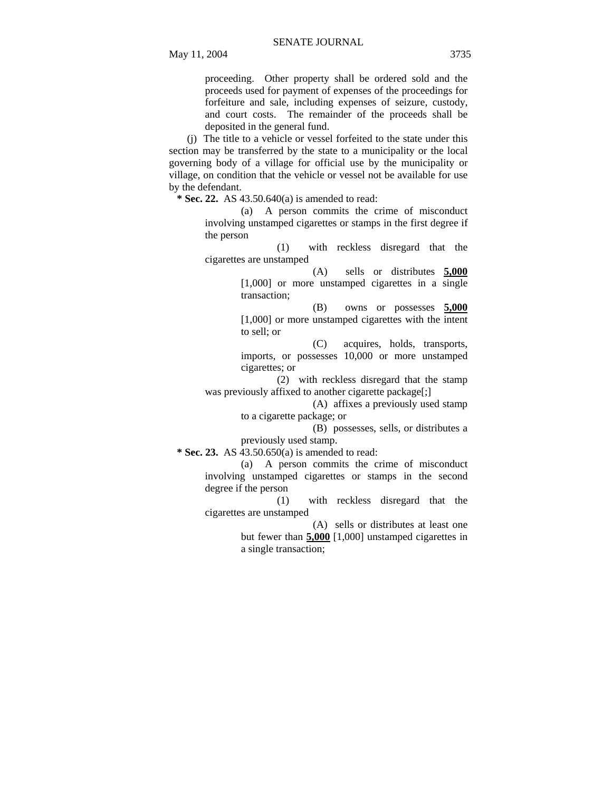proceeding. Other property shall be ordered sold and the proceeds used for payment of expenses of the proceedings for forfeiture and sale, including expenses of seizure, custody, and court costs. The remainder of the proceeds shall be deposited in the general fund.

(j) The title to a vehicle or vessel forfeited to the state under this section may be transferred by the state to a municipality or the local governing body of a village for official use by the municipality or village, on condition that the vehicle or vessel not be available for use by the defendant.

**\* Sec. 22.** AS 43.50.640(a) is amended to read:

(a) A person commits the crime of misconduct involving unstamped cigarettes or stamps in the first degree if the person

(1) with reckless disregard that the cigarettes are unstamped

> (A) sells or distributes **5,000** [1,000] or more unstamped cigarettes in a single transaction;

> (B) owns or possesses **5,000** [1,000] or more unstamped cigarettes with the intent to sell; or

> (C) acquires, holds, transports, imports, or possesses 10,000 or more unstamped cigarettes; or

(2) with reckless disregard that the stamp was previously affixed to another cigarette package[;]

> (A) affixes a previously used stamp to a cigarette package; or

> (B) possesses, sells, or distributes a previously used stamp.

 **\* Sec. 23.** AS 43.50.650(a) is amended to read:

(a) A person commits the crime of misconduct involving unstamped cigarettes or stamps in the second degree if the person

(1) with reckless disregard that the cigarettes are unstamped

(A) sells or distributes at least one but fewer than **5,000** [1,000] unstamped cigarettes in a single transaction;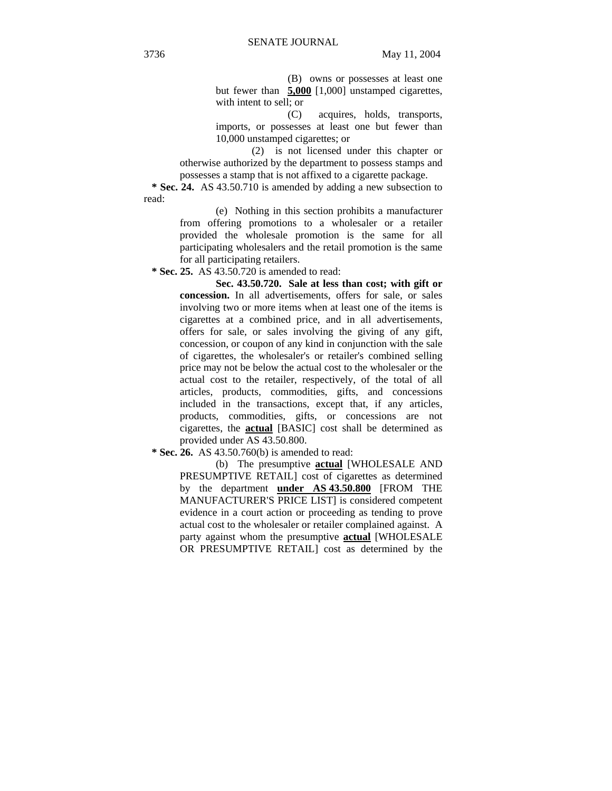(B) owns or possesses at least one but fewer than **5,000** [1,000] unstamped cigarettes, with intent to sell; or

(C) acquires, holds, transports, imports, or possesses at least one but fewer than 10,000 unstamped cigarettes; or

(2) is not licensed under this chapter or otherwise authorized by the department to possess stamps and possesses a stamp that is not affixed to a cigarette package.

 **\* Sec. 24.** AS 43.50.710 is amended by adding a new subsection to read:

> (e) Nothing in this section prohibits a manufacturer from offering promotions to a wholesaler or a retailer provided the wholesale promotion is the same for all participating wholesalers and the retail promotion is the same for all participating retailers.

 **\* Sec. 25.** AS 43.50.720 is amended to read:

**Sec. 43.50.720. Sale at less than cost; with gift or concession.** In all advertisements, offers for sale, or sales involving two or more items when at least one of the items is cigarettes at a combined price, and in all advertisements, offers for sale, or sales involving the giving of any gift, concession, or coupon of any kind in conjunction with the sale of cigarettes, the wholesaler's or retailer's combined selling price may not be below the actual cost to the wholesaler or the actual cost to the retailer, respectively, of the total of all articles, products, commodities, gifts, and concessions included in the transactions, except that, if any articles, products, commodities, gifts, or concessions are not cigarettes, the **actual** [BASIC] cost shall be determined as provided under AS 43.50.800.

 **\* Sec. 26.** AS 43.50.760(b) is amended to read:

(b) The presumptive **actual** [WHOLESALE AND PRESUMPTIVE RETAIL] cost of cigarettes as determined by the department **under AS 43.50.800** [FROM THE MANUFACTURER'S PRICE LIST] is considered competent evidence in a court action or proceeding as tending to prove actual cost to the wholesaler or retailer complained against. A party against whom the presumptive **actual** [WHOLESALE OR PRESUMPTIVE RETAIL] cost as determined by the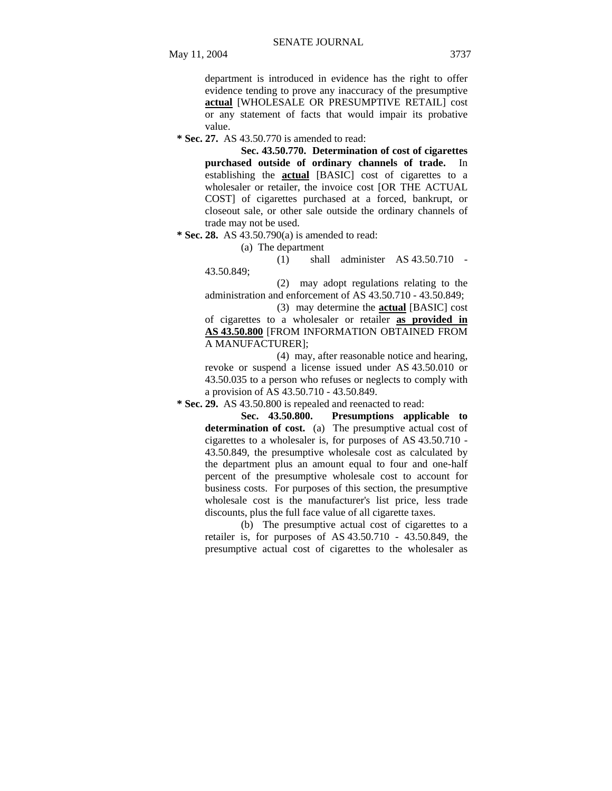department is introduced in evidence has the right to offer evidence tending to prove any inaccuracy of the presumptive **actual** [WHOLESALE OR PRESUMPTIVE RETAIL] cost or any statement of facts that would impair its probative value.

 **\* Sec. 27.** AS 43.50.770 is amended to read:

**Sec. 43.50.770. Determination of cost of cigarettes purchased outside of ordinary channels of trade.** In establishing the **actual** [BASIC] cost of cigarettes to a wholesaler or retailer, the invoice cost [OR THE ACTUAL COST] of cigarettes purchased at a forced, bankrupt, or closeout sale, or other sale outside the ordinary channels of trade may not be used.

 **\* Sec. 28.** AS 43.50.790(a) is amended to read:

(a) The department

(1) shall administer AS 43.50.710 - 43.50.849;

(2) may adopt regulations relating to the administration and enforcement of AS 43.50.710 - 43.50.849;

(3) may determine the **actual** [BASIC] cost of cigarettes to a wholesaler or retailer **as provided in AS 43.50.800** [FROM INFORMATION OBTAINED FROM A MANUFACTURER];

(4) may, after reasonable notice and hearing, revoke or suspend a license issued under AS 43.50.010 or 43.50.035 to a person who refuses or neglects to comply with a provision of AS 43.50.710 - 43.50.849.

 **\* Sec. 29.** AS 43.50.800 is repealed and reenacted to read:

**Sec. 43.50.800. Presumptions applicable to determination of cost.** (a) The presumptive actual cost of cigarettes to a wholesaler is, for purposes of AS 43.50.710 - 43.50.849, the presumptive wholesale cost as calculated by the department plus an amount equal to four and one-half percent of the presumptive wholesale cost to account for business costs. For purposes of this section, the presumptive wholesale cost is the manufacturer's list price, less trade discounts, plus the full face value of all cigarette taxes.

(b) The presumptive actual cost of cigarettes to a retailer is, for purposes of AS 43.50.710 - 43.50.849, the presumptive actual cost of cigarettes to the wholesaler as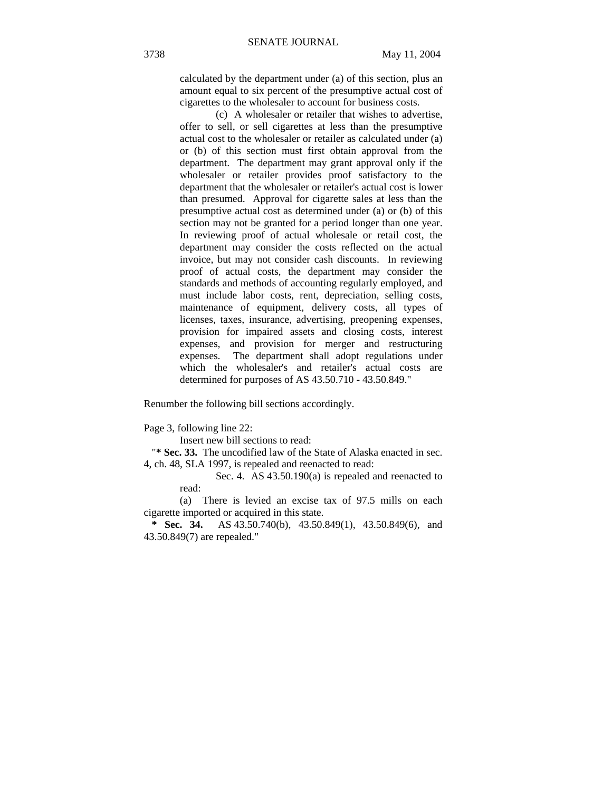calculated by the department under (a) of this section, plus an amount equal to six percent of the presumptive actual cost of cigarettes to the wholesaler to account for business costs.

(c) A wholesaler or retailer that wishes to advertise, offer to sell, or sell cigarettes at less than the presumptive actual cost to the wholesaler or retailer as calculated under (a) or (b) of this section must first obtain approval from the department. The department may grant approval only if the wholesaler or retailer provides proof satisfactory to the department that the wholesaler or retailer's actual cost is lower than presumed. Approval for cigarette sales at less than the presumptive actual cost as determined under (a) or (b) of this section may not be granted for a period longer than one year. In reviewing proof of actual wholesale or retail cost, the department may consider the costs reflected on the actual invoice, but may not consider cash discounts. In reviewing proof of actual costs, the department may consider the standards and methods of accounting regularly employed, and must include labor costs, rent, depreciation, selling costs, maintenance of equipment, delivery costs, all types of licenses, taxes, insurance, advertising, preopening expenses, provision for impaired assets and closing costs, interest expenses, and provision for merger and restructuring expenses. The department shall adopt regulations under which the wholesaler's and retailer's actual costs are determined for purposes of AS 43.50.710 - 43.50.849."

Renumber the following bill sections accordingly.

Page 3, following line 22:

Insert new bill sections to read:

"**\* Sec. 33.** The uncodified law of the State of Alaska enacted in sec. 4, ch. 48, SLA 1997, is repealed and reenacted to read:

> Sec. 4.AS 43.50.190(a) is repealed and reenacted to read:

(a) There is levied an excise tax of 97.5 mills on each cigarette imported or acquired in this state.

 **\* Sec. 34.** AS 43.50.740(b), 43.50.849(1), 43.50.849(6), and 43.50.849(7) are repealed."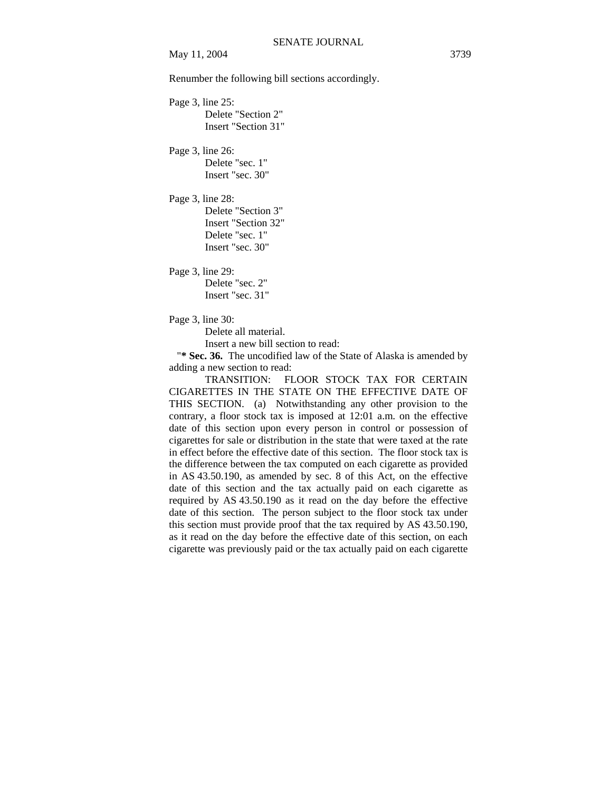May 11, 2004 3739

Renumber the following bill sections accordingly.

Page 3, line 25: Delete "Section 2" Insert "Section 31"

Page 3, line 26:

Delete "sec. 1" Insert "sec. 30"

Page 3, line 28: Delete "Section 3" Insert "Section 32" Delete "sec. 1" Insert "sec. 30"

Page 3, line 29:

Delete "sec. 2" Insert "sec. 31"

Page 3, line 30:

Delete all material.

Insert a new bill section to read:

"**\* Sec. 36.** The uncodified law of the State of Alaska is amended by adding a new section to read:

TRANSITION: FLOOR STOCK TAX FOR CERTAIN CIGARETTES IN THE STATE ON THE EFFECTIVE DATE OF THIS SECTION. (a) Notwithstanding any other provision to the contrary, a floor stock tax is imposed at 12:01 a.m. on the effective date of this section upon every person in control or possession of cigarettes for sale or distribution in the state that were taxed at the rate in effect before the effective date of this section. The floor stock tax is the difference between the tax computed on each cigarette as provided in AS 43.50.190, as amended by sec. 8 of this Act, on the effective date of this section and the tax actually paid on each cigarette as required by AS 43.50.190 as it read on the day before the effective date of this section. The person subject to the floor stock tax under this section must provide proof that the tax required by AS 43.50.190, as it read on the day before the effective date of this section, on each cigarette was previously paid or the tax actually paid on each cigarette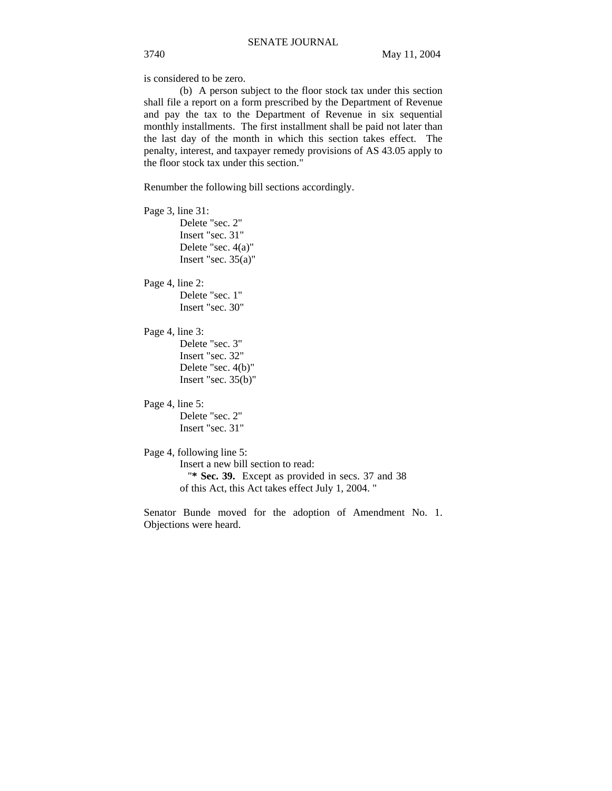is considered to be zero.

(b) A person subject to the floor stock tax under this section shall file a report on a form prescribed by the Department of Revenue and pay the tax to the Department of Revenue in six sequential monthly installments. The first installment shall be paid not later than the last day of the month in which this section takes effect. The penalty, interest, and taxpayer remedy provisions of AS 43.05 apply to the floor stock tax under this section."

Renumber the following bill sections accordingly.

Page 3, line 31: Delete "sec. 2" Insert "sec. 31" Delete "sec. 4(a)" Insert "sec.  $35(a)$ "

Page 4, line 2: Delete "sec. 1" Insert "sec. 30"

Page 4, line 3: Delete "sec. 3" Insert "sec. 32" Delete "sec. 4(b)" Insert "sec. 35(b)"

Page 4, line 5: Delete "sec. 2" Insert "sec. 31"

Page 4, following line 5:

Insert a new bill section to read: "**\* Sec. 39.** Except as provided in secs. 37 and 38 of this Act, this Act takes effect July 1, 2004. "

Senator Bunde moved for the adoption of Amendment No. 1. Objections were heard.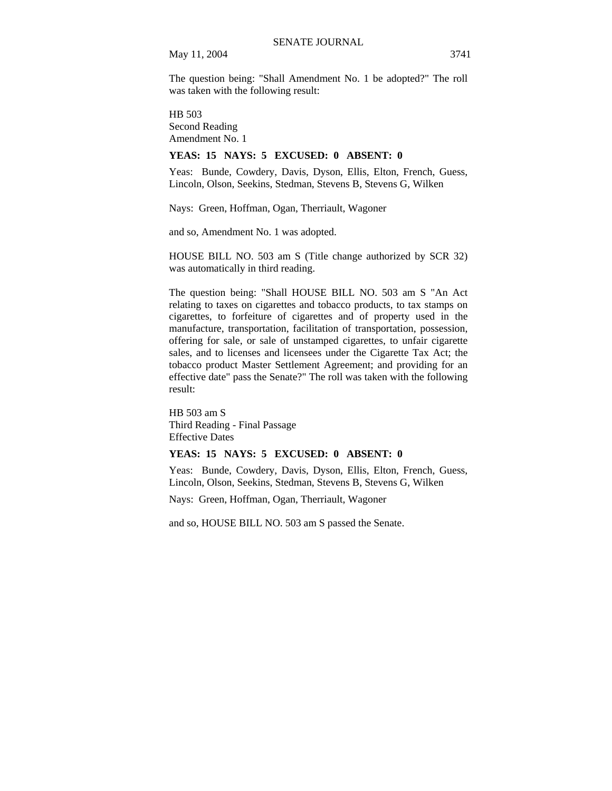May 11, 2004 3741

The question being: "Shall Amendment No. 1 be adopted?" The roll was taken with the following result:

HB 503 Second Reading Amendment No. 1

# **YEAS: 15 NAYS: 5 EXCUSED: 0 ABSENT: 0**

Yeas: Bunde, Cowdery, Davis, Dyson, Ellis, Elton, French, Guess, Lincoln, Olson, Seekins, Stedman, Stevens B, Stevens G, Wilken

Nays: Green, Hoffman, Ogan, Therriault, Wagoner

and so, Amendment No. 1 was adopted.

HOUSE BILL NO. 503 am S (Title change authorized by SCR 32) was automatically in third reading.

The question being: "Shall HOUSE BILL NO. 503 am S "An Act relating to taxes on cigarettes and tobacco products, to tax stamps on cigarettes, to forfeiture of cigarettes and of property used in the manufacture, transportation, facilitation of transportation, possession, offering for sale, or sale of unstamped cigarettes, to unfair cigarette sales, and to licenses and licensees under the Cigarette Tax Act; the tobacco product Master Settlement Agreement; and providing for an effective date" pass the Senate?" The roll was taken with the following result:

HB 503 am S Third Reading - Final Passage Effective Dates

# **YEAS: 15 NAYS: 5 EXCUSED: 0 ABSENT: 0**

Yeas: Bunde, Cowdery, Davis, Dyson, Ellis, Elton, French, Guess, Lincoln, Olson, Seekins, Stedman, Stevens B, Stevens G, Wilken

Nays: Green, Hoffman, Ogan, Therriault, Wagoner

and so, HOUSE BILL NO. 503 am S passed the Senate.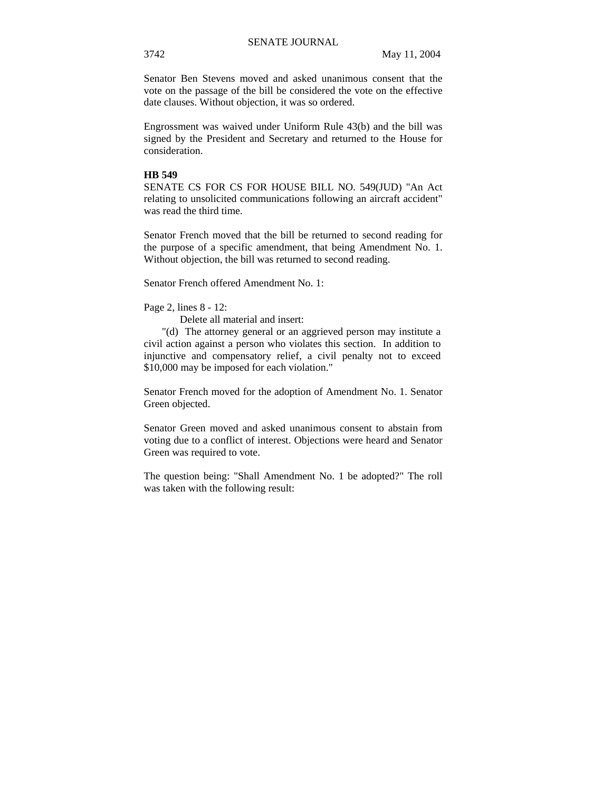Senator Ben Stevens moved and asked unanimous consent that the vote on the passage of the bill be considered the vote on the effective date clauses. Without objection, it was so ordered.

Engrossment was waived under Uniform Rule 43(b) and the bill was signed by the President and Secretary and returned to the House for consideration.

#### **HB 549**

SENATE CS FOR CS FOR HOUSE BILL NO. 549(JUD) "An Act relating to unsolicited communications following an aircraft accident" was read the third time.

Senator French moved that the bill be returned to second reading for the purpose of a specific amendment, that being Amendment No. 1. Without objection, the bill was returned to second reading.

Senator French offered Amendment No. 1:

Page 2, lines 8 - 12:

Delete all material and insert:

"(d) The attorney general or an aggrieved person may institute a civil action against a person who violates this section. In addition to injunctive and compensatory relief, a civil penalty not to exceed \$10,000 may be imposed for each violation."

Senator French moved for the adoption of Amendment No. 1. Senator Green objected.

Senator Green moved and asked unanimous consent to abstain from voting due to a conflict of interest. Objections were heard and Senator Green was required to vote.

The question being: "Shall Amendment No. 1 be adopted?" The roll was taken with the following result: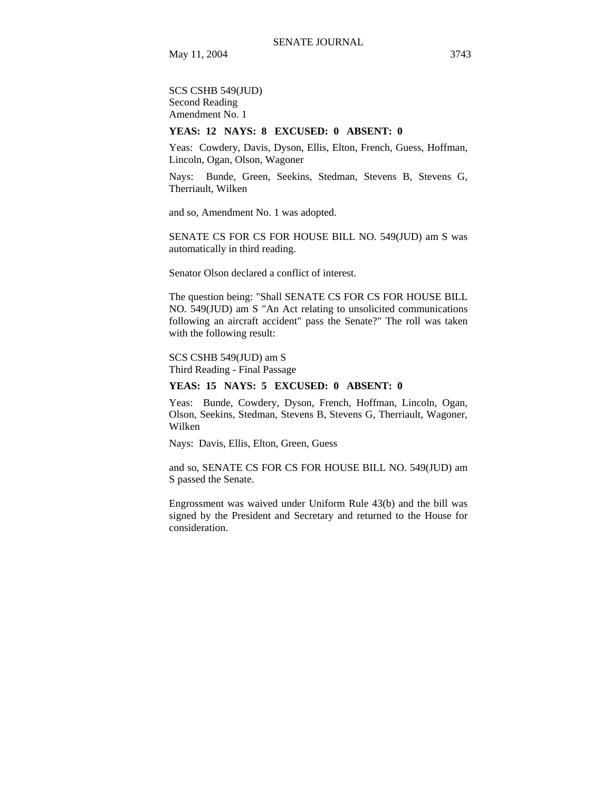SCS CSHB 549(JUD) Second Reading Amendment No. 1

# **YEAS: 12 NAYS: 8 EXCUSED: 0 ABSENT: 0**

Yeas: Cowdery, Davis, Dyson, Ellis, Elton, French, Guess, Hoffman, Lincoln, Ogan, Olson, Wagoner

Nays: Bunde, Green, Seekins, Stedman, Stevens B, Stevens G, Therriault, Wilken

and so, Amendment No. 1 was adopted.

SENATE CS FOR CS FOR HOUSE BILL NO. 549(JUD) am S was automatically in third reading.

Senator Olson declared a conflict of interest.

The question being: "Shall SENATE CS FOR CS FOR HOUSE BILL NO. 549(JUD) am S "An Act relating to unsolicited communications following an aircraft accident" pass the Senate?" The roll was taken with the following result:

SCS CSHB 549(JUD) am S Third Reading - Final Passage

# **YEAS: 15 NAYS: 5 EXCUSED: 0 ABSENT: 0**

Yeas: Bunde, Cowdery, Dyson, French, Hoffman, Lincoln, Ogan, Olson, Seekins, Stedman, Stevens B, Stevens G, Therriault, Wagoner, Wilken

Nays: Davis, Ellis, Elton, Green, Guess

and so, SENATE CS FOR CS FOR HOUSE BILL NO. 549(JUD) am S passed the Senate.

Engrossment was waived under Uniform Rule 43(b) and the bill was signed by the President and Secretary and returned to the House for consideration.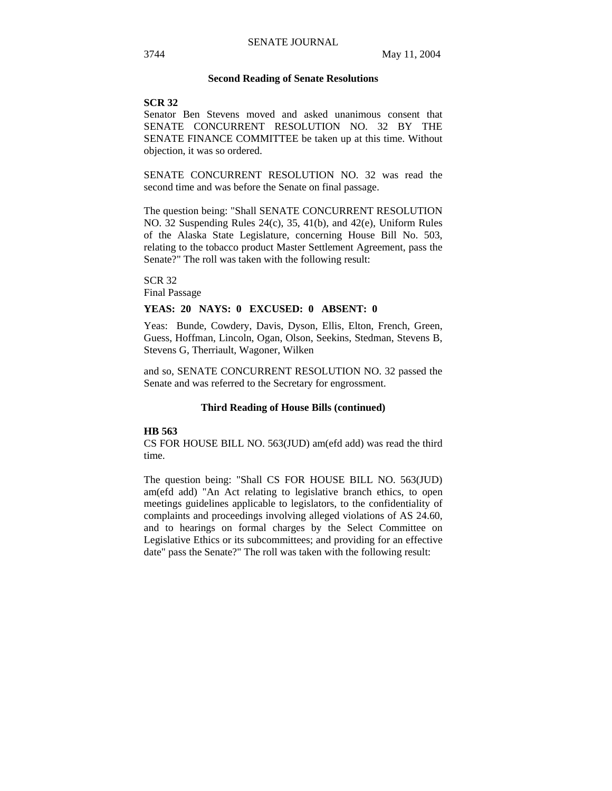#### **Second Reading of Senate Resolutions**

#### **SCR 32**

Senator Ben Stevens moved and asked unanimous consent that SENATE CONCURRENT RESOLUTION NO. 32 BY THE SENATE FINANCE COMMITTEE be taken up at this time. Without objection, it was so ordered.

SENATE CONCURRENT RESOLUTION NO. 32 was read the second time and was before the Senate on final passage.

The question being: "Shall SENATE CONCURRENT RESOLUTION NO. 32 Suspending Rules 24(c), 35, 41(b), and 42(e), Uniform Rules of the Alaska State Legislature, concerning House Bill No. 503, relating to the tobacco product Master Settlement Agreement, pass the Senate?" The roll was taken with the following result:

SCR 32 Final Passage

#### **YEAS: 20 NAYS: 0 EXCUSED: 0 ABSENT: 0**

Yeas: Bunde, Cowdery, Davis, Dyson, Ellis, Elton, French, Green, Guess, Hoffman, Lincoln, Ogan, Olson, Seekins, Stedman, Stevens B, Stevens G, Therriault, Wagoner, Wilken

and so, SENATE CONCURRENT RESOLUTION NO. 32 passed the Senate and was referred to the Secretary for engrossment.

# **Third Reading of House Bills (continued)**

# **HB 563**

CS FOR HOUSE BILL NO. 563(JUD) am(efd add) was read the third time.

The question being: "Shall CS FOR HOUSE BILL NO. 563(JUD) am(efd add) "An Act relating to legislative branch ethics, to open meetings guidelines applicable to legislators, to the confidentiality of complaints and proceedings involving alleged violations of AS 24.60, and to hearings on formal charges by the Select Committee on Legislative Ethics or its subcommittees; and providing for an effective date" pass the Senate?" The roll was taken with the following result: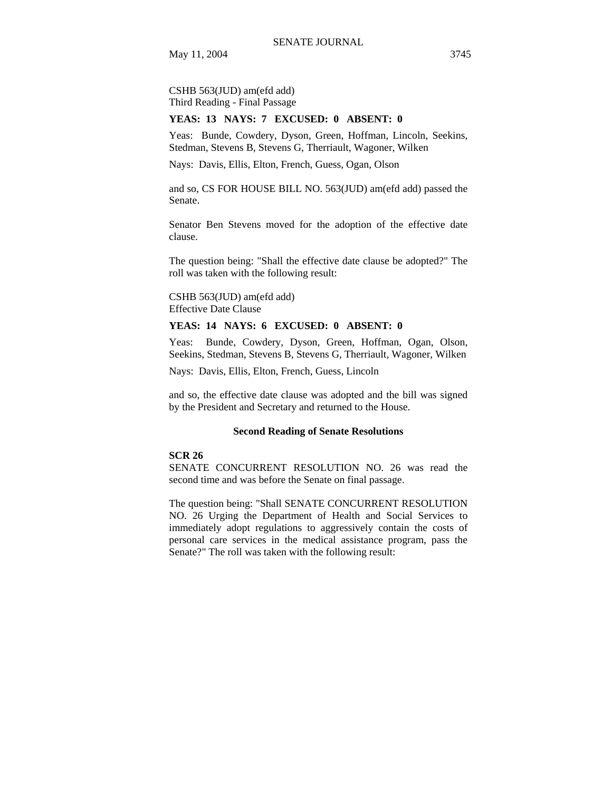CSHB 563(JUD) am(efd add) Third Reading - Final Passage

#### **YEAS: 13 NAYS: 7 EXCUSED: 0 ABSENT: 0**

Yeas: Bunde, Cowdery, Dyson, Green, Hoffman, Lincoln, Seekins, Stedman, Stevens B, Stevens G, Therriault, Wagoner, Wilken

Nays: Davis, Ellis, Elton, French, Guess, Ogan, Olson

and so, CS FOR HOUSE BILL NO. 563(JUD) am(efd add) passed the Senate.

Senator Ben Stevens moved for the adoption of the effective date clause.

The question being: "Shall the effective date clause be adopted?" The roll was taken with the following result:

CSHB 563(JUD) am(efd add) Effective Date Clause

# **YEAS: 14 NAYS: 6 EXCUSED: 0 ABSENT: 0**

Yeas: Bunde, Cowdery, Dyson, Green, Hoffman, Ogan, Olson, Seekins, Stedman, Stevens B, Stevens G, Therriault, Wagoner, Wilken

Nays: Davis, Ellis, Elton, French, Guess, Lincoln

and so, the effective date clause was adopted and the bill was signed by the President and Secretary and returned to the House.

#### **Second Reading of Senate Resolutions**

# **SCR 26**

SENATE CONCURRENT RESOLUTION NO. 26 was read the second time and was before the Senate on final passage.

The question being: "Shall SENATE CONCURRENT RESOLUTION NO. 26 Urging the Department of Health and Social Services to immediately adopt regulations to aggressively contain the costs of personal care services in the medical assistance program, pass the Senate?" The roll was taken with the following result: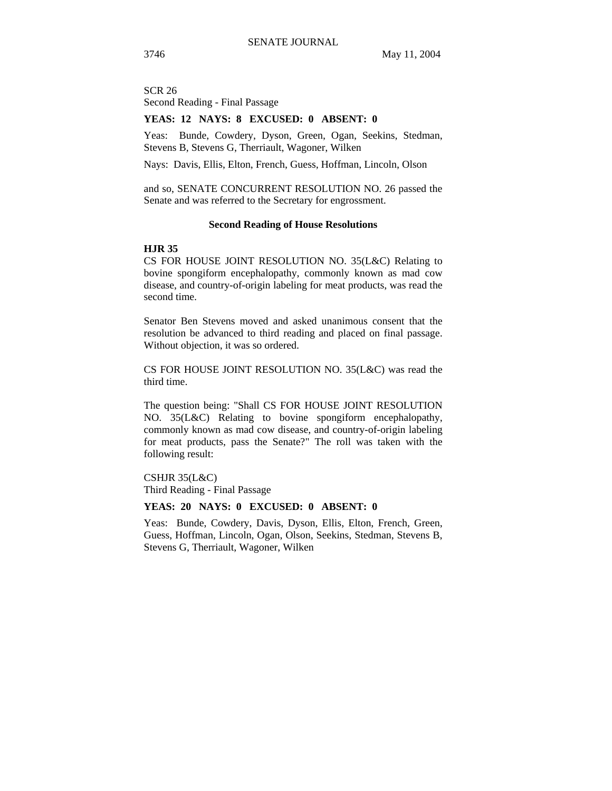SCR 26 Second Reading - Final Passage

#### **YEAS: 12 NAYS: 8 EXCUSED: 0 ABSENT: 0**

Yeas: Bunde, Cowdery, Dyson, Green, Ogan, Seekins, Stedman, Stevens B, Stevens G, Therriault, Wagoner, Wilken

Nays: Davis, Ellis, Elton, French, Guess, Hoffman, Lincoln, Olson

and so, SENATE CONCURRENT RESOLUTION NO. 26 passed the Senate and was referred to the Secretary for engrossment.

# **Second Reading of House Resolutions**

#### **HJR 35**

CS FOR HOUSE JOINT RESOLUTION NO. 35(L&C) Relating to bovine spongiform encephalopathy, commonly known as mad cow disease, and country-of-origin labeling for meat products, was read the second time.

Senator Ben Stevens moved and asked unanimous consent that the resolution be advanced to third reading and placed on final passage. Without objection, it was so ordered.

CS FOR HOUSE JOINT RESOLUTION NO. 35(L&C) was read the third time.

The question being: "Shall CS FOR HOUSE JOINT RESOLUTION NO. 35(L&C) Relating to bovine spongiform encephalopathy, commonly known as mad cow disease, and country-of-origin labeling for meat products, pass the Senate?" The roll was taken with the following result:

# CSHJR 35(L&C)

Third Reading - Final Passage

#### **YEAS: 20 NAYS: 0 EXCUSED: 0 ABSENT: 0**

Yeas: Bunde, Cowdery, Davis, Dyson, Ellis, Elton, French, Green, Guess, Hoffman, Lincoln, Ogan, Olson, Seekins, Stedman, Stevens B, Stevens G, Therriault, Wagoner, Wilken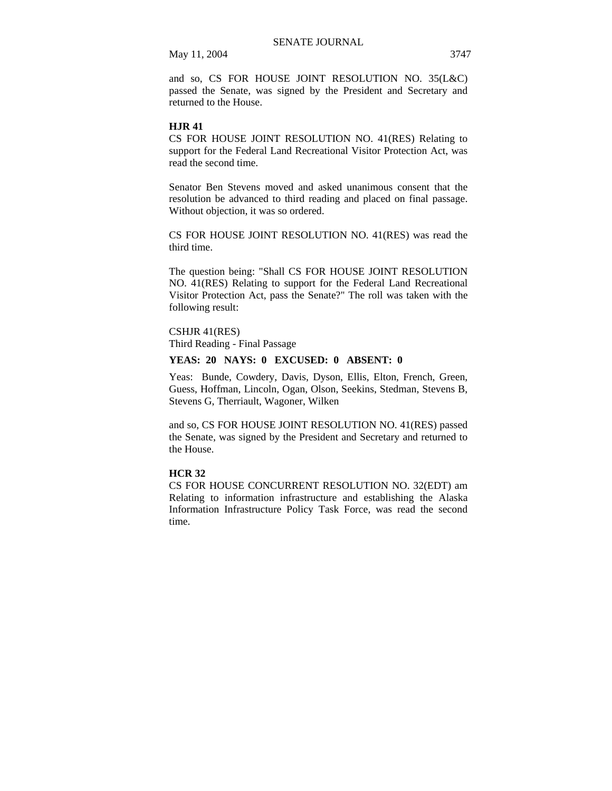and so, CS FOR HOUSE JOINT RESOLUTION NO. 35(L&C) passed the Senate, was signed by the President and Secretary and returned to the House.

#### **HJR 41**

CS FOR HOUSE JOINT RESOLUTION NO. 41(RES) Relating to support for the Federal Land Recreational Visitor Protection Act, was read the second time.

Senator Ben Stevens moved and asked unanimous consent that the resolution be advanced to third reading and placed on final passage. Without objection, it was so ordered.

CS FOR HOUSE JOINT RESOLUTION NO. 41(RES) was read the third time.

The question being: "Shall CS FOR HOUSE JOINT RESOLUTION NO. 41(RES) Relating to support for the Federal Land Recreational Visitor Protection Act, pass the Senate?" The roll was taken with the following result:

# CSHJR 41(RES)

Third Reading - Final Passage

## **YEAS: 20 NAYS: 0 EXCUSED: 0 ABSENT: 0**

Yeas: Bunde, Cowdery, Davis, Dyson, Ellis, Elton, French, Green, Guess, Hoffman, Lincoln, Ogan, Olson, Seekins, Stedman, Stevens B, Stevens G, Therriault, Wagoner, Wilken

and so, CS FOR HOUSE JOINT RESOLUTION NO. 41(RES) passed the Senate, was signed by the President and Secretary and returned to the House.

## **HCR 32**

CS FOR HOUSE CONCURRENT RESOLUTION NO. 32(EDT) am Relating to information infrastructure and establishing the Alaska Information Infrastructure Policy Task Force, was read the second time.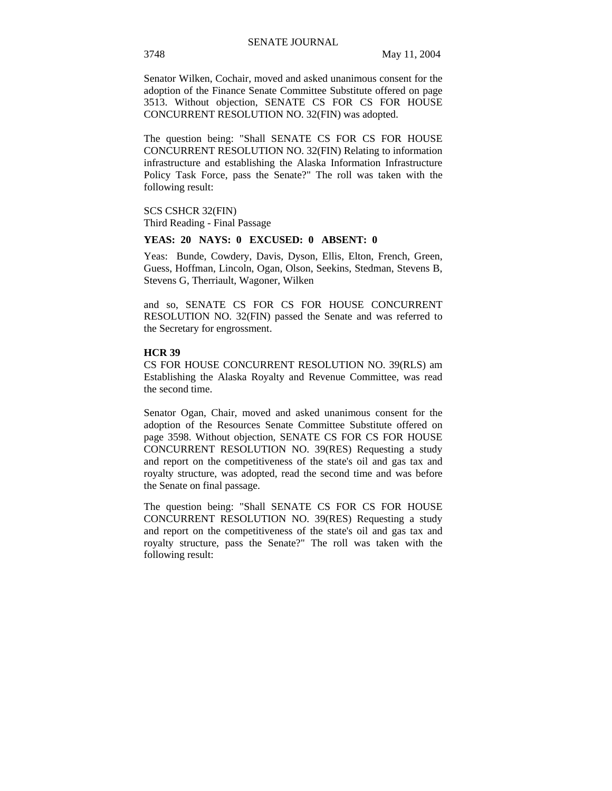Senator Wilken, Cochair, moved and asked unanimous consent for the adoption of the Finance Senate Committee Substitute offered on page 3513. Without objection, SENATE CS FOR CS FOR HOUSE CONCURRENT RESOLUTION NO. 32(FIN) was adopted.

The question being: "Shall SENATE CS FOR CS FOR HOUSE CONCURRENT RESOLUTION NO. 32(FIN) Relating to information infrastructure and establishing the Alaska Information Infrastructure Policy Task Force, pass the Senate?" The roll was taken with the following result:

SCS CSHCR 32(FIN) Third Reading - Final Passage

#### **YEAS: 20 NAYS: 0 EXCUSED: 0 ABSENT: 0**

Yeas: Bunde, Cowdery, Davis, Dyson, Ellis, Elton, French, Green, Guess, Hoffman, Lincoln, Ogan, Olson, Seekins, Stedman, Stevens B, Stevens G, Therriault, Wagoner, Wilken

and so, SENATE CS FOR CS FOR HOUSE CONCURRENT RESOLUTION NO. 32(FIN) passed the Senate and was referred to the Secretary for engrossment.

#### **HCR 39**

CS FOR HOUSE CONCURRENT RESOLUTION NO. 39(RLS) am Establishing the Alaska Royalty and Revenue Committee, was read the second time.

Senator Ogan, Chair, moved and asked unanimous consent for the adoption of the Resources Senate Committee Substitute offered on page 3598. Without objection, SENATE CS FOR CS FOR HOUSE CONCURRENT RESOLUTION NO. 39(RES) Requesting a study and report on the competitiveness of the state's oil and gas tax and royalty structure, was adopted, read the second time and was before the Senate on final passage.

The question being: "Shall SENATE CS FOR CS FOR HOUSE CONCURRENT RESOLUTION NO. 39(RES) Requesting a study and report on the competitiveness of the state's oil and gas tax and royalty structure, pass the Senate?" The roll was taken with the following result: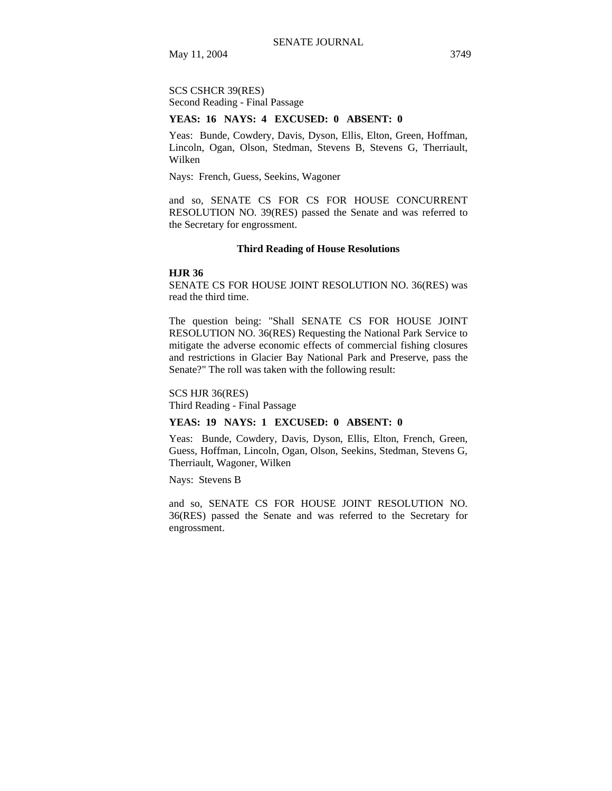SCS CSHCR 39(RES) Second Reading - Final Passage

#### **YEAS: 16 NAYS: 4 EXCUSED: 0 ABSENT: 0**

Yeas: Bunde, Cowdery, Davis, Dyson, Ellis, Elton, Green, Hoffman, Lincoln, Ogan, Olson, Stedman, Stevens B, Stevens G, Therriault, Wilken

Nays: French, Guess, Seekins, Wagoner

and so, SENATE CS FOR CS FOR HOUSE CONCURRENT RESOLUTION NO. 39(RES) passed the Senate and was referred to the Secretary for engrossment.

#### **Third Reading of House Resolutions**

#### **HJR 36**

SENATE CS FOR HOUSE JOINT RESOLUTION NO. 36(RES) was read the third time.

The question being: "Shall SENATE CS FOR HOUSE JOINT RESOLUTION NO. 36(RES) Requesting the National Park Service to mitigate the adverse economic effects of commercial fishing closures and restrictions in Glacier Bay National Park and Preserve, pass the Senate?" The roll was taken with the following result:

#### SCS HJR 36(RES)

Third Reading - Final Passage

#### **YEAS: 19 NAYS: 1 EXCUSED: 0 ABSENT: 0**

Yeas: Bunde, Cowdery, Davis, Dyson, Ellis, Elton, French, Green, Guess, Hoffman, Lincoln, Ogan, Olson, Seekins, Stedman, Stevens G, Therriault, Wagoner, Wilken

Nays: Stevens B

and so, SENATE CS FOR HOUSE JOINT RESOLUTION NO. 36(RES) passed the Senate and was referred to the Secretary for engrossment.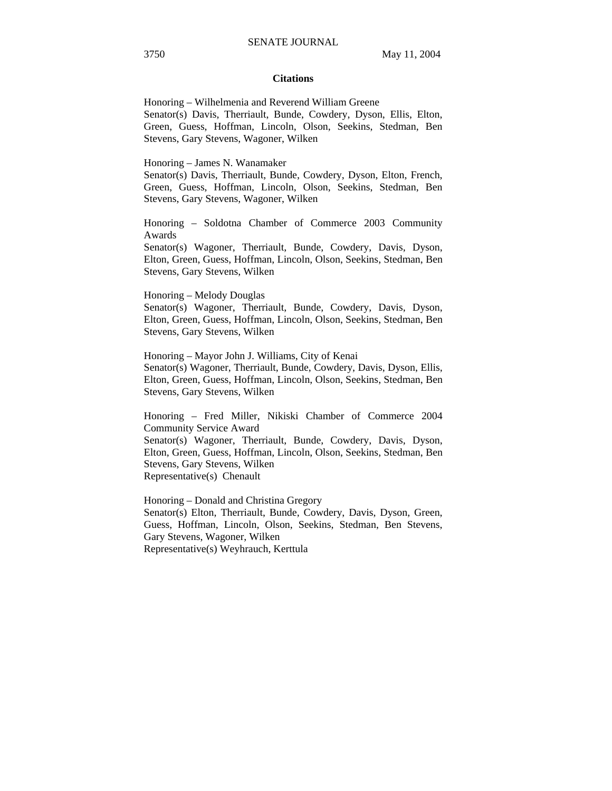#### **Citations**

Honoring – Wilhelmenia and Reverend William Greene Senator(s) Davis, Therriault, Bunde, Cowdery, Dyson, Ellis, Elton, Green, Guess, Hoffman, Lincoln, Olson, Seekins, Stedman, Ben Stevens, Gary Stevens, Wagoner, Wilken

Honoring – James N. Wanamaker

Senator(s) Davis, Therriault, Bunde, Cowdery, Dyson, Elton, French, Green, Guess, Hoffman, Lincoln, Olson, Seekins, Stedman, Ben Stevens, Gary Stevens, Wagoner, Wilken

Honoring – Soldotna Chamber of Commerce 2003 Community Awards

Senator(s) Wagoner, Therriault, Bunde, Cowdery, Davis, Dyson, Elton, Green, Guess, Hoffman, Lincoln, Olson, Seekins, Stedman, Ben Stevens, Gary Stevens, Wilken

Honoring – Melody Douglas

Senator(s) Wagoner, Therriault, Bunde, Cowdery, Davis, Dyson, Elton, Green, Guess, Hoffman, Lincoln, Olson, Seekins, Stedman, Ben Stevens, Gary Stevens, Wilken

Honoring – Mayor John J. Williams, City of Kenai Senator(s) Wagoner, Therriault, Bunde, Cowdery, Davis, Dyson, Ellis, Elton, Green, Guess, Hoffman, Lincoln, Olson, Seekins, Stedman, Ben Stevens, Gary Stevens, Wilken

Honoring – Fred Miller, Nikiski Chamber of Commerce 2004 Community Service Award Senator(s) Wagoner, Therriault, Bunde, Cowdery, Davis, Dyson, Elton, Green, Guess, Hoffman, Lincoln, Olson, Seekins, Stedman, Ben Stevens, Gary Stevens, Wilken

Representative(s) Chenault

Honoring – Donald and Christina Gregory Senator(s) Elton, Therriault, Bunde, Cowdery, Davis, Dyson, Green, Guess, Hoffman, Lincoln, Olson, Seekins, Stedman, Ben Stevens, Gary Stevens, Wagoner, Wilken Representative(s) Weyhrauch, Kerttula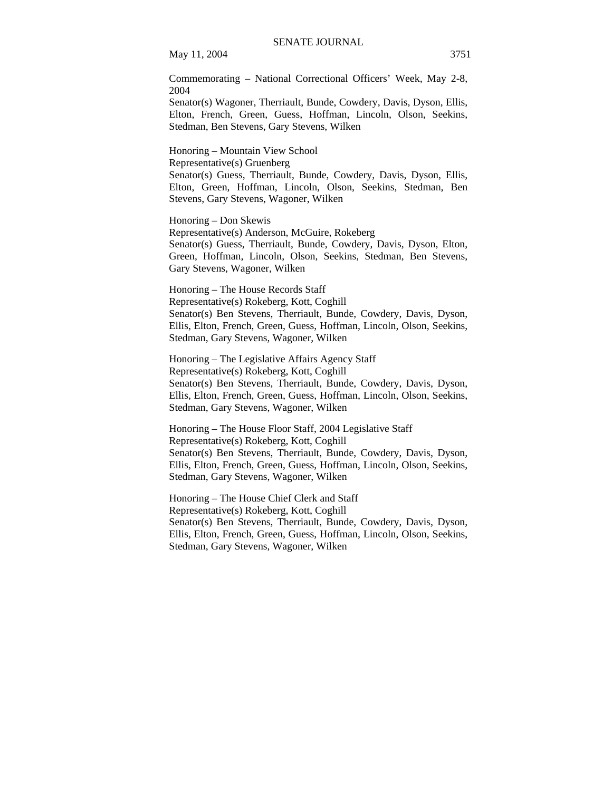Commemorating – National Correctional Officers' Week, May 2-8, 2004

Senator(s) Wagoner, Therriault, Bunde, Cowdery, Davis, Dyson, Ellis, Elton, French, Green, Guess, Hoffman, Lincoln, Olson, Seekins, Stedman, Ben Stevens, Gary Stevens, Wilken

Honoring – Mountain View School Representative(s) Gruenberg Senator(s) Guess, Therriault, Bunde, Cowdery, Davis, Dyson, Ellis, Elton, Green, Hoffman, Lincoln, Olson, Seekins, Stedman, Ben Stevens, Gary Stevens, Wagoner, Wilken

Honoring – Don Skewis Representative(s) Anderson, McGuire, Rokeberg Senator(s) Guess, Therriault, Bunde, Cowdery, Davis, Dyson, Elton, Green, Hoffman, Lincoln, Olson, Seekins, Stedman, Ben Stevens, Gary Stevens, Wagoner, Wilken

Honoring – The House Records Staff Representative(s) Rokeberg, Kott, Coghill Senator(s) Ben Stevens, Therriault, Bunde, Cowdery, Davis, Dyson, Ellis, Elton, French, Green, Guess, Hoffman, Lincoln, Olson, Seekins, Stedman, Gary Stevens, Wagoner, Wilken

Honoring – The Legislative Affairs Agency Staff Representative(s) Rokeberg, Kott, Coghill Senator(s) Ben Stevens, Therriault, Bunde, Cowdery, Davis, Dyson, Ellis, Elton, French, Green, Guess, Hoffman, Lincoln, Olson, Seekins, Stedman, Gary Stevens, Wagoner, Wilken

Honoring – The House Floor Staff, 2004 Legislative Staff Representative(s) Rokeberg, Kott, Coghill Senator(s) Ben Stevens, Therriault, Bunde, Cowdery, Davis, Dyson, Ellis, Elton, French, Green, Guess, Hoffman, Lincoln, Olson, Seekins, Stedman, Gary Stevens, Wagoner, Wilken

Honoring – The House Chief Clerk and Staff Representative(s) Rokeberg, Kott, Coghill Senator(s) Ben Stevens, Therriault, Bunde, Cowdery, Davis, Dyson, Ellis, Elton, French, Green, Guess, Hoffman, Lincoln, Olson, Seekins, Stedman, Gary Stevens, Wagoner, Wilken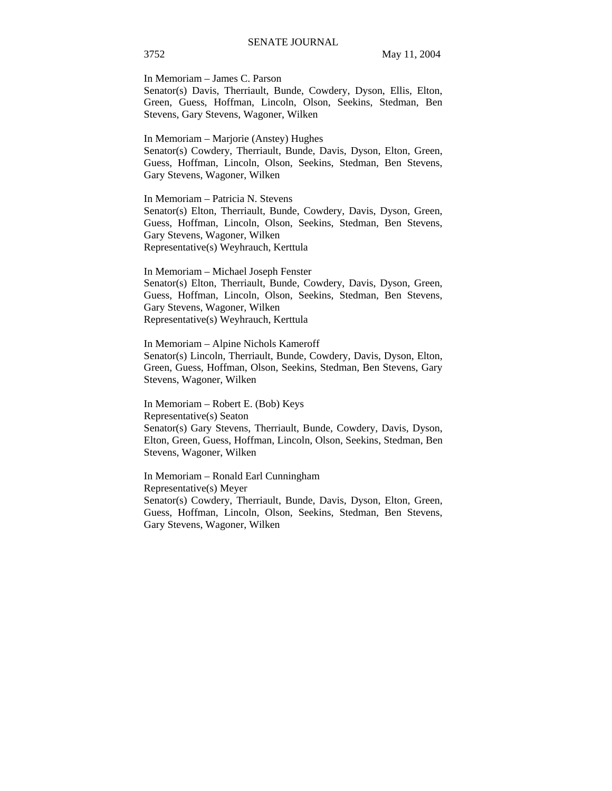In Memoriam – James C. Parson

Senator(s) Davis, Therriault, Bunde, Cowdery, Dyson, Ellis, Elton, Green, Guess, Hoffman, Lincoln, Olson, Seekins, Stedman, Ben Stevens, Gary Stevens, Wagoner, Wilken

In Memoriam – Marjorie (Anstey) Hughes Senator(s) Cowdery, Therriault, Bunde, Davis, Dyson, Elton, Green, Guess, Hoffman, Lincoln, Olson, Seekins, Stedman, Ben Stevens, Gary Stevens, Wagoner, Wilken

In Memoriam – Patricia N. Stevens Senator(s) Elton, Therriault, Bunde, Cowdery, Davis, Dyson, Green, Guess, Hoffman, Lincoln, Olson, Seekins, Stedman, Ben Stevens, Gary Stevens, Wagoner, Wilken Representative(s) Weyhrauch, Kerttula

In Memoriam – Michael Joseph Fenster Senator(s) Elton, Therriault, Bunde, Cowdery, Davis, Dyson, Green, Guess, Hoffman, Lincoln, Olson, Seekins, Stedman, Ben Stevens, Gary Stevens, Wagoner, Wilken Representative(s) Weyhrauch, Kerttula

In Memoriam – Alpine Nichols Kameroff Senator(s) Lincoln, Therriault, Bunde, Cowdery, Davis, Dyson, Elton, Green, Guess, Hoffman, Olson, Seekins, Stedman, Ben Stevens, Gary Stevens, Wagoner, Wilken

In Memoriam – Robert E. (Bob) Keys Representative(s) Seaton Senator(s) Gary Stevens, Therriault, Bunde, Cowdery, Davis, Dyson, Elton, Green, Guess, Hoffman, Lincoln, Olson, Seekins, Stedman, Ben Stevens, Wagoner, Wilken

In Memoriam – Ronald Earl Cunningham Representative(s) Meyer Senator(s) Cowdery, Therriault, Bunde, Davis, Dyson, Elton, Green, Guess, Hoffman, Lincoln, Olson, Seekins, Stedman, Ben Stevens, Gary Stevens, Wagoner, Wilken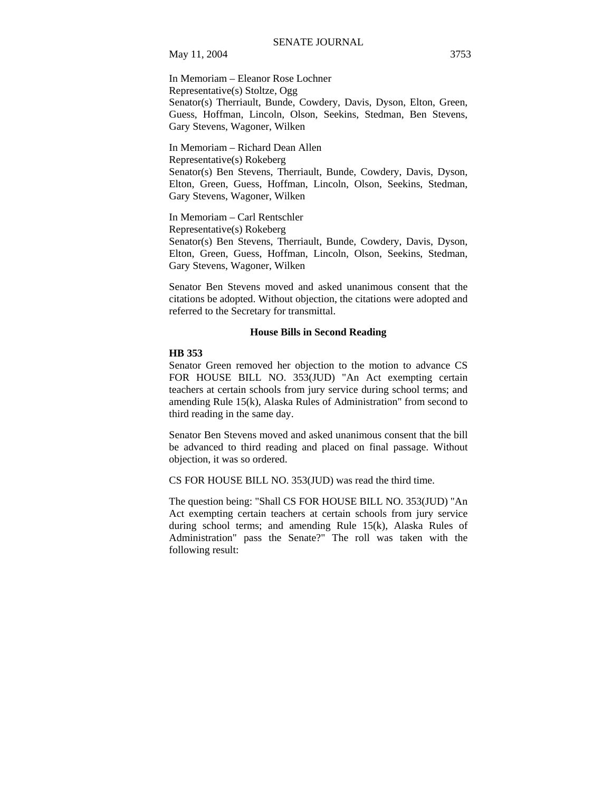In Memoriam – Eleanor Rose Lochner Representative(s) Stoltze, Ogg Senator(s) Therriault, Bunde, Cowdery, Davis, Dyson, Elton, Green, Guess, Hoffman, Lincoln, Olson, Seekins, Stedman, Ben Stevens, Gary Stevens, Wagoner, Wilken

In Memoriam – Richard Dean Allen Representative(s) Rokeberg Senator(s) Ben Stevens, Therriault, Bunde, Cowdery, Davis, Dyson, Elton, Green, Guess, Hoffman, Lincoln, Olson, Seekins, Stedman, Gary Stevens, Wagoner, Wilken

In Memoriam – Carl Rentschler Representative(s) Rokeberg Senator(s) Ben Stevens, Therriault, Bunde, Cowdery, Davis, Dyson, Elton, Green, Guess, Hoffman, Lincoln, Olson, Seekins, Stedman, Gary Stevens, Wagoner, Wilken

Senator Ben Stevens moved and asked unanimous consent that the citations be adopted. Without objection, the citations were adopted and referred to the Secretary for transmittal.

## **House Bills in Second Reading**

#### **HB 353**

Senator Green removed her objection to the motion to advance CS FOR HOUSE BILL NO. 353(JUD) "An Act exempting certain teachers at certain schools from jury service during school terms; and amending Rule 15(k), Alaska Rules of Administration" from second to third reading in the same day.

Senator Ben Stevens moved and asked unanimous consent that the bill be advanced to third reading and placed on final passage. Without objection, it was so ordered.

CS FOR HOUSE BILL NO. 353(JUD) was read the third time.

The question being: "Shall CS FOR HOUSE BILL NO. 353(JUD) "An Act exempting certain teachers at certain schools from jury service during school terms; and amending Rule 15(k), Alaska Rules of Administration" pass the Senate?" The roll was taken with the following result: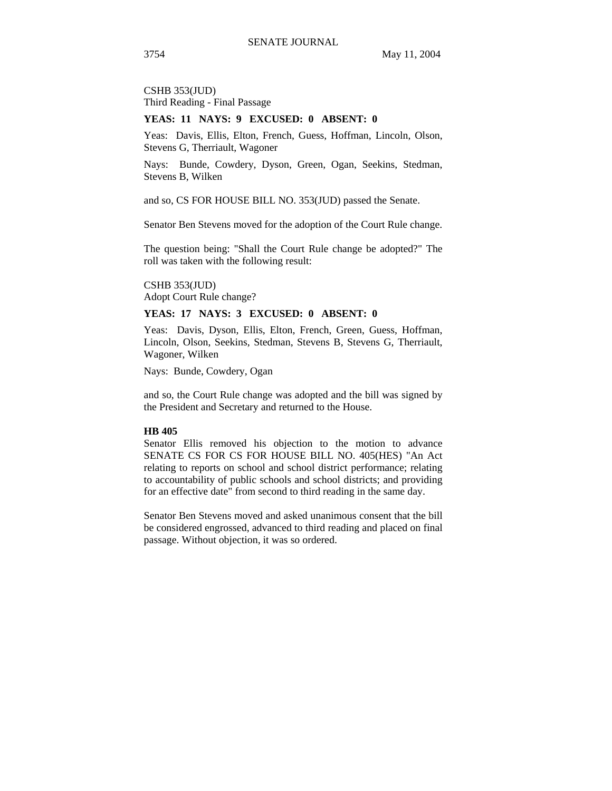CSHB 353(JUD) Third Reading - Final Passage

#### **YEAS: 11 NAYS: 9 EXCUSED: 0 ABSENT: 0**

Yeas: Davis, Ellis, Elton, French, Guess, Hoffman, Lincoln, Olson, Stevens G, Therriault, Wagoner

Nays: Bunde, Cowdery, Dyson, Green, Ogan, Seekins, Stedman, Stevens B, Wilken

and so, CS FOR HOUSE BILL NO. 353(JUD) passed the Senate.

Senator Ben Stevens moved for the adoption of the Court Rule change.

The question being: "Shall the Court Rule change be adopted?" The roll was taken with the following result:

CSHB 353(JUD) Adopt Court Rule change?

## **YEAS: 17 NAYS: 3 EXCUSED: 0 ABSENT: 0**

Yeas: Davis, Dyson, Ellis, Elton, French, Green, Guess, Hoffman, Lincoln, Olson, Seekins, Stedman, Stevens B, Stevens G, Therriault, Wagoner, Wilken

Nays: Bunde, Cowdery, Ogan

and so, the Court Rule change was adopted and the bill was signed by the President and Secretary and returned to the House.

#### **HB 405**

Senator Ellis removed his objection to the motion to advance SENATE CS FOR CS FOR HOUSE BILL NO. 405(HES) "An Act relating to reports on school and school district performance; relating to accountability of public schools and school districts; and providing for an effective date" from second to third reading in the same day.

Senator Ben Stevens moved and asked unanimous consent that the bill be considered engrossed, advanced to third reading and placed on final passage. Without objection, it was so ordered.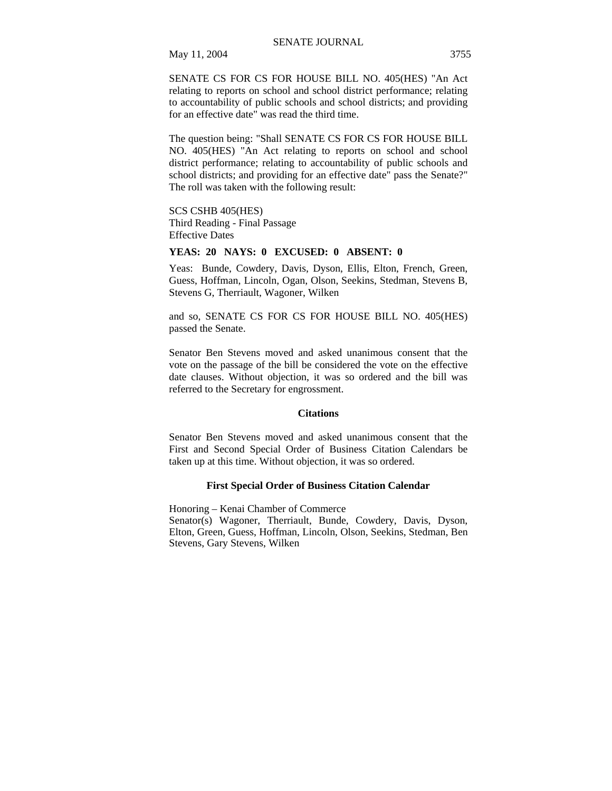SENATE CS FOR CS FOR HOUSE BILL NO. 405(HES) "An Act

relating to reports on school and school district performance; relating to accountability of public schools and school districts; and providing for an effective date" was read the third time.

The question being: "Shall SENATE CS FOR CS FOR HOUSE BILL NO. 405(HES) "An Act relating to reports on school and school district performance; relating to accountability of public schools and school districts; and providing for an effective date" pass the Senate?" The roll was taken with the following result:

SCS CSHB 405(HES) Third Reading - Final Passage Effective Dates

## **YEAS: 20 NAYS: 0 EXCUSED: 0 ABSENT: 0**

Yeas: Bunde, Cowdery, Davis, Dyson, Ellis, Elton, French, Green, Guess, Hoffman, Lincoln, Ogan, Olson, Seekins, Stedman, Stevens B, Stevens G, Therriault, Wagoner, Wilken

and so, SENATE CS FOR CS FOR HOUSE BILL NO. 405(HES) passed the Senate.

Senator Ben Stevens moved and asked unanimous consent that the vote on the passage of the bill be considered the vote on the effective date clauses. Without objection, it was so ordered and the bill was referred to the Secretary for engrossment.

## **Citations**

Senator Ben Stevens moved and asked unanimous consent that the First and Second Special Order of Business Citation Calendars be taken up at this time. Without objection, it was so ordered.

## **First Special Order of Business Citation Calendar**

Honoring – Kenai Chamber of Commerce Senator(s) Wagoner, Therriault, Bunde, Cowdery, Davis, Dyson, Elton, Green, Guess, Hoffman, Lincoln, Olson, Seekins, Stedman, Ben Stevens, Gary Stevens, Wilken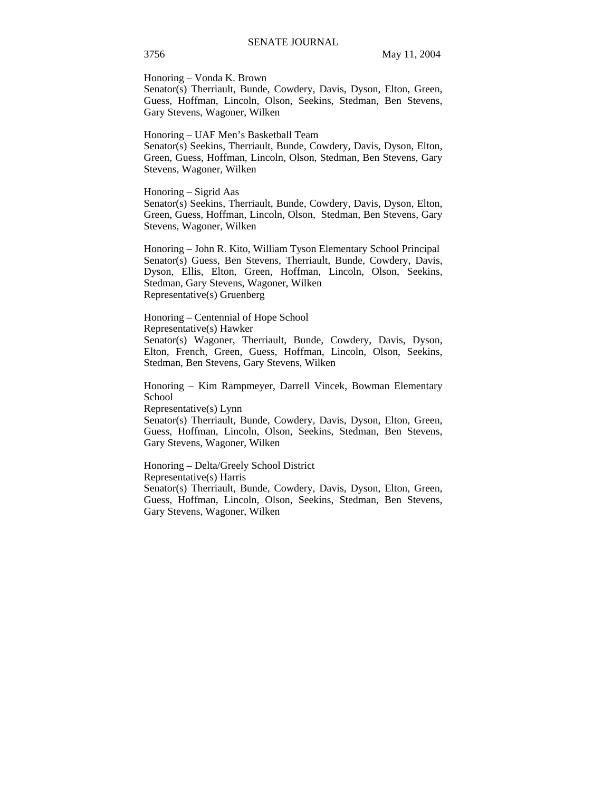Honoring – Vonda K. Brown

Senator(s) Therriault, Bunde, Cowdery, Davis, Dyson, Elton, Green, Guess, Hoffman, Lincoln, Olson, Seekins, Stedman, Ben Stevens, Gary Stevens, Wagoner, Wilken

Honoring – UAF Men's Basketball Team

Senator(s) Seekins, Therriault, Bunde, Cowdery, Davis, Dyson, Elton, Green, Guess, Hoffman, Lincoln, Olson, Stedman, Ben Stevens, Gary Stevens, Wagoner, Wilken

Honoring – Sigrid Aas Senator(s) Seekins, Therriault, Bunde, Cowdery, Davis, Dyson, Elton, Green, Guess, Hoffman, Lincoln, Olson, Stedman, Ben Stevens, Gary Stevens, Wagoner, Wilken

Honoring – John R. Kito, William Tyson Elementary School Principal Senator(s) Guess, Ben Stevens, Therriault, Bunde, Cowdery, Davis, Dyson, Ellis, Elton, Green, Hoffman, Lincoln, Olson, Seekins, Stedman, Gary Stevens, Wagoner, Wilken Representative(s) Gruenberg

Honoring – Centennial of Hope School Representative(s) Hawker

Senator(s) Wagoner, Therriault, Bunde, Cowdery, Davis, Dyson, Elton, French, Green, Guess, Hoffman, Lincoln, Olson, Seekins, Stedman, Ben Stevens, Gary Stevens, Wilken

Honoring – Kim Rampmeyer, Darrell Vincek, Bowman Elementary School

Representative(s) Lynn

Senator(s) Therriault, Bunde, Cowdery, Davis, Dyson, Elton, Green, Guess, Hoffman, Lincoln, Olson, Seekins, Stedman, Ben Stevens, Gary Stevens, Wagoner, Wilken

Honoring – Delta/Greely School District Representative(s) Harris

Senator(s) Therriault, Bunde, Cowdery, Davis, Dyson, Elton, Green, Guess, Hoffman, Lincoln, Olson, Seekins, Stedman, Ben Stevens, Gary Stevens, Wagoner, Wilken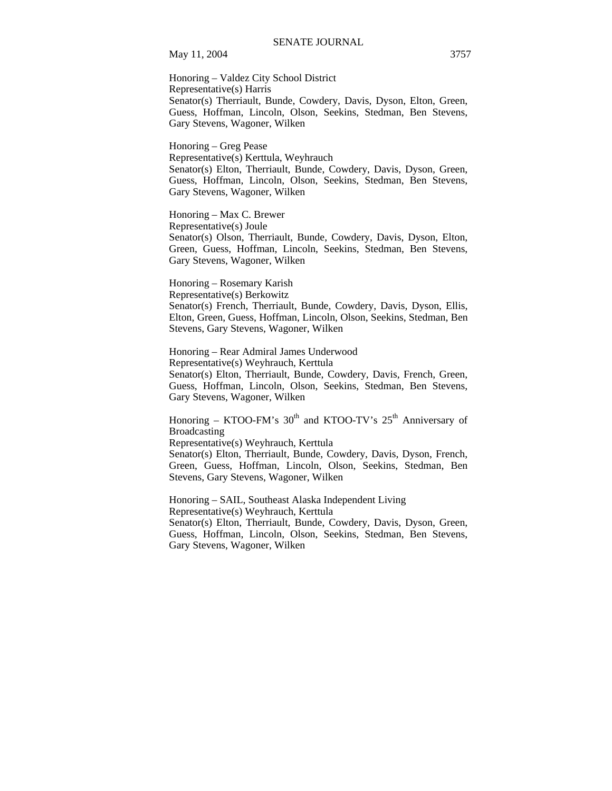Honoring – Valdez City School District Representative(s) Harris Senator(s) Therriault, Bunde, Cowdery, Davis, Dyson, Elton, Green, Guess, Hoffman, Lincoln, Olson, Seekins, Stedman, Ben Stevens, Gary Stevens, Wagoner, Wilken

Honoring – Greg Pease Representative(s) Kerttula, Weyhrauch Senator(s) Elton, Therriault, Bunde, Cowdery, Davis, Dyson, Green, Guess, Hoffman, Lincoln, Olson, Seekins, Stedman, Ben Stevens, Gary Stevens, Wagoner, Wilken

Honoring – Max C. Brewer Representative(s) Joule Senator(s) Olson, Therriault, Bunde, Cowdery, Davis, Dyson, Elton, Green, Guess, Hoffman, Lincoln, Seekins, Stedman, Ben Stevens, Gary Stevens, Wagoner, Wilken

Honoring – Rosemary Karish Representative(s) Berkowitz Senator(s) French, Therriault, Bunde, Cowdery, Davis, Dyson, Ellis, Elton, Green, Guess, Hoffman, Lincoln, Olson, Seekins, Stedman, Ben Stevens, Gary Stevens, Wagoner, Wilken

Honoring – Rear Admiral James Underwood Representative(s) Weyhrauch, Kerttula Senator(s) Elton, Therriault, Bunde, Cowdery, Davis, French, Green, Guess, Hoffman, Lincoln, Olson, Seekins, Stedman, Ben Stevens, Gary Stevens, Wagoner, Wilken

Honoring – KTOO-FM's  $30<sup>th</sup>$  and KTOO-TV's  $25<sup>th</sup>$  Anniversary of Broadcasting

Representative(s) Weyhrauch, Kerttula

Senator(s) Elton, Therriault, Bunde, Cowdery, Davis, Dyson, French, Green, Guess, Hoffman, Lincoln, Olson, Seekins, Stedman, Ben Stevens, Gary Stevens, Wagoner, Wilken

Honoring – SAIL, Southeast Alaska Independent Living Representative(s) Weyhrauch, Kerttula Senator(s) Elton, Therriault, Bunde, Cowdery, Davis, Dyson, Green, Guess, Hoffman, Lincoln, Olson, Seekins, Stedman, Ben Stevens, Gary Stevens, Wagoner, Wilken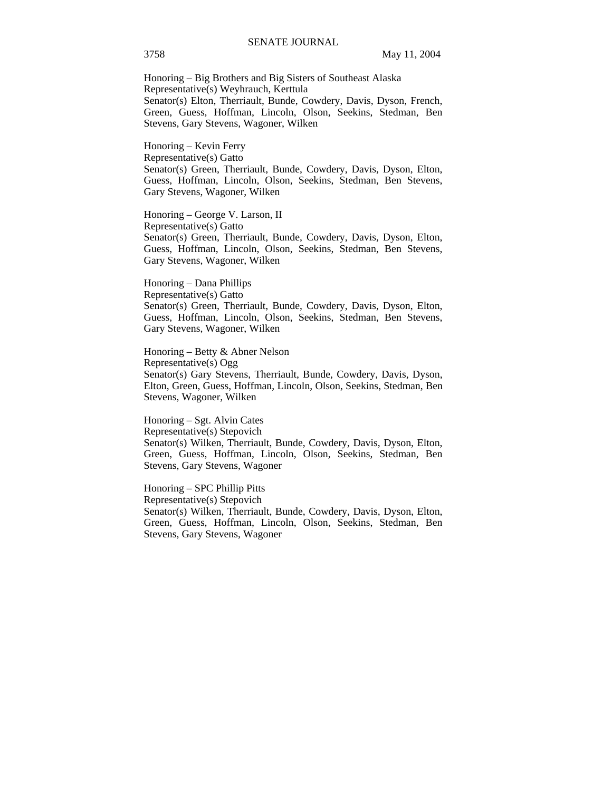Honoring – Big Brothers and Big Sisters of Southeast Alaska Representative(s) Weyhrauch, Kerttula Senator(s) Elton, Therriault, Bunde, Cowdery, Davis, Dyson, French, Green, Guess, Hoffman, Lincoln, Olson, Seekins, Stedman, Ben Stevens, Gary Stevens, Wagoner, Wilken

Honoring – Kevin Ferry Representative(s) Gatto Senator(s) Green, Therriault, Bunde, Cowdery, Davis, Dyson, Elton, Guess, Hoffman, Lincoln, Olson, Seekins, Stedman, Ben Stevens, Gary Stevens, Wagoner, Wilken

Honoring – George V. Larson, II Representative(s) Gatto Senator(s) Green, Therriault, Bunde, Cowdery, Davis, Dyson, Elton, Guess, Hoffman, Lincoln, Olson, Seekins, Stedman, Ben Stevens, Gary Stevens, Wagoner, Wilken

Honoring – Dana Phillips Representative(s) Gatto Senator(s) Green, Therriault, Bunde, Cowdery, Davis, Dyson, Elton, Guess, Hoffman, Lincoln, Olson, Seekins, Stedman, Ben Stevens, Gary Stevens, Wagoner, Wilken

Honoring – Betty & Abner Nelson Representative(s) Ogg Senator(s) Gary Stevens, Therriault, Bunde, Cowdery, Davis, Dyson, Elton, Green, Guess, Hoffman, Lincoln, Olson, Seekins, Stedman, Ben Stevens, Wagoner, Wilken

Honoring – Sgt. Alvin Cates Representative(s) Stepovich Senator(s) Wilken, Therriault, Bunde, Cowdery, Davis, Dyson, Elton, Green, Guess, Hoffman, Lincoln, Olson, Seekins, Stedman, Ben Stevens, Gary Stevens, Wagoner

Honoring – SPC Phillip Pitts Representative(s) Stepovich Senator(s) Wilken, Therriault, Bunde, Cowdery, Davis, Dyson, Elton, Green, Guess, Hoffman, Lincoln, Olson, Seekins, Stedman, Ben Stevens, Gary Stevens, Wagoner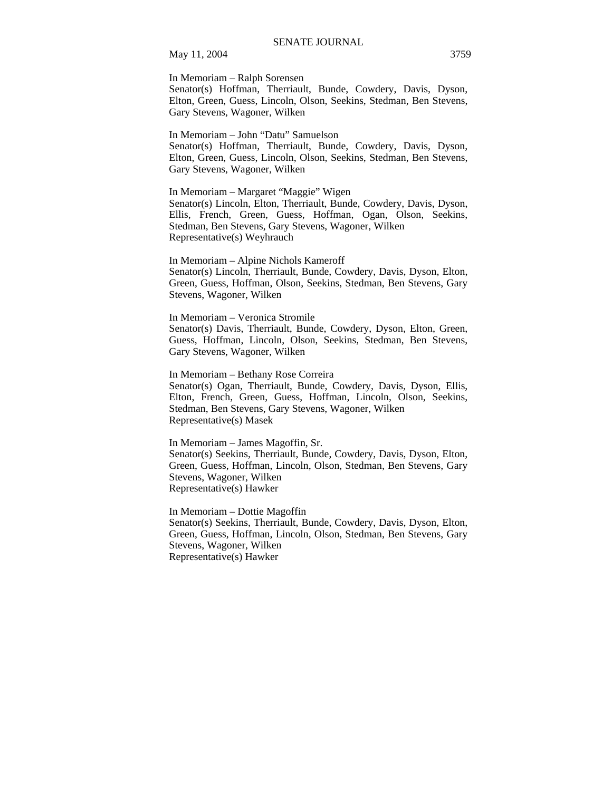In Memoriam – Ralph Sorensen

Senator(s) Hoffman, Therriault, Bunde, Cowdery, Davis, Dyson, Elton, Green, Guess, Lincoln, Olson, Seekins, Stedman, Ben Stevens, Gary Stevens, Wagoner, Wilken

In Memoriam – John "Datu" Samuelson

Senator(s) Hoffman, Therriault, Bunde, Cowdery, Davis, Dyson, Elton, Green, Guess, Lincoln, Olson, Seekins, Stedman, Ben Stevens, Gary Stevens, Wagoner, Wilken

In Memoriam – Margaret "Maggie" Wigen Senator(s) Lincoln, Elton, Therriault, Bunde, Cowdery, Davis, Dyson, Ellis, French, Green, Guess, Hoffman, Ogan, Olson, Seekins, Stedman, Ben Stevens, Gary Stevens, Wagoner, Wilken Representative(s) Weyhrauch

In Memoriam – Alpine Nichols Kameroff Senator(s) Lincoln, Therriault, Bunde, Cowdery, Davis, Dyson, Elton, Green, Guess, Hoffman, Olson, Seekins, Stedman, Ben Stevens, Gary Stevens, Wagoner, Wilken

In Memoriam – Veronica Stromile Senator(s) Davis, Therriault, Bunde, Cowdery, Dyson, Elton, Green, Guess, Hoffman, Lincoln, Olson, Seekins, Stedman, Ben Stevens, Gary Stevens, Wagoner, Wilken

In Memoriam – Bethany Rose Correira Senator(s) Ogan, Therriault, Bunde, Cowdery, Davis, Dyson, Ellis, Elton, French, Green, Guess, Hoffman, Lincoln, Olson, Seekins, Stedman, Ben Stevens, Gary Stevens, Wagoner, Wilken Representative(s) Masek

In Memoriam – James Magoffin, Sr. Senator(s) Seekins, Therriault, Bunde, Cowdery, Davis, Dyson, Elton, Green, Guess, Hoffman, Lincoln, Olson, Stedman, Ben Stevens, Gary Stevens, Wagoner, Wilken Representative(s) Hawker

In Memoriam – Dottie Magoffin Senator(s) Seekins, Therriault, Bunde, Cowdery, Davis, Dyson, Elton, Green, Guess, Hoffman, Lincoln, Olson, Stedman, Ben Stevens, Gary Stevens, Wagoner, Wilken Representative(s) Hawker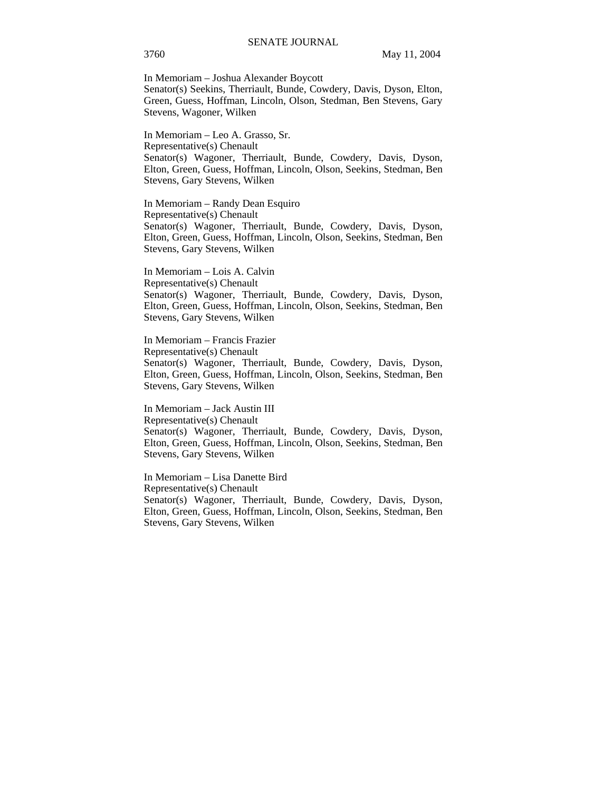In Memoriam – Joshua Alexander Boycott

Senator(s) Seekins, Therriault, Bunde, Cowdery, Davis, Dyson, Elton, Green, Guess, Hoffman, Lincoln, Olson, Stedman, Ben Stevens, Gary Stevens, Wagoner, Wilken

In Memoriam – Leo A. Grasso, Sr. Representative(s) Chenault Senator(s) Wagoner, Therriault, Bunde, Cowdery, Davis, Dyson, Elton, Green, Guess, Hoffman, Lincoln, Olson, Seekins, Stedman, Ben Stevens, Gary Stevens, Wilken

In Memoriam – Randy Dean Esquiro Representative(s) Chenault Senator(s) Wagoner, Therriault, Bunde, Cowdery, Davis, Dyson, Elton, Green, Guess, Hoffman, Lincoln, Olson, Seekins, Stedman, Ben Stevens, Gary Stevens, Wilken

In Memoriam – Lois A. Calvin Representative(s) Chenault Senator(s) Wagoner, Therriault, Bunde, Cowdery, Davis, Dyson, Elton, Green, Guess, Hoffman, Lincoln, Olson, Seekins, Stedman, Ben Stevens, Gary Stevens, Wilken

In Memoriam – Francis Frazier Representative(s) Chenault Senator(s) Wagoner, Therriault, Bunde, Cowdery, Davis, Dyson, Elton, Green, Guess, Hoffman, Lincoln, Olson, Seekins, Stedman, Ben Stevens, Gary Stevens, Wilken

In Memoriam – Jack Austin III Representative(s) Chenault Senator(s) Wagoner, Therriault, Bunde, Cowdery, Davis, Dyson, Elton, Green, Guess, Hoffman, Lincoln, Olson, Seekins, Stedman, Ben Stevens, Gary Stevens, Wilken

In Memoriam – Lisa Danette Bird Representative(s) Chenault Senator(s) Wagoner, Therriault, Bunde, Cowdery, Davis, Dyson, Elton, Green, Guess, Hoffman, Lincoln, Olson, Seekins, Stedman, Ben Stevens, Gary Stevens, Wilken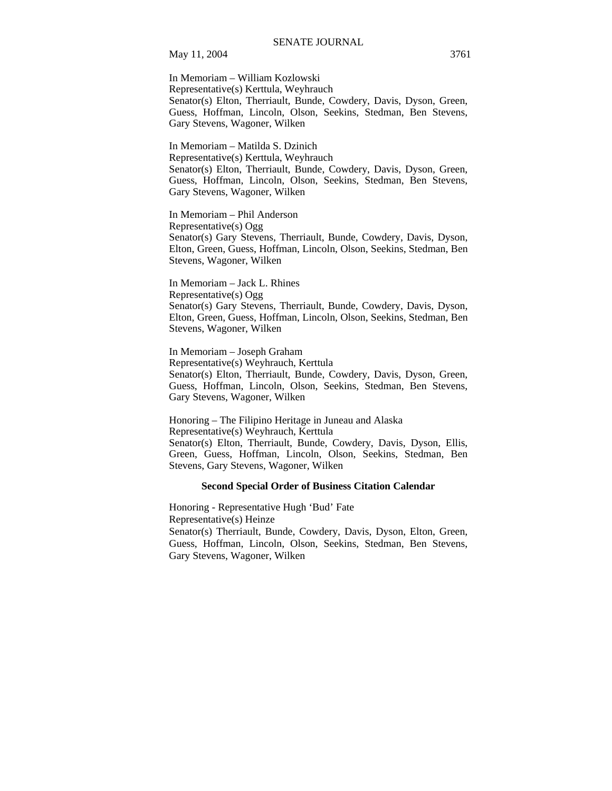In Memoriam – William Kozlowski Representative(s) Kerttula, Weyhrauch Senator(s) Elton, Therriault, Bunde, Cowdery, Davis, Dyson, Green, Guess, Hoffman, Lincoln, Olson, Seekins, Stedman, Ben Stevens, Gary Stevens, Wagoner, Wilken

In Memoriam – Matilda S. Dzinich Representative(s) Kerttula, Weyhrauch Senator(s) Elton, Therriault, Bunde, Cowdery, Davis, Dyson, Green, Guess, Hoffman, Lincoln, Olson, Seekins, Stedman, Ben Stevens, Gary Stevens, Wagoner, Wilken

In Memoriam – Phil Anderson Representative(s) Ogg Senator(s) Gary Stevens, Therriault, Bunde, Cowdery, Davis, Dyson, Elton, Green, Guess, Hoffman, Lincoln, Olson, Seekins, Stedman, Ben Stevens, Wagoner, Wilken

In Memoriam – Jack L. Rhines Representative(s) Ogg Senator(s) Gary Stevens, Therriault, Bunde, Cowdery, Davis, Dyson, Elton, Green, Guess, Hoffman, Lincoln, Olson, Seekins, Stedman, Ben Stevens, Wagoner, Wilken

In Memoriam – Joseph Graham Representative(s) Weyhrauch, Kerttula Senator(s) Elton, Therriault, Bunde, Cowdery, Davis, Dyson, Green, Guess, Hoffman, Lincoln, Olson, Seekins, Stedman, Ben Stevens, Gary Stevens, Wagoner, Wilken

Honoring – The Filipino Heritage in Juneau and Alaska Representative(s) Weyhrauch, Kerttula Senator(s) Elton, Therriault, Bunde, Cowdery, Davis, Dyson, Ellis, Green, Guess, Hoffman, Lincoln, Olson, Seekins, Stedman, Ben Stevens, Gary Stevens, Wagoner, Wilken

#### **Second Special Order of Business Citation Calendar**

Honoring - Representative Hugh 'Bud' Fate Representative(s) Heinze Senator(s) Therriault, Bunde, Cowdery, Davis, Dyson, Elton, Green, Guess, Hoffman, Lincoln, Olson, Seekins, Stedman, Ben Stevens, Gary Stevens, Wagoner, Wilken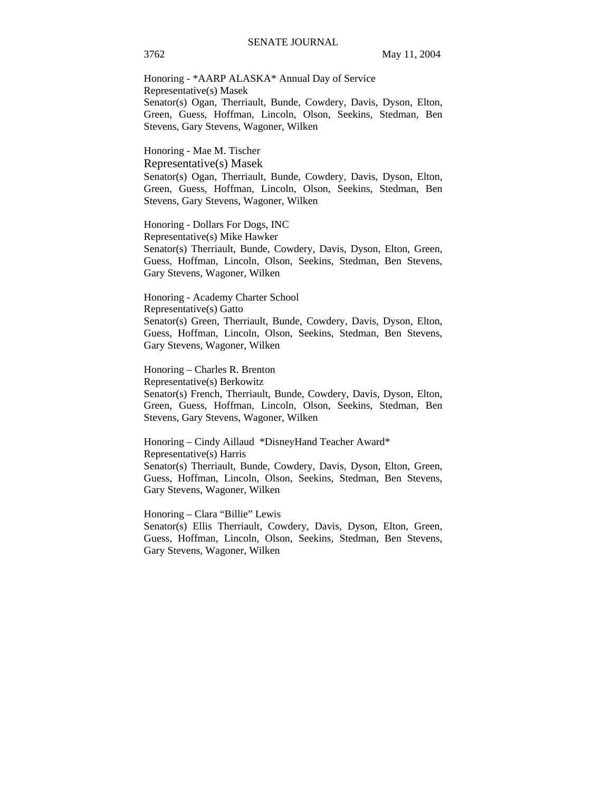Honoring - \*AARP ALASKA\* Annual Day of Service Representative(s) Masek Senator(s) Ogan, Therriault, Bunde, Cowdery, Davis, Dyson, Elton, Green, Guess, Hoffman, Lincoln, Olson, Seekins, Stedman, Ben Stevens, Gary Stevens, Wagoner, Wilken

Honoring - Mae M. Tischer

Representative(s) Masek

Senator(s) Ogan, Therriault, Bunde, Cowdery, Davis, Dyson, Elton, Green, Guess, Hoffman, Lincoln, Olson, Seekins, Stedman, Ben Stevens, Gary Stevens, Wagoner, Wilken

Honoring - Dollars For Dogs, INC Representative(s) Mike Hawker Senator(s) Therriault, Bunde, Cowdery, Davis, Dyson, Elton, Green, Guess, Hoffman, Lincoln, Olson, Seekins, Stedman, Ben Stevens, Gary Stevens, Wagoner, Wilken

Honoring - Academy Charter School Representative(s) Gatto Senator(s) Green, Therriault, Bunde, Cowdery, Davis, Dyson, Elton, Guess, Hoffman, Lincoln, Olson, Seekins, Stedman, Ben Stevens, Gary Stevens, Wagoner, Wilken

Honoring – Charles R. Brenton Representative(s) Berkowitz Senator(s) French, Therriault, Bunde, Cowdery, Davis, Dyson, Elton, Green, Guess, Hoffman, Lincoln, Olson, Seekins, Stedman, Ben Stevens, Gary Stevens, Wagoner, Wilken

Honoring – Cindy Aillaud \*DisneyHand Teacher Award\* Representative(s) Harris Senator(s) Therriault, Bunde, Cowdery, Davis, Dyson, Elton, Green, Guess, Hoffman, Lincoln, Olson, Seekins, Stedman, Ben Stevens, Gary Stevens, Wagoner, Wilken

Honoring – Clara "Billie" Lewis

Senator(s) Ellis Therriault, Cowdery, Davis, Dyson, Elton, Green, Guess, Hoffman, Lincoln, Olson, Seekins, Stedman, Ben Stevens, Gary Stevens, Wagoner, Wilken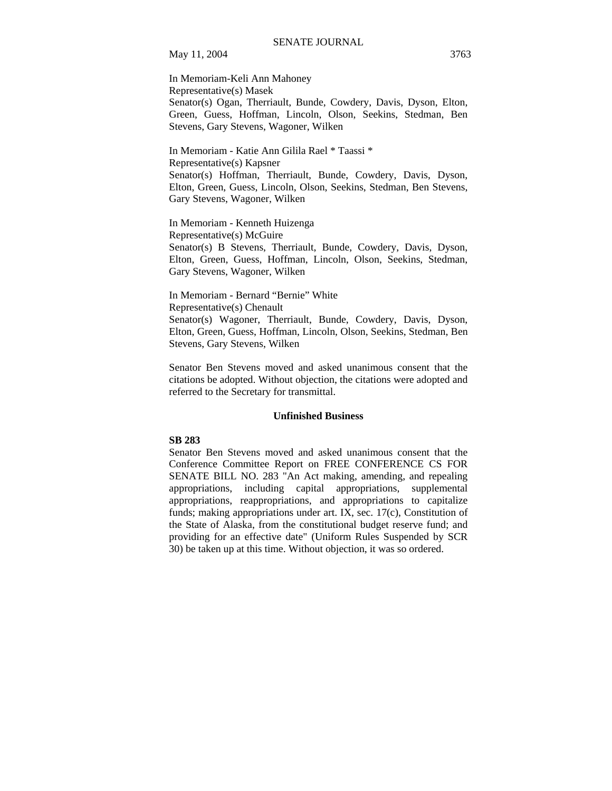In Memoriam-Keli Ann Mahoney Representative(s) Masek Senator(s) Ogan, Therriault, Bunde, Cowdery, Davis, Dyson, Elton, Green, Guess, Hoffman, Lincoln, Olson, Seekins, Stedman, Ben Stevens, Gary Stevens, Wagoner, Wilken

In Memoriam - Katie Ann Gilila Rael \* Taassi \* Representative(s) Kapsner Senator(s) Hoffman, Therriault, Bunde, Cowdery, Davis, Dyson, Elton, Green, Guess, Lincoln, Olson, Seekins, Stedman, Ben Stevens, Gary Stevens, Wagoner, Wilken

In Memoriam - Kenneth Huizenga Representative(s) McGuire Senator(s) B Stevens, Therriault, Bunde, Cowdery, Davis, Dyson, Elton, Green, Guess, Hoffman, Lincoln, Olson, Seekins, Stedman, Gary Stevens, Wagoner, Wilken

In Memoriam - Bernard "Bernie" White Representative(s) Chenault Senator(s) Wagoner, Therriault, Bunde, Cowdery, Davis, Dyson, Elton, Green, Guess, Hoffman, Lincoln, Olson, Seekins, Stedman, Ben

Stevens, Gary Stevens, Wilken

Senator Ben Stevens moved and asked unanimous consent that the citations be adopted. Without objection, the citations were adopted and referred to the Secretary for transmittal.

#### **Unfinished Business**

### **SB 283**

Senator Ben Stevens moved and asked unanimous consent that the Conference Committee Report on FREE CONFERENCE CS FOR SENATE BILL NO. 283 "An Act making, amending, and repealing appropriations, including capital appropriations, supplemental appropriations, reappropriations, and appropriations to capitalize funds; making appropriations under art. IX, sec. 17(c), Constitution of the State of Alaska, from the constitutional budget reserve fund; and providing for an effective date" (Uniform Rules Suspended by SCR 30) be taken up at this time. Without objection, it was so ordered.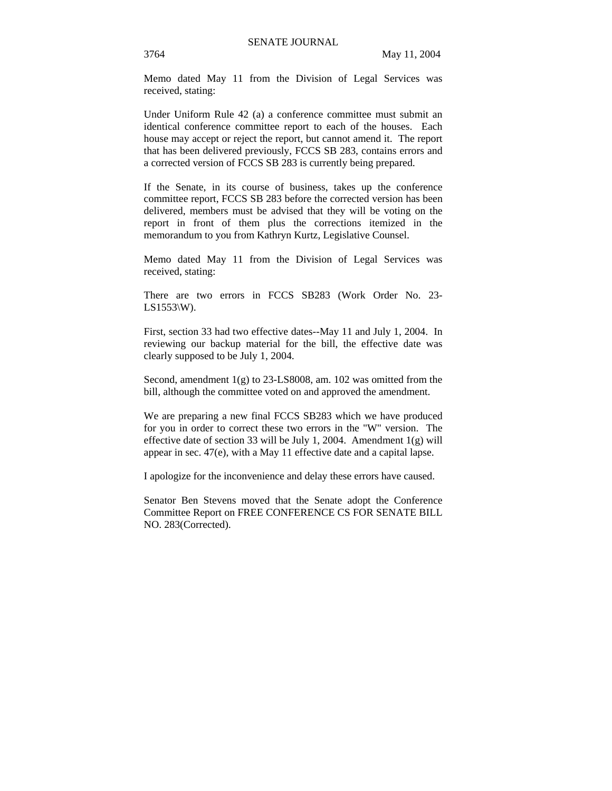Memo dated May 11 from the Division of Legal Services was received, stating:

Under Uniform Rule 42 (a) a conference committee must submit an identical conference committee report to each of the houses. Each house may accept or reject the report, but cannot amend it. The report that has been delivered previously, FCCS SB 283, contains errors and a corrected version of FCCS SB 283 is currently being prepared.

If the Senate, in its course of business, takes up the conference committee report, FCCS SB 283 before the corrected version has been delivered, members must be advised that they will be voting on the report in front of them plus the corrections itemized in the memorandum to you from Kathryn Kurtz, Legislative Counsel.

Memo dated May 11 from the Division of Legal Services was received, stating:

There are two errors in FCCS SB283 (Work Order No. 23-  $LS1553\W$ ).

First, section 33 had two effective dates--May 11 and July 1, 2004. In reviewing our backup material for the bill, the effective date was clearly supposed to be July 1, 2004.

Second, amendment 1(g) to 23-LS8008, am. 102 was omitted from the bill, although the committee voted on and approved the amendment.

We are preparing a new final FCCS SB283 which we have produced for you in order to correct these two errors in the "W" version. The effective date of section 33 will be July 1, 2004. Amendment  $1(g)$  will appear in sec. 47(e), with a May 11 effective date and a capital lapse.

I apologize for the inconvenience and delay these errors have caused.

Senator Ben Stevens moved that the Senate adopt the Conference Committee Report on FREE CONFERENCE CS FOR SENATE BILL NO. 283(Corrected).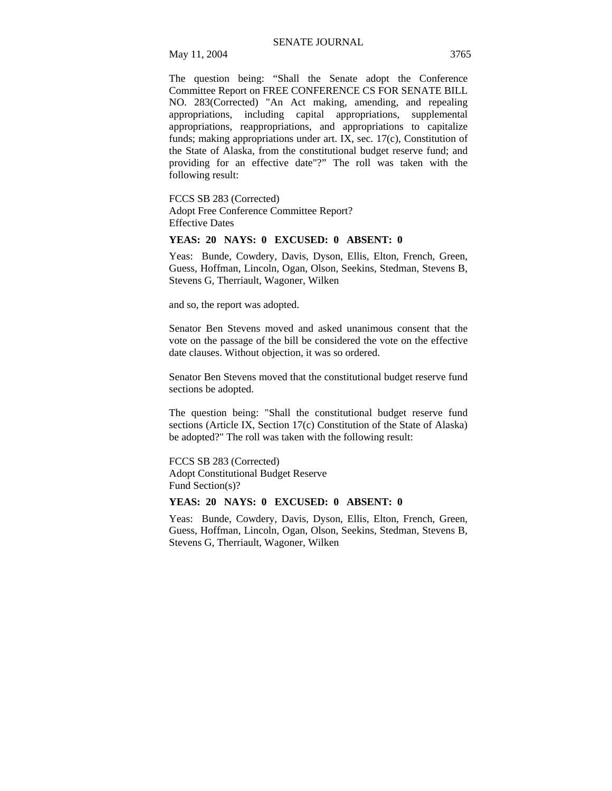The question being: "Shall the Senate adopt the Conference Committee Report on FREE CONFERENCE CS FOR SENATE BILL NO. 283(Corrected) "An Act making, amending, and repealing appropriations, including capital appropriations, supplemental appropriations, reappropriations, and appropriations to capitalize funds; making appropriations under art. IX, sec. 17(c), Constitution of the State of Alaska, from the constitutional budget reserve fund; and providing for an effective date"?" The roll was taken with the following result:

#### FCCS SB 283 (Corrected)

Adopt Free Conference Committee Report? Effective Dates

#### **YEAS: 20 NAYS: 0 EXCUSED: 0 ABSENT: 0**

Yeas: Bunde, Cowdery, Davis, Dyson, Ellis, Elton, French, Green, Guess, Hoffman, Lincoln, Ogan, Olson, Seekins, Stedman, Stevens B, Stevens G, Therriault, Wagoner, Wilken

and so, the report was adopted.

Senator Ben Stevens moved and asked unanimous consent that the vote on the passage of the bill be considered the vote on the effective date clauses. Without objection, it was so ordered.

Senator Ben Stevens moved that the constitutional budget reserve fund sections be adopted.

The question being: "Shall the constitutional budget reserve fund sections (Article IX, Section 17(c) Constitution of the State of Alaska) be adopted?" The roll was taken with the following result:

FCCS SB 283 (Corrected)

Adopt Constitutional Budget Reserve Fund Section(s)?

## **YEAS: 20 NAYS: 0 EXCUSED: 0 ABSENT: 0**

Yeas: Bunde, Cowdery, Davis, Dyson, Ellis, Elton, French, Green, Guess, Hoffman, Lincoln, Ogan, Olson, Seekins, Stedman, Stevens B, Stevens G, Therriault, Wagoner, Wilken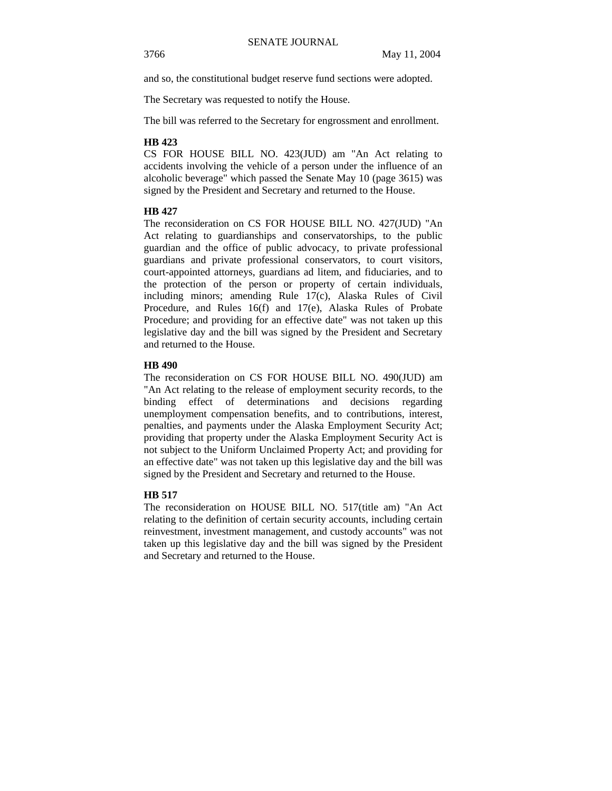and so, the constitutional budget reserve fund sections were adopted.

The Secretary was requested to notify the House.

The bill was referred to the Secretary for engrossment and enrollment.

## **HB 423**

CS FOR HOUSE BILL NO. 423(JUD) am "An Act relating to accidents involving the vehicle of a person under the influence of an alcoholic beverage" which passed the Senate May 10 (page 3615) was signed by the President and Secretary and returned to the House.

## **HB 427**

The reconsideration on CS FOR HOUSE BILL NO. 427(JUD) "An Act relating to guardianships and conservatorships, to the public guardian and the office of public advocacy, to private professional guardians and private professional conservators, to court visitors, court-appointed attorneys, guardians ad litem, and fiduciaries, and to the protection of the person or property of certain individuals, including minors; amending Rule 17(c), Alaska Rules of Civil Procedure, and Rules 16(f) and 17(e), Alaska Rules of Probate Procedure; and providing for an effective date" was not taken up this legislative day and the bill was signed by the President and Secretary and returned to the House.

## **HB 490**

The reconsideration on CS FOR HOUSE BILL NO. 490(JUD) am "An Act relating to the release of employment security records, to the binding effect of determinations and decisions regarding unemployment compensation benefits, and to contributions, interest, penalties, and payments under the Alaska Employment Security Act; providing that property under the Alaska Employment Security Act is not subject to the Uniform Unclaimed Property Act; and providing for an effective date" was not taken up this legislative day and the bill was signed by the President and Secretary and returned to the House.

## **HB 517**

The reconsideration on HOUSE BILL NO. 517(title am) "An Act relating to the definition of certain security accounts, including certain reinvestment, investment management, and custody accounts" was not taken up this legislative day and the bill was signed by the President and Secretary and returned to the House.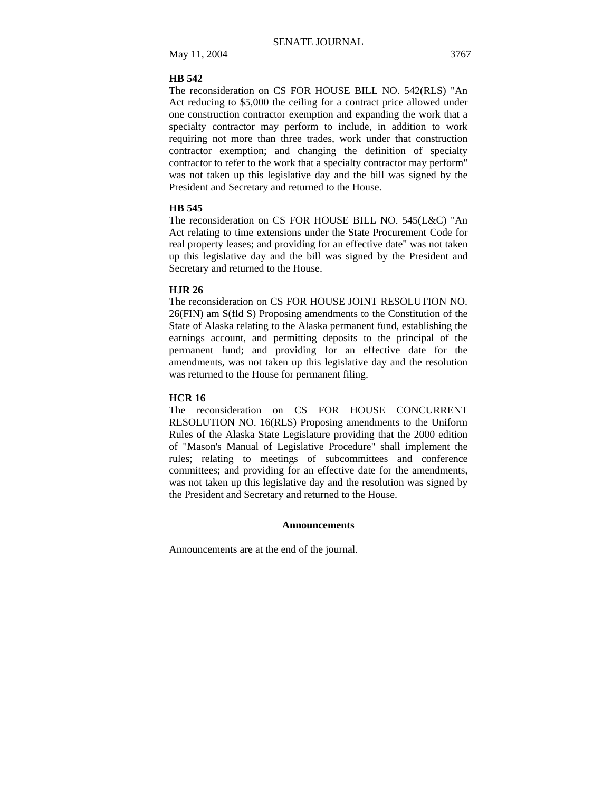## **HB 542**

The reconsideration on CS FOR HOUSE BILL NO. 542(RLS) "An Act reducing to \$5,000 the ceiling for a contract price allowed under one construction contractor exemption and expanding the work that a specialty contractor may perform to include, in addition to work requiring not more than three trades, work under that construction contractor exemption; and changing the definition of specialty contractor to refer to the work that a specialty contractor may perform" was not taken up this legislative day and the bill was signed by the President and Secretary and returned to the House.

#### **HB 545**

The reconsideration on CS FOR HOUSE BILL NO. 545(L&C) "An Act relating to time extensions under the State Procurement Code for real property leases; and providing for an effective date" was not taken up this legislative day and the bill was signed by the President and Secretary and returned to the House.

#### **HJR 26**

The reconsideration on CS FOR HOUSE JOINT RESOLUTION NO. 26(FIN) am S(fld S) Proposing amendments to the Constitution of the State of Alaska relating to the Alaska permanent fund, establishing the earnings account, and permitting deposits to the principal of the permanent fund; and providing for an effective date for the amendments, was not taken up this legislative day and the resolution was returned to the House for permanent filing.

#### **HCR 16**

The reconsideration on CS FOR HOUSE CONCURRENT RESOLUTION NO. 16(RLS) Proposing amendments to the Uniform Rules of the Alaska State Legislature providing that the 2000 edition of "Mason's Manual of Legislative Procedure" shall implement the rules; relating to meetings of subcommittees and conference committees; and providing for an effective date for the amendments, was not taken up this legislative day and the resolution was signed by the President and Secretary and returned to the House.

#### **Announcements**

Announcements are at the end of the journal.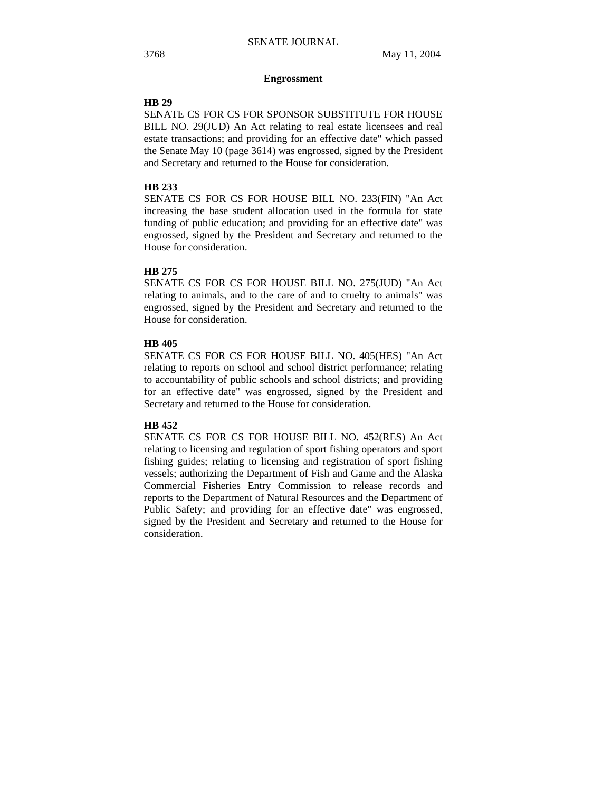#### **Engrossment**

## **HB 29**

SENATE CS FOR CS FOR SPONSOR SUBSTITUTE FOR HOUSE BILL NO. 29(JUD) An Act relating to real estate licensees and real estate transactions; and providing for an effective date" which passed the Senate May 10 (page 3614) was engrossed, signed by the President and Secretary and returned to the House for consideration.

## **HB 233**

SENATE CS FOR CS FOR HOUSE BILL NO. 233(FIN) "An Act increasing the base student allocation used in the formula for state funding of public education; and providing for an effective date" was engrossed, signed by the President and Secretary and returned to the House for consideration.

## **HB 275**

SENATE CS FOR CS FOR HOUSE BILL NO. 275(JUD) "An Act relating to animals, and to the care of and to cruelty to animals" was engrossed, signed by the President and Secretary and returned to the House for consideration.

## **HB 405**

SENATE CS FOR CS FOR HOUSE BILL NO. 405(HES) "An Act relating to reports on school and school district performance; relating to accountability of public schools and school districts; and providing for an effective date" was engrossed, signed by the President and Secretary and returned to the House for consideration.

#### **HB 452**

SENATE CS FOR CS FOR HOUSE BILL NO. 452(RES) An Act relating to licensing and regulation of sport fishing operators and sport fishing guides; relating to licensing and registration of sport fishing vessels; authorizing the Department of Fish and Game and the Alaska Commercial Fisheries Entry Commission to release records and reports to the Department of Natural Resources and the Department of Public Safety; and providing for an effective date" was engrossed, signed by the President and Secretary and returned to the House for consideration.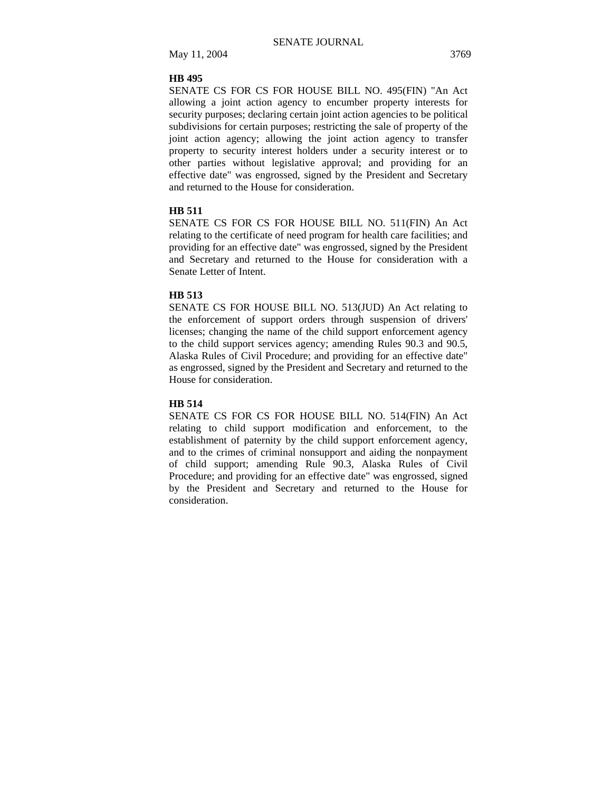## **HB 495**

SENATE CS FOR CS FOR HOUSE BILL NO. 495(FIN) "An Act allowing a joint action agency to encumber property interests for security purposes; declaring certain joint action agencies to be political subdivisions for certain purposes; restricting the sale of property of the joint action agency; allowing the joint action agency to transfer property to security interest holders under a security interest or to other parties without legislative approval; and providing for an effective date" was engrossed, signed by the President and Secretary and returned to the House for consideration.

#### **HB 511**

SENATE CS FOR CS FOR HOUSE BILL NO. 511(FIN) An Act relating to the certificate of need program for health care facilities; and providing for an effective date" was engrossed, signed by the President and Secretary and returned to the House for consideration with a Senate Letter of Intent.

#### **HB 513**

SENATE CS FOR HOUSE BILL NO. 513(JUD) An Act relating to the enforcement of support orders through suspension of drivers' licenses; changing the name of the child support enforcement agency to the child support services agency; amending Rules 90.3 and 90.5, Alaska Rules of Civil Procedure; and providing for an effective date" as engrossed, signed by the President and Secretary and returned to the House for consideration.

## **HB 514**

SENATE CS FOR CS FOR HOUSE BILL NO. 514(FIN) An Act relating to child support modification and enforcement, to the establishment of paternity by the child support enforcement agency, and to the crimes of criminal nonsupport and aiding the nonpayment of child support; amending Rule 90.3, Alaska Rules of Civil Procedure; and providing for an effective date" was engrossed, signed by the President and Secretary and returned to the House for consideration.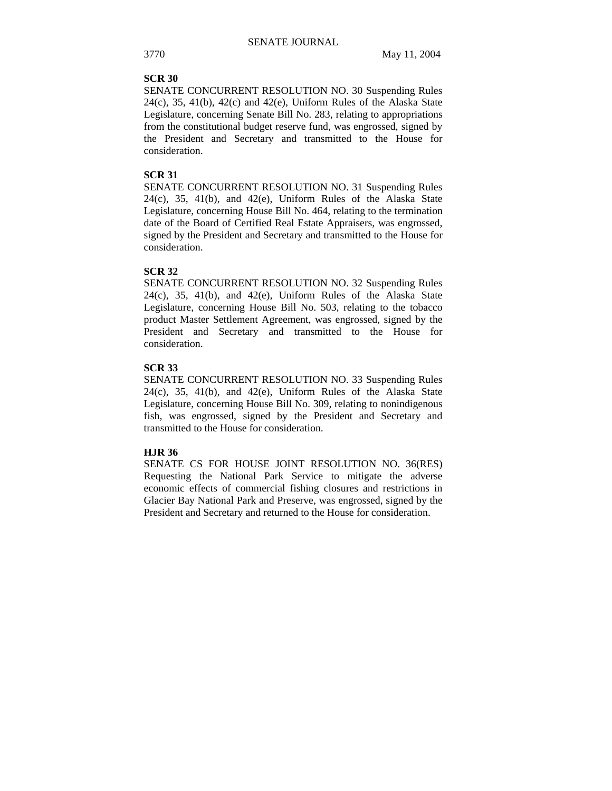## **SCR 30**

SENATE CONCURRENT RESOLUTION NO. 30 Suspending Rules  $24(c)$ , 35,  $41(b)$ ,  $42(c)$  and  $42(e)$ , Uniform Rules of the Alaska State Legislature, concerning Senate Bill No. 283, relating to appropriations from the constitutional budget reserve fund, was engrossed, signed by the President and Secretary and transmitted to the House for consideration.

## **SCR 31**

SENATE CONCURRENT RESOLUTION NO. 31 Suspending Rules  $24(c)$ ,  $35$ ,  $41(b)$ , and  $42(e)$ , Uniform Rules of the Alaska State Legislature, concerning House Bill No. 464, relating to the termination date of the Board of Certified Real Estate Appraisers, was engrossed, signed by the President and Secretary and transmitted to the House for consideration.

## **SCR 32**

SENATE CONCURRENT RESOLUTION NO. 32 Suspending Rules 24(c), 35, 41(b), and 42(e), Uniform Rules of the Alaska State Legislature, concerning House Bill No. 503, relating to the tobacco product Master Settlement Agreement, was engrossed, signed by the President and Secretary and transmitted to the House for consideration.

## **SCR 33**

SENATE CONCURRENT RESOLUTION NO. 33 Suspending Rules  $24(c)$ ,  $35$ ,  $41(b)$ , and  $42(e)$ , Uniform Rules of the Alaska State Legislature, concerning House Bill No. 309, relating to nonindigenous fish, was engrossed, signed by the President and Secretary and transmitted to the House for consideration.

## **HJR 36**

SENATE CS FOR HOUSE JOINT RESOLUTION NO. 36(RES) Requesting the National Park Service to mitigate the adverse economic effects of commercial fishing closures and restrictions in Glacier Bay National Park and Preserve, was engrossed, signed by the President and Secretary and returned to the House for consideration.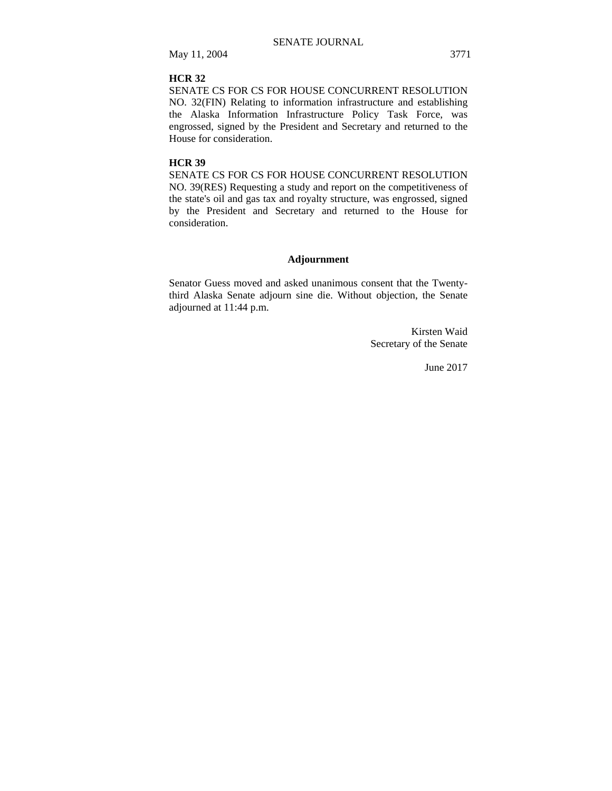## **HCR 32**

SENATE CS FOR CS FOR HOUSE CONCURRENT RESOLUTION NO. 32(FIN) Relating to information infrastructure and establishing the Alaska Information Infrastructure Policy Task Force, was engrossed, signed by the President and Secretary and returned to the House for consideration.

## **HCR 39**

SENATE CS FOR CS FOR HOUSE CONCURRENT RESOLUTION NO. 39(RES) Requesting a study and report on the competitiveness of the state's oil and gas tax and royalty structure, was engrossed, signed by the President and Secretary and returned to the House for consideration.

## **Adjournment**

Senator Guess moved and asked unanimous consent that the Twentythird Alaska Senate adjourn sine die. Without objection, the Senate adjourned at 11:44 p.m.

> Kirsten Waid Secretary of the Senate

> > June 2017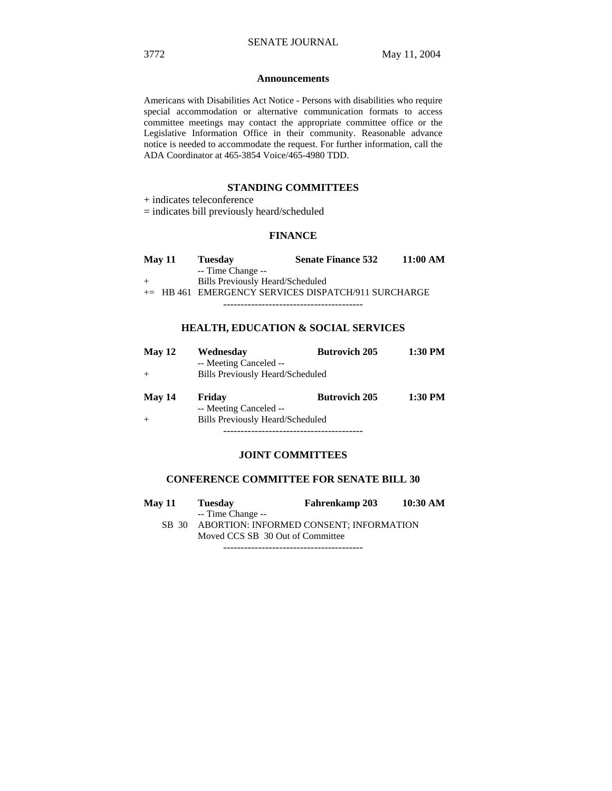#### **Announcements**

Americans with Disabilities Act Notice - Persons with disabilities who require special accommodation or alternative communication formats to access committee meetings may contact the appropriate committee office or the Legislative Information Office in their community. Reasonable advance notice is needed to accommodate the request. For further information, call the ADA Coordinator at 465-3854 Voice/465-4980 TDD.

## **STANDING COMMITTEES**

+ indicates teleconference

= indicates bill previously heard/scheduled

#### **FINANCE**

| May 11 | <b>Tuesday</b>                          | <b>Senate Finance 532</b>                             | 11:00 AM |
|--------|-----------------------------------------|-------------------------------------------------------|----------|
|        | -- Time Change --                       |                                                       |          |
|        | <b>Bills Previously Heard/Scheduled</b> |                                                       |          |
|        |                                         | $+=$ HB 461 EMERGENCY SERVICES DISPATCH/911 SURCHARGE |          |
|        |                                         |                                                       |          |

## **HEALTH, EDUCATION & SOCIAL SERVICES**

| May 12 | Wednesday<br>-- Meeting Canceled --<br>Bills Previously Heard/Scheduled | <b>Butrovich 205</b> | 1:30 PM |
|--------|-------------------------------------------------------------------------|----------------------|---------|
| May 14 | Friday<br>-- Meeting Canceled --<br>Bills Previously Heard/Scheduled    | <b>Butrovich 205</b> | 1:30 PM |

----------------------------------------

## **JOINT COMMITTEES**

## **CONFERENCE COMMITTEE FOR SENATE BILL 30**

| <b>May 11</b> | <b>Tuesday</b>                          | <b>Fahrenkamp 203</b> | 10:30 AM |
|---------------|-----------------------------------------|-----------------------|----------|
|               | -- Time Change --                       |                       |          |
| SB 30         | ABORTION: INFORMED CONSENT; INFORMATION |                       |          |
|               | Moved CCS SB 30 Out of Committee        |                       |          |
|               |                                         |                       |          |